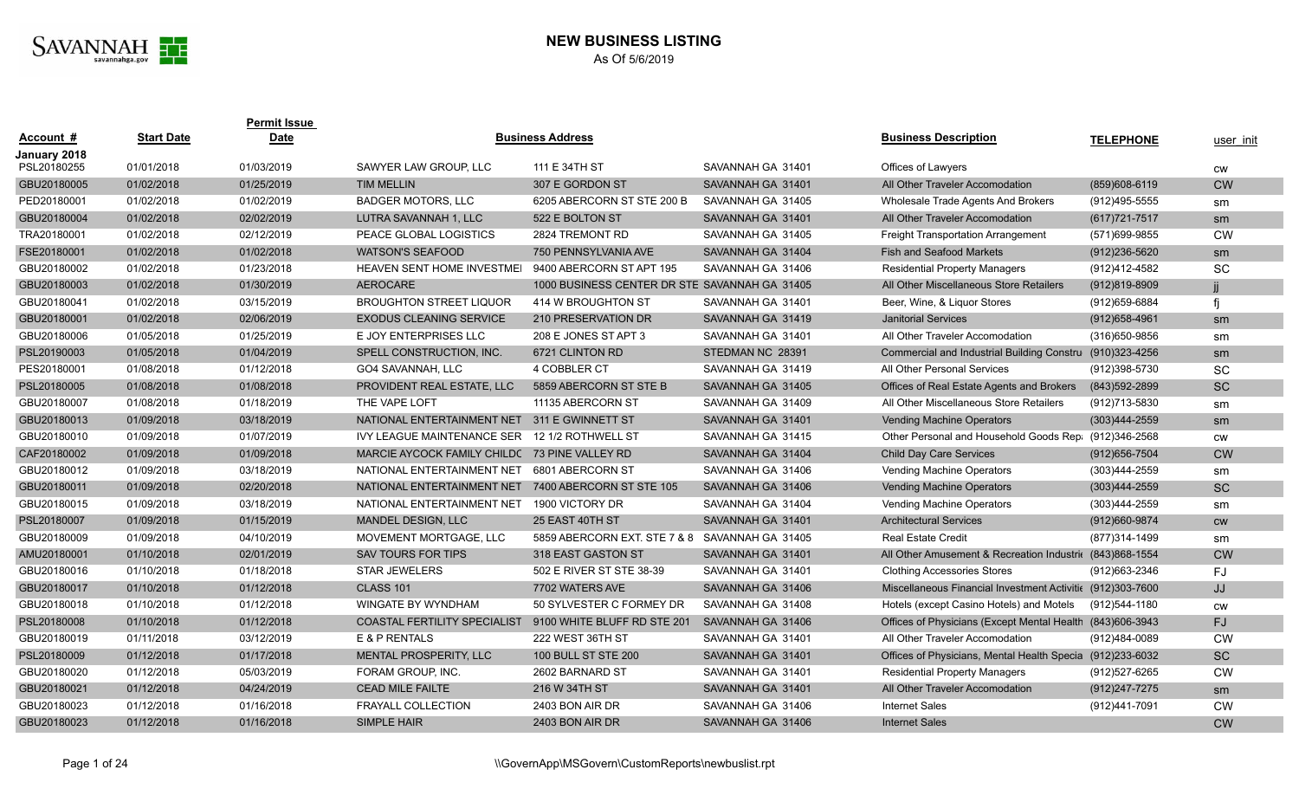

## **NEW BUSINESS LISTING** As Of 5/6/2019

|                   | <b>Permit Issue</b> |                                   |                             |                                                                                                                                                                             |                                                                               |                   |                                                                                                                                                                                                                                                                                                            |
|-------------------|---------------------|-----------------------------------|-----------------------------|-----------------------------------------------------------------------------------------------------------------------------------------------------------------------------|-------------------------------------------------------------------------------|-------------------|------------------------------------------------------------------------------------------------------------------------------------------------------------------------------------------------------------------------------------------------------------------------------------------------------------|
| <b>Start Date</b> | <b>Date</b>         |                                   |                             |                                                                                                                                                                             | <b>Business Description</b>                                                   | <b>TELEPHONE</b>  | user init                                                                                                                                                                                                                                                                                                  |
| 01/01/2018        | 01/03/2019          | SAWYER LAW GROUP. LLC             | 111 E 34TH ST               | SAVANNAH GA 31401                                                                                                                                                           | Offices of Lawyers                                                            |                   | <b>CW</b>                                                                                                                                                                                                                                                                                                  |
| 01/02/2018        | 01/25/2019          | <b>TIM MELLIN</b>                 | 307 E GORDON ST             | SAVANNAH GA 31401                                                                                                                                                           | All Other Traveler Accomodation                                               | $(859)608-6119$   | <b>CW</b>                                                                                                                                                                                                                                                                                                  |
| 01/02/2018        | 01/02/2019          | <b>BADGER MOTORS, LLC</b>         | 6205 ABERCORN ST STE 200 B  | SAVANNAH GA 31405                                                                                                                                                           | Wholesale Trade Agents And Brokers                                            | (912)495-5555     | sm                                                                                                                                                                                                                                                                                                         |
| 01/02/2018        | 02/02/2019          | LUTRA SAVANNAH 1, LLC             | 522 E BOLTON ST             | SAVANNAH GA 31401                                                                                                                                                           | All Other Traveler Accomodation                                               | $(617)721 - 7517$ | sm                                                                                                                                                                                                                                                                                                         |
| 01/02/2018        | 02/12/2019          | PEACE GLOBAL LOGISTICS            | 2824 TREMONT RD             | SAVANNAH GA 31405                                                                                                                                                           | <b>Freight Transportation Arrangement</b>                                     | (571)699-9855     | <b>CW</b>                                                                                                                                                                                                                                                                                                  |
| 01/02/2018        | 01/02/2018          | <b>WATSON'S SEAFOOD</b>           | 750 PENNSYLVANIA AVE        | SAVANNAH GA 31404                                                                                                                                                           | <b>Fish and Seafood Markets</b>                                               | $(912)236 - 5620$ | sm                                                                                                                                                                                                                                                                                                         |
| 01/02/2018        | 01/23/2018          | <b>HEAVEN SENT HOME INVESTMEI</b> | 9400 ABERCORN ST APT 195    | SAVANNAH GA 31406                                                                                                                                                           | <b>Residential Property Managers</b>                                          | (912)412-4582     | <b>SC</b>                                                                                                                                                                                                                                                                                                  |
| 01/02/2018        | 01/30/2019          | <b>AEROCARE</b>                   |                             |                                                                                                                                                                             | All Other Miscellaneous Store Retailers                                       | $(912)819 - 8909$ | Ϊİ                                                                                                                                                                                                                                                                                                         |
| 01/02/2018        | 03/15/2019          | <b>BROUGHTON STREET LIQUOR</b>    | 414 W BROUGHTON ST          | SAVANNAH GA 31401                                                                                                                                                           | Beer, Wine, & Liquor Stores                                                   | (912) 659-6884    | fi                                                                                                                                                                                                                                                                                                         |
| 01/02/2018        | 02/06/2019          | <b>EXODUS CLEANING SERVICE</b>    | 210 PRESERVATION DR         | SAVANNAH GA 31419                                                                                                                                                           | <b>Janitorial Services</b>                                                    | (912) 658-4961    | sm                                                                                                                                                                                                                                                                                                         |
| 01/05/2018        | 01/25/2019          | E JOY ENTERPRISES LLC             | 208 E JONES ST APT 3        | SAVANNAH GA 31401                                                                                                                                                           | All Other Traveler Accomodation                                               | (316) 650-9856    | sm                                                                                                                                                                                                                                                                                                         |
| 01/05/2018        | 01/04/2019          | SPELL CONSTRUCTION, INC.          | 6721 CLINTON RD             | STEDMAN NC 28391                                                                                                                                                            | <b>Commercial and Industrial Building Constru</b>                             | (910)323-4256     | sm                                                                                                                                                                                                                                                                                                         |
| 01/08/2018        | 01/12/2018          | GO4 SAVANNAH, LLC                 | 4 COBBLER CT                | SAVANNAH GA 31419                                                                                                                                                           | All Other Personal Services                                                   | (912)398-5730     | SC                                                                                                                                                                                                                                                                                                         |
| 01/08/2018        | 01/08/2018          | PROVIDENT REAL ESTATE, LLC        | 5859 ABERCORN ST STE B      | SAVANNAH GA 31405                                                                                                                                                           | Offices of Real Estate Agents and Brokers                                     | (843) 592-2899    | SC                                                                                                                                                                                                                                                                                                         |
| 01/08/2018        | 01/18/2019          | THE VAPE LOFT                     | 11135 ABERCORN ST           | SAVANNAH GA 31409                                                                                                                                                           | All Other Miscellaneous Store Retailers                                       | (912)713-5830     | sm                                                                                                                                                                                                                                                                                                         |
| 01/09/2018        | 03/18/2019          |                                   | 311 E GWINNETT ST           | SAVANNAH GA 31401                                                                                                                                                           | <b>Vending Machine Operators</b>                                              | $(303)444 - 2559$ | sm                                                                                                                                                                                                                                                                                                         |
| 01/09/2018        | 01/07/2019          | <b>IVY LEAGUE MAINTENANCE SER</b> | 12 1/2 ROTHWELL ST          | SAVANNAH GA 31415                                                                                                                                                           |                                                                               |                   | <b>CW</b>                                                                                                                                                                                                                                                                                                  |
| 01/09/2018        | 01/09/2018          |                                   |                             | SAVANNAH GA 31404                                                                                                                                                           | <b>Child Day Care Services</b>                                                | $(912)656 - 7504$ | <b>CW</b>                                                                                                                                                                                                                                                                                                  |
| 01/09/2018        | 03/18/2019          | NATIONAL ENTERTAINMENT NET        | 6801 ABERCORN ST            | SAVANNAH GA 31406                                                                                                                                                           | <b>Vending Machine Operators</b>                                              | (303)444-2559     | sm                                                                                                                                                                                                                                                                                                         |
| 01/09/2018        | 02/20/2018          |                                   | 7400 ABERCORN ST STE 105    | SAVANNAH GA 31406                                                                                                                                                           | <b>Vending Machine Operators</b>                                              | $(303)444 - 2559$ | <b>SC</b>                                                                                                                                                                                                                                                                                                  |
| 01/09/2018        | 03/18/2019          | NATIONAL ENTERTAINMENT NET        | 1900 VICTORY DR             | SAVANNAH GA 31404                                                                                                                                                           | <b>Vending Machine Operators</b>                                              | (303)444-2559     | sm                                                                                                                                                                                                                                                                                                         |
| 01/09/2018        | 01/15/2019          | <b>MANDEL DESIGN, LLC</b>         | 25 EAST 40TH ST             | SAVANNAH GA 31401                                                                                                                                                           | <b>Architectural Services</b>                                                 | (912)660-9874     | <b>CW</b>                                                                                                                                                                                                                                                                                                  |
| 01/09/2018        | 04/10/2019          | MOVEMENT MORTGAGE. LLC            |                             | SAVANNAH GA 31405                                                                                                                                                           | <b>Real Estate Credit</b>                                                     | (877)314-1499     | sm                                                                                                                                                                                                                                                                                                         |
| 01/10/2018        | 02/01/2019          | <b>SAV TOURS FOR TIPS</b>         | 318 EAST GASTON ST          | SAVANNAH GA 31401                                                                                                                                                           |                                                                               |                   | <b>CW</b>                                                                                                                                                                                                                                                                                                  |
| 01/10/2018        | 01/18/2018          | <b>STAR JEWELERS</b>              | 502 E RIVER ST STE 38-39    | SAVANNAH GA 31401                                                                                                                                                           | <b>Clothing Accessories Stores</b>                                            | (912)663-2346     | FJ                                                                                                                                                                                                                                                                                                         |
| 01/10/2018        | 01/12/2018          | <b>CLASS 101</b>                  | 7702 WATERS AVE             | SAVANNAH GA 31406                                                                                                                                                           |                                                                               |                   | JJ                                                                                                                                                                                                                                                                                                         |
| 01/10/2018        | 01/12/2018          | WINGATE BY WYNDHAM                | 50 SYLVESTER C FORMEY DR    | SAVANNAH GA 31408                                                                                                                                                           | Hotels (except Casino Hotels) and Motels                                      | (912)544-1180     | <b>CW</b>                                                                                                                                                                                                                                                                                                  |
| 01/10/2018        | 01/12/2018          |                                   | 9100 WHITE BLUFF RD STE 201 | SAVANNAH GA 31406                                                                                                                                                           |                                                                               |                   | <b>FJ</b>                                                                                                                                                                                                                                                                                                  |
| 01/11/2018        | 03/12/2019          | E & P RENTALS                     | 222 WEST 36TH ST            | SAVANNAH GA 31401                                                                                                                                                           | All Other Traveler Accomodation                                               | (912)484-0089     | <b>CW</b>                                                                                                                                                                                                                                                                                                  |
| 01/12/2018        | 01/17/2018          | <b>MENTAL PROSPERITY, LLC</b>     | <b>100 BULL ST STE 200</b>  | SAVANNAH GA 31401                                                                                                                                                           |                                                                               |                   | <b>SC</b>                                                                                                                                                                                                                                                                                                  |
| 01/12/2018        | 05/03/2019          | FORAM GROUP, INC.                 | 2602 BARNARD ST             | SAVANNAH GA 31401                                                                                                                                                           | <b>Residential Property Managers</b>                                          | (912)527-6265     | <b>CW</b>                                                                                                                                                                                                                                                                                                  |
| 01/12/2018        | 04/24/2019          | <b>CEAD MILE FAILTE</b>           | 216 W 34TH ST               | SAVANNAH GA 31401                                                                                                                                                           | All Other Traveler Accomodation                                               | (912) 247-7275    | sm                                                                                                                                                                                                                                                                                                         |
| 01/12/2018        | 01/16/2018          | <b>FRAYALL COLLECTION</b>         | 2403 BON AIR DR             | SAVANNAH GA 31406                                                                                                                                                           | <b>Internet Sales</b>                                                         | (912)441-7091     | <b>CW</b>                                                                                                                                                                                                                                                                                                  |
| 01/12/2018        | 01/16/2018          | <b>SIMPLE HAIR</b>                | 2403 BON AIR DR             | SAVANNAH GA 31406                                                                                                                                                           | <b>Internet Sales</b>                                                         |                   | <b>CW</b>                                                                                                                                                                                                                                                                                                  |
|                   |                     |                                   |                             | <b>Business Address</b><br>NATIONAL ENTERTAINMENT NET<br>MARCIE AYCOCK FAMILY CHILDC 73 PINE VALLEY RD<br>NATIONAL ENTERTAINMENT NET<br><b>COASTAL FERTILITY SPECIALIST</b> | 1000 BUSINESS CENTER DR STE SAVANNAH GA 31405<br>5859 ABERCORN EXT. STE 7 & 8 |                   | Other Personal and Household Goods Rep: (912)346-2568<br>All Other Amusement & Recreation Industri( (843) 868-1554<br>Miscellaneous Financial Investment Activitic (912)303-7600<br>Offices of Physicians (Except Mental Health (843)606-3943<br>Offices of Physicians, Mental Health Specia (912)233-6032 |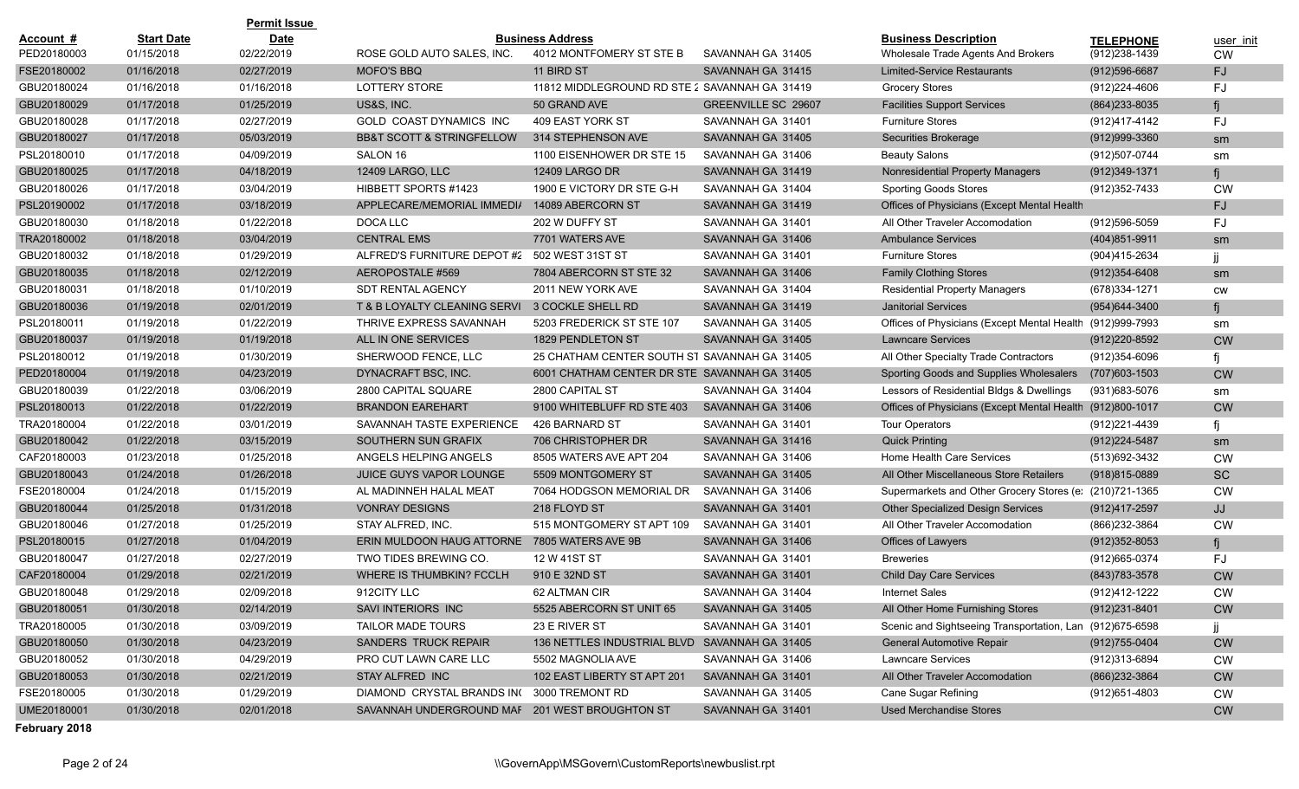| <b>Permit Issue</b> |                   |             |                                                |                                               |                            |                                                           |                   |           |
|---------------------|-------------------|-------------|------------------------------------------------|-----------------------------------------------|----------------------------|-----------------------------------------------------------|-------------------|-----------|
| Account #           | <b>Start Date</b> | <b>Date</b> |                                                | <b>Business Address</b>                       |                            | <b>Business Description</b>                               | <b>TELEPHONE</b>  | user init |
| PED20180003         | 01/15/2018        | 02/22/2019  | ROSE GOLD AUTO SALES, INC.                     | 4012 MONTFOMERY ST STE B                      | SAVANNAH GA 31405          | Wholesale Trade Agents And Brokers                        | (912) 238-1439    | <b>CW</b> |
| FSE20180002         | 01/16/2018        | 02/27/2019  | <b>MOFO'S BBQ</b>                              | 11 BIRD ST                                    | SAVANNAH GA 31415          | <b>Limited-Service Restaurants</b>                        | $(912)596-6687$   | FJ.       |
| GBU20180024         | 01/16/2018        | 01/16/2018  | <b>LOTTERY STORE</b>                           | 11812 MIDDLEGROUND RD STE 2 SAVANNAH GA 31419 |                            | <b>Grocery Stores</b>                                     | (912) 224-4606    | FJ        |
| GBU20180029         | 01/17/2018        | 01/25/2019  | US&S, INC.                                     | 50 GRAND AVE                                  | <b>GREENVILLE SC 29607</b> | <b>Facilities Support Services</b>                        | $(864)$ 233-8035  | fi        |
| GBU20180028         | 01/17/2018        | 02/27/2019  | <b>GOLD COAST DYNAMICS INC</b>                 | 409 EAST YORK ST                              | SAVANNAH GA 31401          | <b>Furniture Stores</b>                                   | (912)417-4142     | FJ        |
| GBU20180027         | 01/17/2018        | 05/03/2019  | <b>BB&amp;T SCOTT &amp; STRINGFELLOW</b>       | 314 STEPHENSON AVE                            | SAVANNAH GA 31405          | Securities Brokerage                                      | $(912)999-3360$   | sm        |
| PSL20180010         | 01/17/2018        | 04/09/2019  | SALON 16                                       | 1100 EISENHOWER DR STE 15                     | SAVANNAH GA 31406          | <b>Beauty Salons</b>                                      | (912)507-0744     | sm        |
| GBU20180025         | 01/17/2018        | 04/18/2019  | 12409 LARGO, LLC                               | <b>12409 LARGO DR</b>                         | SAVANNAH GA 31419          | Nonresidential Property Managers                          | $(912)349-1371$   | fi        |
| GBU20180026         | 01/17/2018        | 03/04/2019  | HIBBETT SPORTS #1423                           | 1900 E VICTORY DR STE G-H                     | SAVANNAH GA 31404          | <b>Sporting Goods Stores</b>                              | (912) 352-7433    | <b>CW</b> |
| PSL20190002         | 01/17/2018        | 03/18/2019  | APPLECARE/MEMORIAL IMMEDIA                     | 14089 ABERCORN ST                             | SAVANNAH GA 31419          | Offices of Physicians (Except Mental Health               |                   | FJ.       |
| GBU20180030         | 01/18/2018        | 01/22/2018  | DOCA LLC                                       | 202 W DUFFY ST                                | SAVANNAH GA 31401          | All Other Traveler Accomodation                           | $(912)596 - 5059$ | FJ        |
| TRA20180002         | 01/18/2018        | 03/04/2019  | <b>CENTRAL EMS</b>                             | 7701 WATERS AVE                               | SAVANNAH GA 31406          | <b>Ambulance Services</b>                                 | $(404)851 - 9911$ | sm        |
| GBU20180032         | 01/18/2018        | 01/29/2019  | ALFRED'S FURNITURE DEPOT #2                    | 502 WEST 31ST ST                              | SAVANNAH GA 31401          | <b>Furniture Stores</b>                                   | (904)415-2634     |           |
| GBU20180035         | 01/18/2018        | 02/12/2019  | AEROPOSTALE #569                               | 7804 ABERCORN ST STE 32                       | SAVANNAH GA 31406          | <b>Family Clothing Stores</b>                             | $(912)354 - 6408$ | sm        |
| GBU20180031         | 01/18/2018        | 01/10/2019  | <b>SDT RENTAL AGENCY</b>                       | 2011 NEW YORK AVE                             | SAVANNAH GA 31404          | <b>Residential Property Managers</b>                      | (678) 334-1271    | <b>CW</b> |
| GBU20180036         | 01/19/2018        | 02/01/2019  | T & B LOYALTY CLEANING SERVI                   | 3 COCKLE SHELL RD                             | SAVANNAH GA 31419          | <b>Janitorial Services</b>                                | (954) 644-3400    | fi        |
| PSL20180011         | 01/19/2018        | 01/22/2019  | THRIVE EXPRESS SAVANNAH                        | 5203 FREDERICK ST STE 107                     | SAVANNAH GA 31405          | Offices of Physicians (Except Mental Health (912)999-7993 |                   | sm        |
| GBU20180037         | 01/19/2018        | 01/19/2018  | ALL IN ONE SERVICES                            | 1829 PENDLETON ST                             | SAVANNAH GA 31405          | <b>Lawncare Services</b>                                  | (912) 220-8592    | <b>CW</b> |
| PSL20180012         | 01/19/2018        | 01/30/2019  | SHERWOOD FENCE, LLC                            | 25 CHATHAM CENTER SOUTH ST SAVANNAH GA 31405  |                            | All Other Specialty Trade Contractors                     | $(912)354 - 6096$ |           |
| PED20180004         | 01/19/2018        | 04/23/2019  | DYNACRAFT BSC, INC.                            | 6001 CHATHAM CENTER DR STE SAVANNAH GA 31405  |                            | Sporting Goods and Supplies Wholesalers                   | (707) 603-1503    | <b>CW</b> |
| GBU20180039         | 01/22/2018        | 03/06/2019  | 2800 CAPITAL SQUARE                            | 2800 CAPITAL ST                               | SAVANNAH GA 31404          | Lessors of Residential Bldgs & Dwellings                  | (931) 683-5076    | sm        |
| PSL20180013         | 01/22/2018        | 01/22/2019  | <b>BRANDON EAREHART</b>                        | 9100 WHITEBLUFF RD STE 403                    | SAVANNAH GA 31406          | Offices of Physicians (Except Mental Health               | $(912)800 - 1017$ | <b>CW</b> |
| TRA20180004         | 01/22/2018        | 03/01/2019  | SAVANNAH TASTE EXPERIENCE                      | 426 BARNARD ST                                | SAVANNAH GA 31401          | <b>Tour Operators</b>                                     | (912) 221-4439    | fi        |
| GBU20180042         | 01/22/2018        | 03/15/2019  | SOUTHERN SUN GRAFIX                            | 706 CHRISTOPHER DR                            | SAVANNAH GA 31416          | <b>Quick Printing</b>                                     | (912) 224-5487    | sm        |
| CAF20180003         | 01/23/2018        | 01/25/2018  | ANGELS HELPING ANGELS                          | 8505 WATERS AVE APT 204                       | SAVANNAH GA 31406          | Home Health Care Services                                 | (513) 692-3432    | <b>CW</b> |
| GBU20180043         | 01/24/2018        | 01/26/2018  | <b>JUICE GUYS VAPOR LOUNGE</b>                 | 5509 MONTGOMERY ST                            | SAVANNAH GA 31405          | All Other Miscellaneous Store Retailers                   | $(918)815 - 0889$ | <b>SC</b> |
| FSE20180004         | 01/24/2018        | 01/15/2019  | AL MADINNEH HALAL MEAT                         | 7064 HODGSON MEMORIAL DR                      | SAVANNAH GA 31406          | Supermarkets and Other Grocery Stores (e: (210)721-1365   |                   | <b>CW</b> |
| GBU20180044         | 01/25/2018        | 01/31/2018  | <b>VONRAY DESIGNS</b>                          | 218 FLOYD ST                                  | SAVANNAH GA 31401          | <b>Other Specialized Design Services</b>                  | $(912)417 - 2597$ | JJ        |
| GBU20180046         | 01/27/2018        | 01/25/2019  | STAY ALFRED, INC.                              | 515 MONTGOMERY ST APT 109                     | SAVANNAH GA 31401          | All Other Traveler Accomodation                           | (866) 232-3864    | <b>CW</b> |
| PSL20180015         | 01/27/2018        | 01/04/2019  | ERIN MULDOON HAUG ATTORNE 7805 WATERS AVE 9B   |                                               | SAVANNAH GA 31406          | Offices of Lawyers                                        | $(912)352 - 8053$ | fi        |
| GBU20180047         | 01/27/2018        | 02/27/2019  | TWO TIDES BREWING CO.                          | 12 W 41ST ST                                  | SAVANNAH GA 31401          | <b>Breweries</b>                                          | (912) 665-0374    | FJ        |
| CAF20180004         | 01/29/2018        | 02/21/2019  | <b>WHERE IS THUMBKIN? FCCLH</b>                | 910 E 32ND ST                                 | SAVANNAH GA 31401          | <b>Child Day Care Services</b>                            | $(843)783 - 3578$ | <b>CW</b> |
| GBU20180048         | 01/29/2018        | 02/09/2018  | 912CITY LLC                                    | 62 ALTMAN CIR                                 | SAVANNAH GA 31404          | <b>Internet Sales</b>                                     | (912)412-1222     | <b>CW</b> |
| GBU20180051         | 01/30/2018        | 02/14/2019  | SAVI INTERIORS INC                             | 5525 ABERCORN ST UNIT 65                      | SAVANNAH GA 31405          | All Other Home Furnishing Stores                          | (912)231-8401     | <b>CW</b> |
| TRA20180005         | 01/30/2018        | 03/09/2019  | TAILOR MADE TOURS                              | 23 E RIVER ST                                 | SAVANNAH GA 31401          | Scenic and Sightseeing Transportation, Lan (912)675-6598  |                   |           |
| GBU20180050         | 01/30/2018        | 04/23/2019  | SANDERS TRUCK REPAIR                           | 136 NETTLES INDUSTRIAL BLVD SAVANNAH GA 31405 |                            | <b>General Automotive Repair</b>                          | $(912)755 - 0404$ | <b>CW</b> |
| GBU20180052         | 01/30/2018        | 04/29/2019  | PRO CUT LAWN CARE LLC                          | 5502 MAGNOLIA AVE                             | SAVANNAH GA 31406          | <b>Lawncare Services</b>                                  | (912)313-6894     | <b>CW</b> |
| GBU20180053         | 01/30/2018        | 02/21/2019  | STAY ALFRED INC                                | 102 EAST LIBERTY ST APT 201                   | SAVANNAH GA 31401          | All Other Traveler Accomodation                           | (866) 232-3864    | <b>CW</b> |
| FSE20180005         | 01/30/2018        | 01/29/2019  | DIAMOND CRYSTAL BRANDS IN(3000 TREMONT RD      |                                               | SAVANNAH GA 31405          | Cane Sugar Refining                                       | (912) 651-4803    | <b>CW</b> |
| UME20180001         | 01/30/2018        | 02/01/2018  | SAVANNAH UNDERGROUND MAF 201 WEST BROUGHTON ST |                                               | SAVANNAH GA 31401          | <b>Used Merchandise Stores</b>                            |                   | <b>CW</b> |

**February 2018**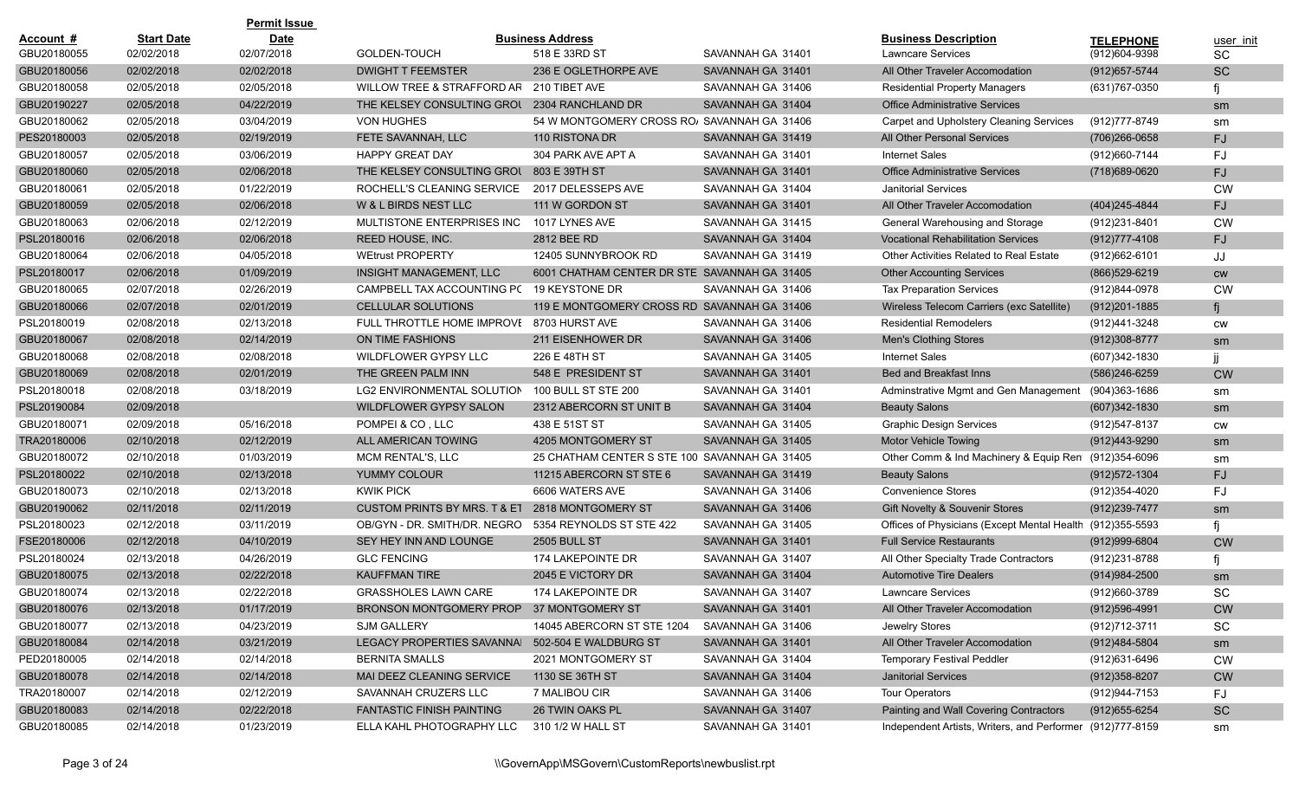|             |                   | <b>Permit Issue</b> |                                                  |                                               |                   |                                                           |                   |           |
|-------------|-------------------|---------------------|--------------------------------------------------|-----------------------------------------------|-------------------|-----------------------------------------------------------|-------------------|-----------|
| Account #   | <b>Start Date</b> | <b>Date</b>         |                                                  | <b>Business Address</b>                       |                   | <b>Business Description</b>                               | <b>TELEPHONE</b>  | user init |
| GBU20180055 | 02/02/2018        | 02/07/2018          | GOLDEN-TOUCH                                     | 518 E 33RD ST                                 | SAVANNAH GA 31401 | Lawncare Services                                         | (912)604-9398     | SC.       |
| GBU20180056 | 02/02/2018        | 02/02/2018          | <b>DWIGHT T FEEMSTER</b>                         | 236 E OGLETHORPE AVE                          | SAVANNAH GA 31401 | All Other Traveler Accomodation                           | (912) 657-5744    | <b>SC</b> |
| GBU20180058 | 02/05/2018        | 02/05/2018          | WILLOW TREE & STRAFFORD AR                       | 210 TIBET AVE                                 | SAVANNAH GA 31406 | <b>Residential Property Managers</b>                      | (631)767-0350     |           |
| GBU20190227 | 02/05/2018        | 04/22/2019          | THE KELSEY CONSULTING GROU                       | 2304 RANCHLAND DR                             | SAVANNAH GA 31404 | <b>Office Administrative Services</b>                     |                   | sm        |
| GBU20180062 | 02/05/2018        | 03/04/2019          | <b>VON HUGHES</b>                                | 54 W MONTGOMERY CROSS ROJ SAVANNAH GA 31406   |                   | Carpet and Upholstery Cleaning Services                   | (912)777-8749     | sm        |
| PES20180003 | 02/05/2018        | 02/19/2019          | FETE SAVANNAH, LLC                               | 110 RISTONA DR                                | SAVANNAH GA 31419 | All Other Personal Services                               | $(706)266 - 0658$ | FJ.       |
| GBU20180057 | 02/05/2018        | 03/06/2019          | <b>HAPPY GREAT DAY</b>                           | 304 PARK AVE APT A                            | SAVANNAH GA 31401 | <b>Internet Sales</b>                                     | (912)660-7144     | FJ        |
| GBU20180060 | 02/05/2018        | 02/06/2018          | THE KELSEY CONSULTING GROUT                      | 803 E 39TH ST                                 | SAVANNAH GA 31401 | <b>Office Administrative Services</b>                     | (718) 689-0620    | FJ        |
| GBU20180061 | 02/05/2018        | 01/22/2019          | ROCHELL'S CLEANING SERVICE                       | 2017 DELESSEPS AVE                            | SAVANNAH GA 31404 | <b>Janitorial Services</b>                                |                   | <b>CW</b> |
| GBU20180059 | 02/05/2018        | 02/06/2018          | W & L BIRDS NEST LLC                             | 111 W GORDON ST                               | SAVANNAH GA 31401 | All Other Traveler Accomodation                           | (404) 245-4844    | FJ        |
| GBU20180063 | 02/06/2018        | 02/12/2019          | MULTISTONE ENTERPRISES INC                       | 1017 LYNES AVE                                | SAVANNAH GA 31415 | General Warehousing and Storage                           | (912)231-8401     | <b>CW</b> |
| PSL20180016 | 02/06/2018        | 02/06/2018          | REED HOUSE, INC.                                 | 2812 BEE RD                                   | SAVANNAH GA 31404 | <b>Vocational Rehabilitation Services</b>                 | $(912)777 - 4108$ | FJ        |
| GBU20180064 | 02/06/2018        | 04/05/2018          | <b>WEtrust PROPERTY</b>                          | 12405 SUNNYBROOK RD                           | SAVANNAH GA 31419 | Other Activities Related to Real Estate                   | (912) 662-6101    | JJ        |
| PSL20180017 | 02/06/2018        | 01/09/2019          | <b>INSIGHT MANAGEMENT, LLC</b>                   | 6001 CHATHAM CENTER DR STE SAVANNAH GA 31405  |                   | <b>Other Accounting Services</b>                          | (866) 529-6219    | cw        |
| GBU20180065 | 02/07/2018        | 02/26/2019          | CAMPBELL TAX ACCOUNTING PC                       | 19 KEYSTONE DR                                | SAVANNAH GA 31406 | <b>Tax Preparation Services</b>                           | (912)844-0978     | <b>CW</b> |
| GBU20180066 | 02/07/2018        | 02/01/2019          | <b>CELLULAR SOLUTIONS</b>                        | 119 E MONTGOMERY CROSS RD SAVANNAH GA 31406   |                   | Wireless Telecom Carriers (exc Satellite)                 | $(912)201 - 1885$ |           |
| PSL20180019 | 02/08/2018        | 02/13/2018          | FULL THROTTLE HOME IMPROVE 8703 HURST AVE        |                                               | SAVANNAH GA 31406 | <b>Residential Remodelers</b>                             | (912)441-3248     | CW        |
| GBU20180067 | 02/08/2018        | 02/14/2019          | ON TIME FASHIONS                                 | 211 EISENHOWER DR                             | SAVANNAH GA 31406 | <b>Men's Clothing Stores</b>                              | $(912)308 - 8777$ | sm        |
| GBU20180068 | 02/08/2018        | 02/08/2018          | WILDFLOWER GYPSY LLC                             | 226 E 48TH ST                                 | SAVANNAH GA 31405 | <b>Internet Sales</b>                                     | (607)342-1830     |           |
| GBU20180069 | 02/08/2018        | 02/01/2019          | THE GREEN PALM INN                               | 548 E PRESIDENT ST                            | SAVANNAH GA 31401 | <b>Bed and Breakfast Inns</b>                             | (586)246-6259     | <b>CW</b> |
| PSL20180018 | 02/08/2018        | 03/18/2019          | LG2 ENVIRONMENTAL SOLUTION                       | 100 BULL ST STE 200                           | SAVANNAH GA 31401 | Adminstrative Mgmt and Gen Management (904)363-1686       |                   | sm        |
| PSL20190084 | 02/09/2018        |                     | WILDFLOWER GYPSY SALON                           | 2312 ABERCORN ST UNIT B                       | SAVANNAH GA 31404 | <b>Beauty Salons</b>                                      | (607)342-1830     | sm        |
| GBU20180071 | 02/09/2018        | 05/16/2018          | POMPEI & CO, LLC                                 | 438 E 51ST ST                                 | SAVANNAH GA 31405 | <b>Graphic Design Services</b>                            | (912) 547-8137    | <b>CW</b> |
| TRA20180006 | 02/10/2018        | 02/12/2019          | ALL AMERICAN TOWING                              | 4205 MONTGOMERY ST                            | SAVANNAH GA 31405 | <b>Motor Vehicle Towing</b>                               | (912)443-9290     | sm        |
| GBU20180072 | 02/10/2018        | 01/03/2019          | MCM RENTAL'S, LLC                                | 25 CHATHAM CENTER S STE 100 SAVANNAH GA 31405 |                   | Other Comm & Ind Machinery & Equip Ren (912)354-6096      |                   | sm        |
| PSL20180022 | 02/10/2018        | 02/13/2018          | YUMMY COLOUR                                     | 11215 ABERCORN ST STE 6                       | SAVANNAH GA 31419 | <b>Beauty Salons</b>                                      | (912) 572-1304    | FJ.       |
| GBU20180073 | 02/10/2018        | 02/13/2018          | <b>KWIK PICK</b>                                 | 6606 WATERS AVE                               | SAVANNAH GA 31406 | <b>Convenience Stores</b>                                 | (912)354-4020     | FJ        |
| GBU20190062 | 02/11/2018        | 02/11/2019          | <b>CUSTOM PRINTS BY MRS. T &amp; ET</b>          | 2818 MONTGOMERY ST                            | SAVANNAH GA 31406 | Gift Novelty & Souvenir Stores                            | (912) 239-7477    | sm        |
| PSL20180023 | 02/12/2018        | 03/11/2019          | OB/GYN - DR. SMITH/DR. NEGRO                     | 5354 REYNOLDS ST STE 422                      | SAVANNAH GA 31405 | Offices of Physicians (Except Mental Health (912)355-5593 |                   |           |
| FSE20180006 | 02/12/2018        | 04/10/2019          | SEY HEY INN AND LOUNGE                           | <b>2505 BULL ST</b>                           | SAVANNAH GA 31401 | <b>Full Service Restaurants</b>                           | (912) 999-6804    | <b>CW</b> |
| PSL20180024 | 02/13/2018        | 04/26/2019          | <b>GLC FENCING</b>                               | 174 LAKEPOINTE DR                             | SAVANNAH GA 31407 | All Other Specialty Trade Contractors                     | (912)231-8788     |           |
| GBU20180075 | 02/13/2018        | 02/22/2018          | <b>KAUFFMAN TIRE</b>                             | 2045 E VICTORY DR                             | SAVANNAH GA 31404 | <b>Automotive Tire Dealers</b>                            | $(914)984 - 2500$ | sm        |
| GBU20180074 | 02/13/2018        | 02/22/2018          | GRASSHOLES LAWN CARE                             | 174 LAKEPOINTE DR                             | SAVANNAH GA 31407 | Lawncare Services                                         | (912)660-3789     | SC        |
| GBU20180076 | 02/13/2018        | 01/17/2019          | BRONSON MONTGOMERY PROP 37 MONTGOMERY ST         |                                               | SAVANNAH GA 31401 | All Other Traveler Accomodation                           | (912)596-4991     | <b>CW</b> |
| GBU20180077 | 02/13/2018        | 04/23/2019          | SJM GALLERY                                      | 14045 ABERCORN ST STE 1204                    | SAVANNAH GA 31406 | Jewelry Stores                                            | (912)712-3711     | SC        |
| GBU20180084 | 02/14/2018        | 03/21/2019          | LEGACY PROPERTIES SAVANNAI 502-504 E WALDBURG ST |                                               | SAVANNAH GA 31401 | All Other Traveler Accomodation                           | (912)484-5804     | sm        |
| PED20180005 | 02/14/2018        | 02/14/2018          | <b>BERNITA SMALLS</b>                            | 2021 MONTGOMERY ST                            | SAVANNAH GA 31404 | <b>Temporary Festival Peddler</b>                         | (912)631-6496     | <b>CW</b> |
| GBU20180078 | 02/14/2018        | 02/14/2018          | MAI DEEZ CLEANING SERVICE                        | 1130 SE 36TH ST                               | SAVANNAH GA 31404 | <b>Janitorial Services</b>                                | $(912)358 - 8207$ | <b>CW</b> |
| TRA20180007 | 02/14/2018        | 02/12/2019          | SAVANNAH CRUZERS LLC                             | 7 MALIBOU CIR                                 | SAVANNAH GA 31406 | <b>Tour Operators</b>                                     | (912)944-7153     | FJ        |
| GBU20180083 | 02/14/2018        | 02/22/2018          | <b>FANTASTIC FINISH PAINTING</b>                 | 26 TWIN OAKS PL                               | SAVANNAH GA 31407 | Painting and Wall Covering Contractors                    | $(912)655 - 6254$ | <b>SC</b> |
| GBU20180085 | 02/14/2018        | 01/23/2019          | ELLA KAHL PHOTOGRAPHY LLC                        | 310 1/2 W HALL ST                             | SAVANNAH GA 31401 | Independent Artists, Writers, and Performer (912)777-8159 |                   | sm        |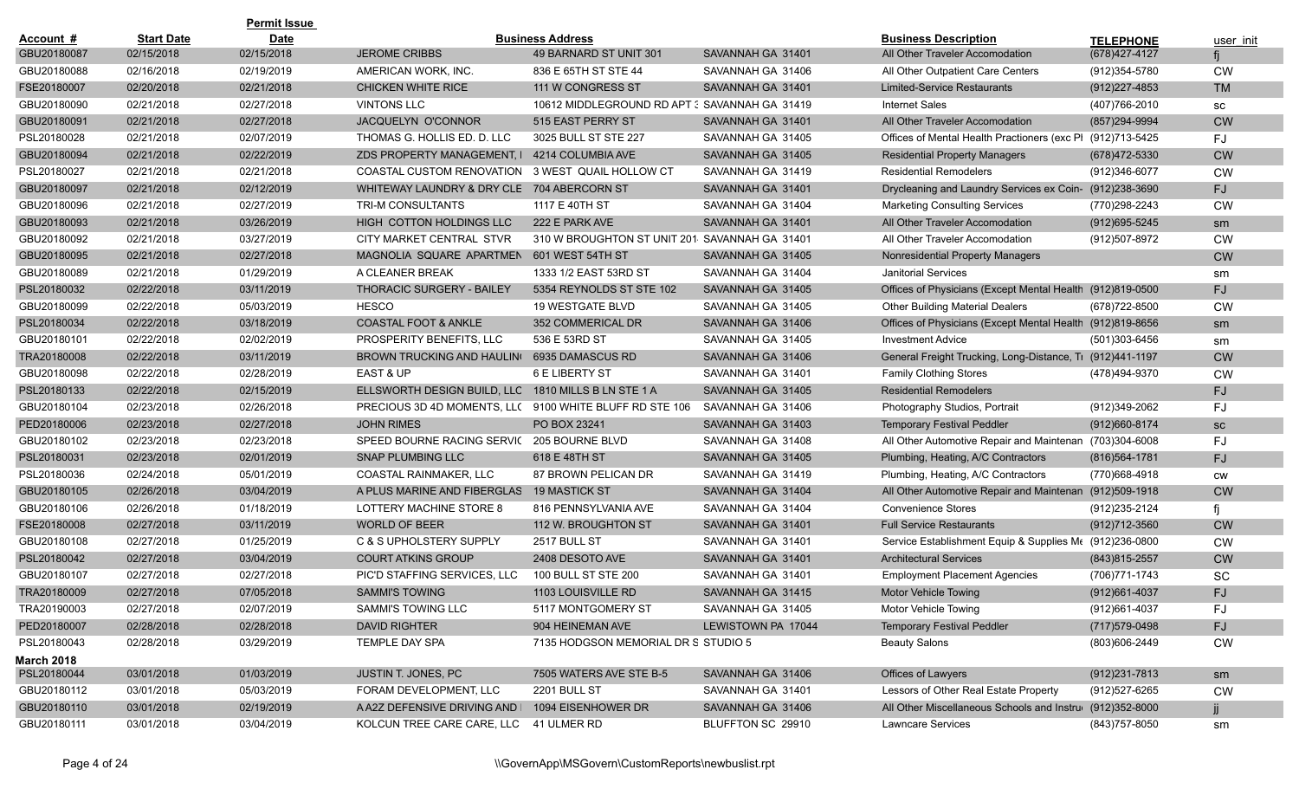|                   |                   | <b>Permit Issue</b> |                                            |                                               |                    |                                                            |                   |           |
|-------------------|-------------------|---------------------|--------------------------------------------|-----------------------------------------------|--------------------|------------------------------------------------------------|-------------------|-----------|
| Account #         | <b>Start Date</b> | <b>Date</b>         |                                            | <b>Business Address</b>                       |                    | <b>Business Description</b>                                | <b>TELEPHONE</b>  | user init |
| GBU20180087       | 02/15/2018        | 02/15/2018          | <b>JEROME CRIBBS</b>                       | 49 BARNARD ST UNIT 301                        | SAVANNAH GA 31401  | All Other Traveler Accomodation                            | (678) 427-4127    |           |
| GBU20180088       | 02/16/2018        | 02/19/2019          | AMERICAN WORK, INC.                        | 836 E 65TH ST STE 44                          | SAVANNAH GA 31406  | All Other Outpatient Care Centers                          | (912) 354-5780    | <b>CW</b> |
| FSE20180007       | 02/20/2018        | 02/21/2018          | <b>CHICKEN WHITE RICE</b>                  | 111 W CONGRESS ST                             | SAVANNAH GA 31401  | <b>Limited-Service Restaurants</b>                         | (912) 227-4853    | <b>TM</b> |
| GBU20180090       | 02/21/2018        | 02/27/2018          | <b>VINTONS LLC</b>                         | 10612 MIDDLEGROUND RD APT 3 SAVANNAH GA 31419 |                    | <b>Internet Sales</b>                                      | (407)766-2010     | SC        |
| GBU20180091       | 02/21/2018        | 02/27/2018          | JACQUELYN O'CONNOR                         | 515 EAST PERRY ST                             | SAVANNAH GA 31401  | All Other Traveler Accomodation                            | (857) 294-9994    | <b>CW</b> |
| PSL20180028       | 02/21/2018        | 02/07/2019          | THOMAS G. HOLLIS ED. D. LLC                | 3025 BULL ST STE 227                          | SAVANNAH GA 31405  | Offices of Mental Health Practioners (exc Pl (912)713-5425 |                   | FJ        |
| GBU20180094       | 02/21/2018        | 02/22/2019          | ZDS PROPERTY MANAGEMENT. I                 | 4214 COLUMBIA AVE                             | SAVANNAH GA 31405  | <b>Residential Property Managers</b>                       | (678)472-5330     | <b>CW</b> |
| PSL20180027       | 02/21/2018        | 02/21/2018          | <b>COASTAL CUSTOM RENOVATION</b>           | 3 WEST QUAIL HOLLOW CT                        | SAVANNAH GA 31419  | <b>Residential Remodelers</b>                              | (912)346-6077     | <b>CW</b> |
| GBU20180097       | 02/21/2018        | 02/12/2019          | WHITEWAY LAUNDRY & DRY CLE 704 ABERCORN ST |                                               | SAVANNAH GA 31401  | Drycleaning and Laundry Services ex Coin- (912)238-3690    |                   | FJ        |
| GBU20180096       | 02/21/2018        | 02/27/2019          | TRI-M CONSULTANTS                          | 1117 E 40TH ST                                | SAVANNAH GA 31404  | <b>Marketing Consulting Services</b>                       | (770)298-2243     | <b>CW</b> |
| GBU20180093       | 02/21/2018        | 03/26/2019          | HIGH COTTON HOLDINGS LLC                   | 222 E PARK AVE                                | SAVANNAH GA 31401  | All Other Traveler Accomodation                            | $(912)695 - 5245$ | sm        |
| GBU20180092       | 02/21/2018        | 03/27/2019          | CITY MARKET CENTRAL STVR                   | 310 W BROUGHTON ST UNIT 201                   | SAVANNAH GA 31401  | All Other Traveler Accomodation                            | (912)507-8972     | <b>CW</b> |
| GBU20180095       | 02/21/2018        | 02/27/2018          | MAGNOLIA SQUARE APARTMEN                   | 601 WEST 54TH ST                              | SAVANNAH GA 31405  | Nonresidential Property Managers                           |                   | <b>CW</b> |
| GBU20180089       | 02/21/2018        | 01/29/2019          | A CLEANER BREAK                            | 1333 1/2 EAST 53RD ST                         | SAVANNAH GA 31404  | <b>Janitorial Services</b>                                 |                   | sm        |
| PSL20180032       | 02/22/2018        | 03/11/2019          | <b>THORACIC SURGERY - BAILEY</b>           | 5354 REYNOLDS ST STE 102                      | SAVANNAH GA 31405  | Offices of Physicians (Except Mental Health (912)819-0500  |                   | FJ.       |
| GBU20180099       | 02/22/2018        | 05/03/2019          | <b>HESCO</b>                               | 19 WESTGATE BLVD                              | SAVANNAH GA 31405  | <b>Other Building Material Dealers</b>                     | (678) 722-8500    | <b>CW</b> |
| PSL20180034       | 02/22/2018        | 03/18/2019          | <b>COASTAL FOOT &amp; ANKLE</b>            | 352 COMMERICAL DR                             | SAVANNAH GA 31406  | Offices of Physicians (Except Mental Health (912)819-8656  |                   | sm        |
| GBU20180101       | 02/22/2018        | 02/02/2019          | PROSPERITY BENEFITS, LLC                   | 536 E 53RD ST                                 | SAVANNAH GA 31405  | <b>Investment Advice</b>                                   | (501)303-6456     | sm        |
| TRA20180008       | 02/22/2018        | 03/11/2019          | <b>BROWN TRUCKING AND HAULING</b>          | 6935 DAMASCUS RD                              | SAVANNAH GA 31406  | General Freight Trucking, Long-Distance, Ti (912)441-1197  |                   | <b>CW</b> |
| GBU20180098       | 02/22/2018        | 02/28/2019          | <b>EAST &amp; UP</b>                       | 6 E LIBERTY ST                                | SAVANNAH GA 31401  | <b>Family Clothing Stores</b>                              | (478)494-9370     | <b>CW</b> |
| PSL20180133       | 02/22/2018        | 02/15/2019          | ELLSWORTH DESIGN BUILD, LLC                | 1810 MILLS B LN STE 1 A                       | SAVANNAH GA 31405  | <b>Residential Remodelers</b>                              |                   | FJ        |
| GBU20180104       | 02/23/2018        | 02/26/2018          | PRECIOUS 3D 4D MOMENTS, LLC                | 9100 WHITE BLUFF RD STE 106                   | SAVANNAH GA 31406  | Photography Studios, Portrait                              | (912)349-2062     | FJ        |
| PED20180006       | 02/23/2018        | 02/27/2018          | <b>JOHN RIMES</b>                          | PO BOX 23241                                  | SAVANNAH GA 31403  | <b>Temporary Festival Peddler</b>                          | (912)660-8174     | SC        |
| GBU20180102       | 02/23/2018        | 02/23/2018          | SPEED BOURNE RACING SERVIC                 | 205 BOURNE BLVD                               | SAVANNAH GA 31408  | All Other Automotive Repair and Maintenan                  | (703)304-6008     | FJ        |
| PSL20180031       | 02/23/2018        | 02/01/2019          | <b>SNAP PLUMBING LLC</b>                   | 618 E 48TH ST                                 | SAVANNAH GA 31405  | Plumbing, Heating, A/C Contractors                         | (816) 564 - 1781  | FJ        |
| PSL20180036       | 02/24/2018        | 05/01/2019          | COASTAL RAINMAKER, LLC                     | 87 BROWN PELICAN DR                           | SAVANNAH GA 31419  | Plumbing, Heating, A/C Contractors                         | (770)668-4918     | <b>CW</b> |
| GBU20180105       | 02/26/2018        | 03/04/2019          | A PLUS MARINE AND FIBERGLAS                | <b>19 MASTICK ST</b>                          | SAVANNAH GA 31404  | All Other Automotive Repair and Maintenan                  | (912)509-1918     | <b>CW</b> |
| GBU20180106       | 02/26/2018        | 01/18/2019          | LOTTERY MACHINE STORE 8                    | 816 PENNSYLVANIA AVE                          | SAVANNAH GA 31404  | <b>Convenience Stores</b>                                  | (912)235-2124     |           |
| FSE20180008       | 02/27/2018        | 03/11/2019          | <b>WORLD OF BEER</b>                       | 112 W. BROUGHTON ST                           | SAVANNAH GA 31401  | <b>Full Service Restaurants</b>                            | (912)712-3560     | <b>CW</b> |
| GBU20180108       | 02/27/2018        | 01/25/2019          | C & S UPHOLSTERY SUPPLY                    | 2517 BULL ST                                  | SAVANNAH GA 31401  | Service Establishment Equip & Supplies Me (912)236-0800    |                   | <b>CW</b> |
| PSL20180042       | 02/27/2018        | 03/04/2019          | <b>COURT ATKINS GROUP</b>                  | 2408 DESOTO AVE                               | SAVANNAH GA 31401  | <b>Architectural Services</b>                              | $(843)815 - 2557$ | <b>CW</b> |
| GBU20180107       | 02/27/2018        | 02/27/2018          | PIC'D STAFFING SERVICES, LLC               | 100 BULL ST STE 200                           | SAVANNAH GA 31401  | <b>Employment Placement Agencies</b>                       | (706) 771-1743    | SC        |
| TRA20180009       | 02/27/2018        | 07/05/2018          | <b>SAMMI'S TOWING</b>                      | 1103 LOUISVILLE RD                            | SAVANNAH GA 31415  | <b>Motor Vehicle Towing</b>                                | (912)661-4037     | FJ        |
| TRA20190003       | 02/27/2018        | 02/07/2019          | SAMMI'S TOWING LLC                         | 5117 MONTGOMERY ST                            | SAVANNAH GA 31405  | Motor Vehicle Towing                                       | (912)661-4037     | FJ        |
| PED20180007       | 02/28/2018        | 02/28/2018          | <b>DAVID RIGHTER</b>                       | 904 HEINEMAN AVE                              | LEWISTOWN PA 17044 | <b>Temporary Festival Peddler</b>                          | (717) 579-0498    | FJ        |
| PSL20180043       | 02/28/2018        | 03/29/2019          | TEMPLE DAY SPA                             | 7135 HODGSON MEMORIAL DR S STUDIO 5           |                    | <b>Beauty Salons</b>                                       | (803)606-2449     | CW        |
| <b>March 2018</b> |                   |                     |                                            |                                               |                    |                                                            |                   |           |
| PSL20180044       | 03/01/2018        | 01/03/2019          | JUSTIN T. JONES, PC                        | 7505 WATERS AVE STE B-5                       | SAVANNAH GA 31406  | Offices of Lawyers                                         | $(912)231 - 7813$ | sm        |
| GBU20180112       | 03/01/2018        | 05/03/2019          | FORAM DEVELOPMENT, LLC                     | 2201 BULL ST                                  | SAVANNAH GA 31401  | Lessors of Other Real Estate Property                      | (912)527-6265     | CW        |
| GBU20180110       | 03/01/2018        | 02/19/2019          | A A2Z DEFENSIVE DRIVING AND I              | 1094 EISENHOWER DR                            | SAVANNAH GA 31406  | All Other Miscellaneous Schools and Instrue (912)352-8000  |                   | ij.       |
| GBU20180111       | 03/01/2018        | 03/04/2019          | KOLCUN TREE CARE CARE, LLC 41 ULMER RD     |                                               | BLUFFTON SC 29910  | Lawncare Services                                          | (843) 757-8050    | sm        |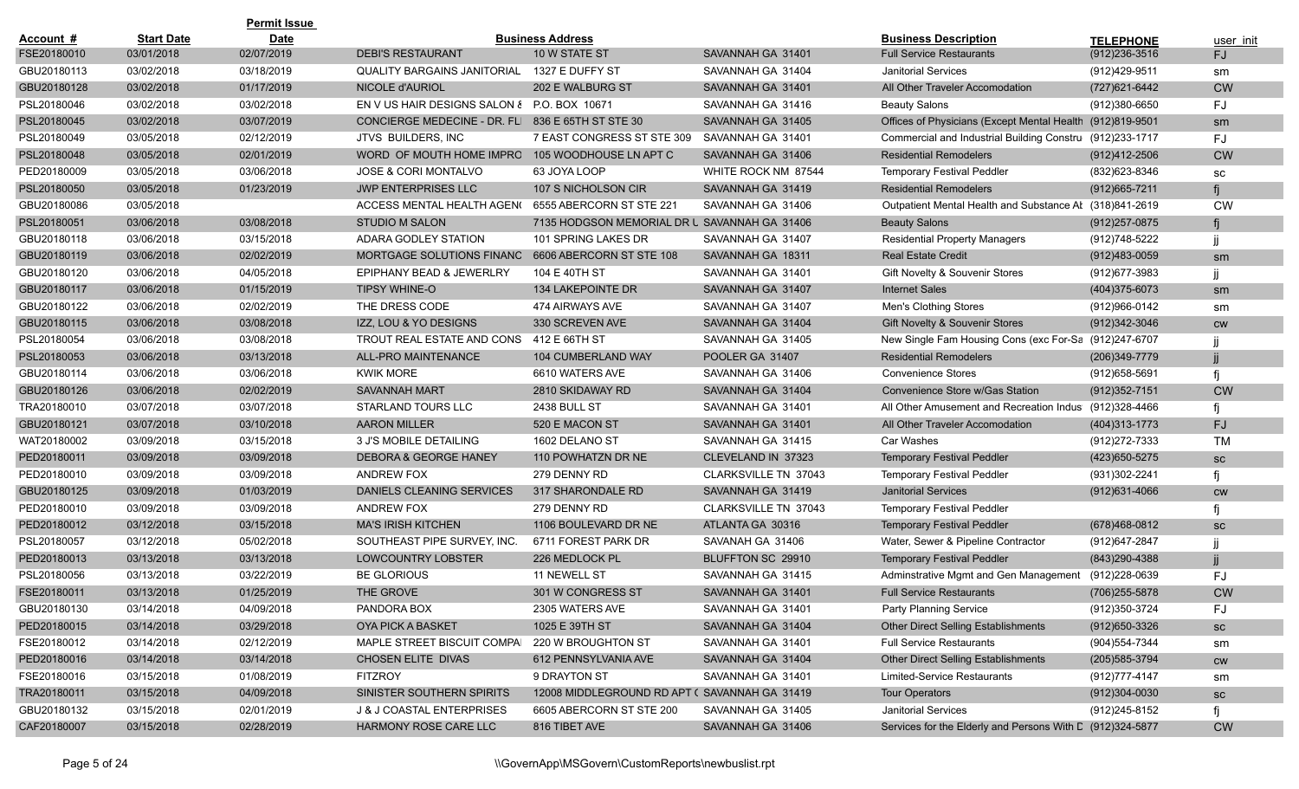|             |                   | <b>Permit Issue</b> |                                                   |                                              |                             |                                                           |                   |           |
|-------------|-------------------|---------------------|---------------------------------------------------|----------------------------------------------|-----------------------------|-----------------------------------------------------------|-------------------|-----------|
| Account #   | <b>Start Date</b> | <b>Date</b>         |                                                   | <b>Business Address</b>                      |                             | <b>Business Description</b>                               | <b>TELEPHONE</b>  | user init |
| FSE20180010 | 03/01/2018        | 02/07/2019          | <b>DEBI'S RESTAURANT</b>                          | 10 W STATE ST                                | SAVANNAH GA 31401           | <b>Full Service Restaurants</b>                           | $(912)236 - 3516$ | FJ        |
| GBU20180113 | 03/02/2018        | 03/18/2019          | <b>QUALITY BARGAINS JANITORIAL</b>                | 1327 E DUFFY ST                              | SAVANNAH GA 31404           | <b>Janitorial Services</b>                                | (912)429-9511     | sm        |
| GBU20180128 | 03/02/2018        | 01/17/2019          | NICOLE d'AURIOL                                   | 202 E WALBURG ST                             | SAVANNAH GA 31401           | All Other Traveler Accomodation                           | (727) 621-6442    | <b>CW</b> |
| PSL20180046 | 03/02/2018        | 03/02/2018          | EN V US HAIR DESIGNS SALON & P.O. BOX 10671       |                                              | SAVANNAH GA 31416           | <b>Beauty Salons</b>                                      | (912)380-6650     | FJ        |
| PSL20180045 | 03/02/2018        | 03/07/2019          | CONCIERGE MEDECINE - DR. FLI 836 E 65TH ST STE 30 |                                              | SAVANNAH GA 31405           | Offices of Physicians (Except Mental Health (912)819-9501 |                   | sm        |
| PSL20180049 | 03/05/2018        | 02/12/2019          | <b>JTVS BUILDERS, INC</b>                         | 7 EAST CONGRESS ST STE 309                   | SAVANNAH GA 31401           | Commercial and Industrial Building Constru (912)233-1717  |                   | FJ        |
| PSL20180048 | 03/05/2018        | 02/01/2019          | WORD OF MOUTH HOME IMPRO                          | 105 WOODHOUSE LN APT C                       | SAVANNAH GA 31406           | <b>Residential Remodelers</b>                             | (912)412-2506     | <b>CW</b> |
| PED20180009 | 03/05/2018        | 03/06/2018          | <b>JOSE &amp; CORI MONTALVO</b>                   | 63 JOYA LOOP                                 | WHITE ROCK NM 87544         | <b>Temporary Festival Peddler</b>                         | (832) 623-8346    | SC        |
| PSL20180050 | 03/05/2018        | 01/23/2019          | <b>JWP ENTERPRISES LLC</b>                        | 107 S NICHOLSON CIR                          | SAVANNAH GA 31419           | <b>Residential Remodelers</b>                             | $(912)665 - 7211$ |           |
| GBU20180086 | 03/05/2018        |                     | ACCESS MENTAL HEALTH AGEN(                        | 6555 ABERCORN ST STE 221                     | SAVANNAH GA 31406           | Outpatient Mental Health and Substance Al (318)841-2619   |                   | <b>CW</b> |
| PSL20180051 | 03/06/2018        | 03/08/2018          | <b>STUDIO M SALON</b>                             | 7135 HODGSON MEMORIAL DR U SAVANNAH GA 31406 |                             | <b>Beauty Salons</b>                                      | $(912)257 - 0875$ | fi        |
| GBU20180118 | 03/06/2018        | 03/15/2018          | ADARA GODLEY STATION                              | 101 SPRING LAKES DR                          | SAVANNAH GA 31407           | <b>Residential Property Managers</b>                      | (912)748-5222     |           |
| GBU20180119 | 03/06/2018        | 02/02/2019          | MORTGAGE SOLUTIONS FINANC                         | 6606 ABERCORN ST STE 108                     | SAVANNAH GA 18311           | <b>Real Estate Credit</b>                                 | $(912)483 - 0059$ | sm        |
| GBU20180120 | 03/06/2018        | 04/05/2018          | EPIPHANY BEAD & JEWERLRY                          | 104 E 40TH ST                                | SAVANNAH GA 31401           | <b>Gift Novelty &amp; Souvenir Stores</b>                 | (912) 677-3983    |           |
| GBU20180117 | 03/06/2018        | 01/15/2019          | <b>TIPSY WHINE-O</b>                              | 134 LAKEPOINTE DR                            | SAVANNAH GA 31407           | <b>Internet Sales</b>                                     | (404) 375-6073    | sm        |
| GBU20180122 | 03/06/2018        | 02/02/2019          | THE DRESS CODE                                    | 474 AIRWAYS AVE                              | SAVANNAH GA 31407           | Men's Clothing Stores                                     | (912) 966-0142    | sm        |
| GBU20180115 | 03/06/2018        | 03/08/2018          | IZZ, LOU & YO DESIGNS                             | 330 SCREVEN AVE                              | SAVANNAH GA 31404           | Gift Novelty & Souvenir Stores                            | (912) 342-3046    | <b>CW</b> |
| PSL20180054 | 03/06/2018        | 03/08/2018          | TROUT REAL ESTATE AND CONS                        | 412 E 66TH ST                                | SAVANNAH GA 31405           | New Single Fam Housing Cons (exc For-Sa (912)247-6707     |                   |           |
| PSL20180053 | 03/06/2018        | 03/13/2018          | ALL-PRO MAINTENANCE                               | <b>104 CUMBERLAND WAY</b>                    | POOLER GA 31407             | <b>Residential Remodelers</b>                             | (206)349-7779     |           |
| GBU20180114 | 03/06/2018        | 03/06/2018          | <b>KWIK MORE</b>                                  | 6610 WATERS AVE                              | SAVANNAH GA 31406           | <b>Convenience Stores</b>                                 | (912) 658-5691    | fi        |
| GBU20180126 | 03/06/2018        | 02/02/2019          | <b>SAVANNAH MART</b>                              | 2810 SKIDAWAY RD                             | SAVANNAH GA 31404           | Convenience Store w/Gas Station                           | $(912)352 - 7151$ | <b>CW</b> |
| TRA20180010 | 03/07/2018        | 03/07/2018          | STARLAND TOURS LLC                                | <b>2438 BULL ST</b>                          | SAVANNAH GA 31401           | All Other Amusement and Recreation Indus (912)328-4466    |                   |           |
| GBU20180121 | 03/07/2018        | 03/10/2018          | <b>AARON MILLER</b>                               | 520 E MACON ST                               | SAVANNAH GA 31401           | All Other Traveler Accomodation                           | (404) 313-1773    | FJ        |
| WAT20180002 | 03/09/2018        | 03/15/2018          | 3 J'S MOBILE DETAILING                            | 1602 DELANO ST                               | SAVANNAH GA 31415           | <b>Car Washes</b>                                         | (912) 272-7333    | <b>TM</b> |
| PED20180011 | 03/09/2018        | 03/09/2018          | <b>DEBORA &amp; GEORGE HANEY</b>                  | 110 POWHATZN DR NE                           | CLEVELAND IN 37323          | <b>Temporary Festival Peddler</b>                         | (423) 650-5275    | SC        |
| PED20180010 | 03/09/2018        | 03/09/2018          | <b>ANDREW FOX</b>                                 | 279 DENNY RD                                 | CLARKSVILLE TN 37043        | <b>Temporary Festival Peddler</b>                         | (931) 302-2241    |           |
| GBU20180125 | 03/09/2018        | 01/03/2019          | DANIELS CLEANING SERVICES                         | 317 SHARONDALE RD                            | SAVANNAH GA 31419           | <b>Janitorial Services</b>                                | $(912)631 - 4066$ | <b>CW</b> |
| PED20180010 | 03/09/2018        | 03/09/2018          | <b>ANDREW FOX</b>                                 | 279 DENNY RD                                 | <b>CLARKSVILLE TN 37043</b> | <b>Temporary Festival Peddler</b>                         |                   |           |
| PED20180012 | 03/12/2018        | 03/15/2018          | <b>MA'S IRISH KITCHEN</b>                         | 1106 BOULEVARD DR NE                         | ATLANTA GA 30316            | <b>Temporary Festival Peddler</b>                         | (678)468-0812     | SC        |
| PSL20180057 | 03/12/2018        | 05/02/2018          | SOUTHEAST PIPE SURVEY, INC.                       | 6711 FOREST PARK DR                          | SAVANAH GA 31406            | Water, Sewer & Pipeline Contractor                        | (912) 647-2847    |           |
| PED20180013 | 03/13/2018        | 03/13/2018          | LOWCOUNTRY LOBSTER                                | 226 MEDLOCK PL                               | BLUFFTON SC 29910           | <b>Temporary Festival Peddler</b>                         | (843) 290-4388    |           |
| PSL20180056 | 03/13/2018        | 03/22/2019          | <b>BE GLORIOUS</b>                                | <b>11 NEWELL ST</b>                          | SAVANNAH GA 31415           | Adminstrative Mgmt and Gen Management                     | (912)228-0639     | FJ        |
| FSE20180011 | 03/13/2018        | 01/25/2019          | THE GROVE                                         | 301 W CONGRESS ST                            | SAVANNAH GA 31401           | <b>Full Service Restaurants</b>                           | (706)255-5878     | <b>CW</b> |
| GBU20180130 | 03/14/2018        | 04/09/2018          | PANDORA BOX                                       | 2305 WATERS AVE                              | SAVANNAH GA 31401           | Party Planning Service                                    | (912) 350-3724    | FJ        |
| PED20180015 | 03/14/2018        | 03/29/2018          | <b>OYA PICK A BASKET</b>                          | 1025 E 39TH ST                               | SAVANNAH GA 31404           | Other Direct Selling Establishments                       | (912) 650-3326    | SC        |
| FSE20180012 | 03/14/2018        | 02/12/2019          | MAPLE STREET BISCUIT COMPAI                       | 220 W BROUGHTON ST                           | SAVANNAH GA 31401           | <b>Full Service Restaurants</b>                           | (904) 554-7344    | sm        |
| PED20180016 | 03/14/2018        | 03/14/2018          | CHOSEN ELITE DIVAS                                | 612 PENNSYLVANIA AVE                         | SAVANNAH GA 31404           | Other Direct Selling Establishments                       | (205) 585-3794    | <b>CW</b> |
| FSE20180016 | 03/15/2018        | 01/08/2019          | <b>FITZROY</b>                                    | 9 DRAYTON ST                                 | SAVANNAH GA 31401           | Limited-Service Restaurants                               | (912) 777-4147    | sm        |
| TRA20180011 | 03/15/2018        | 04/09/2018          | SINISTER SOUTHERN SPIRITS                         | 12008 MIDDLEGROUND RD APT (SAVANNAH GA 31419 |                             | <b>Tour Operators</b>                                     | $(912)304 - 0030$ | SC        |
| GBU20180132 | 03/15/2018        | 02/01/2019          | J & J COASTAL ENTERPRISES                         | 6605 ABERCORN ST STE 200                     | SAVANNAH GA 31405           | Janitorial Services                                       | (912)245-8152     |           |
| CAF20180007 | 03/15/2018        | 02/28/2019          | HARMONY ROSE CARE LLC                             | 816 TIBET AVE                                | SAVANNAH GA 31406           | Services for the Elderly and Persons With C (912)324-5877 |                   | <b>CW</b> |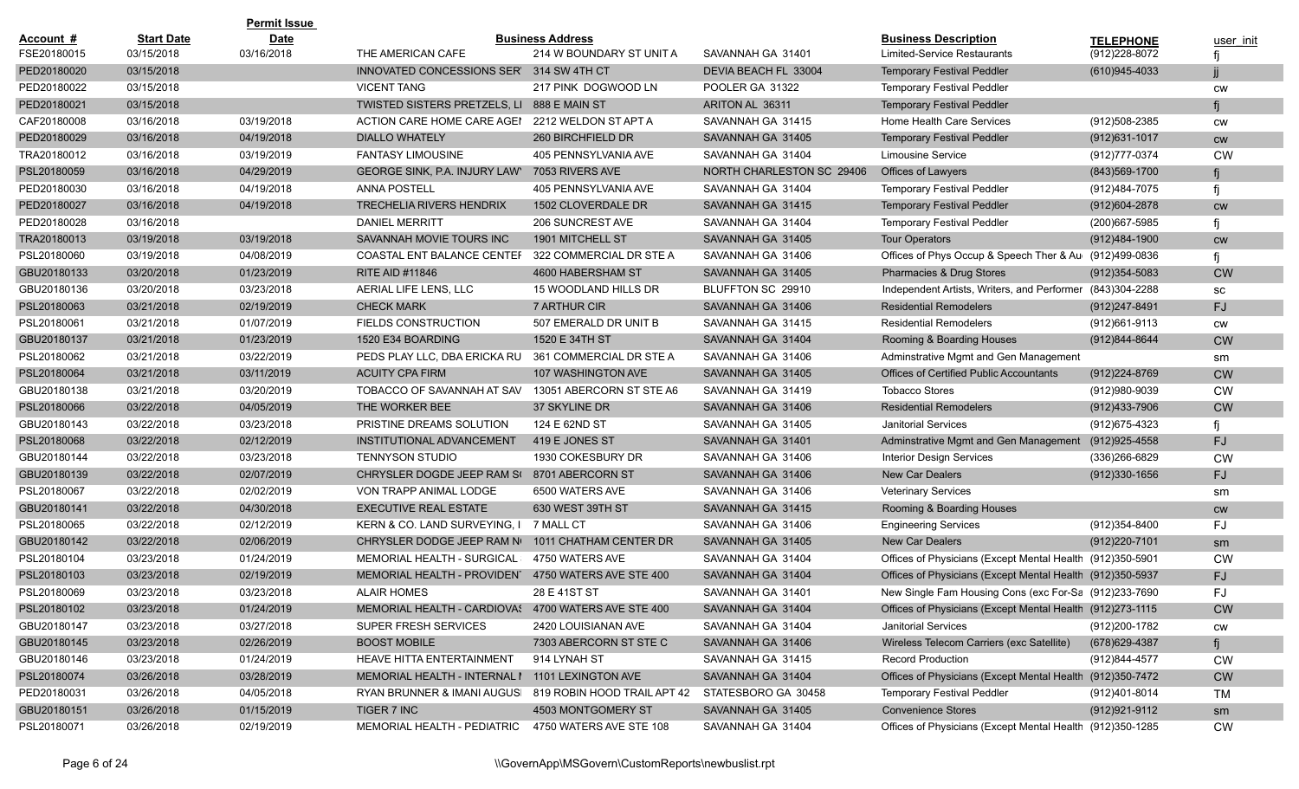|             |                   | <b>Permit Issue</b> |                                                         |                          |                           |                                                           |                   |           |
|-------------|-------------------|---------------------|---------------------------------------------------------|--------------------------|---------------------------|-----------------------------------------------------------|-------------------|-----------|
| Account #   | <b>Start Date</b> | <b>Date</b>         |                                                         | <b>Business Address</b>  |                           | <b>Business Description</b>                               | <b>TELEPHONE</b>  | user init |
| FSE20180015 | 03/15/2018        | 03/16/2018          | THE AMERICAN CAFE                                       | 214 W BOUNDARY ST UNIT A | SAVANNAH GA 31401         | Limited-Service Restaurants                               | (912) 228-8072    |           |
| PED20180020 | 03/15/2018        |                     | INNOVATED CONCESSIONS SER'                              | 314 SW 4TH CT            | DEVIA BEACH FL 33004      | <b>Temporary Festival Peddler</b>                         | (610)945-4033     |           |
| PED20180022 | 03/15/2018        |                     | <b>VICENT TANG</b>                                      | 217 PINK DOGWOOD LN      | POOLER GA 31322           | <b>Temporary Festival Peddler</b>                         |                   | <b>CW</b> |
| PED20180021 | 03/15/2018        |                     | TWISTED SISTERS PRETZELS, LI 888 E MAIN ST              |                          | ARITON AL 36311           | <b>Temporary Festival Peddler</b>                         |                   |           |
| CAF20180008 | 03/16/2018        | 03/19/2018          | ACTION CARE HOME CARE AGEN                              | 2212 WELDON ST APT A     | SAVANNAH GA 31415         | Home Health Care Services                                 | (912)508-2385     | <b>CW</b> |
| PED20180029 | 03/16/2018        | 04/19/2018          | <b>DIALLO WHATELY</b>                                   | 260 BIRCHFIELD DR        | SAVANNAH GA 31405         | <b>Temporary Festival Peddler</b>                         | $(912)631 - 1017$ | <b>CW</b> |
| TRA20180012 | 03/16/2018        | 03/19/2019          | <b>FANTASY LIMOUSINE</b>                                | 405 PENNSYLVANIA AVE     | SAVANNAH GA 31404         | <b>Limousine Service</b>                                  | (912) 777-0374    | <b>CW</b> |
| PSL20180059 | 03/16/2018        | 04/29/2019          | GEORGE SINK, P.A. INJURY LAW                            | 7053 RIVERS AVE          | NORTH CHARLESTON SC 29406 | <b>Offices of Lawyers</b>                                 | (843)569-1700     |           |
| PED20180030 | 03/16/2018        | 04/19/2018          | <b>ANNA POSTELL</b>                                     | 405 PENNSYLVANIA AVE     | SAVANNAH GA 31404         | <b>Temporary Festival Peddler</b>                         | (912)484-7075     | fi        |
| PED20180027 | 03/16/2018        | 04/19/2018          | <b>TRECHELIA RIVERS HENDRIX</b>                         | 1502 CLOVERDALE DR       | SAVANNAH GA 31415         | <b>Temporary Festival Peddler</b>                         | (912)604-2878     | <b>CW</b> |
| PED20180028 | 03/16/2018        |                     | <b>DANIEL MERRITT</b>                                   | 206 SUNCREST AVE         | SAVANNAH GA 31404         | <b>Temporary Festival Peddler</b>                         | (200)667-5985     |           |
| TRA20180013 | 03/19/2018        | 03/19/2018          | SAVANNAH MOVIE TOURS INC                                | 1901 MITCHELL ST         | SAVANNAH GA 31405         | <b>Tour Operators</b>                                     | (912)484-1900     | cw        |
| PSL20180060 | 03/19/2018        | 04/08/2019          | COASTAL ENT BALANCE CENTEF                              | 322 COMMERCIAL DR STE A  | SAVANNAH GA 31406         | Offices of Phys Occup & Speech Ther & Au (912)499-0836    |                   |           |
| GBU20180133 | 03/20/2018        | 01/23/2019          | <b>RITE AID #11846</b>                                  | 4600 HABERSHAM ST        | SAVANNAH GA 31405         | Pharmacies & Drug Stores                                  | $(912)354 - 5083$ | <b>CW</b> |
| GBU20180136 | 03/20/2018        | 03/23/2018          | AERIAL LIFE LENS, LLC                                   | 15 WOODLAND HILLS DR     | BLUFFTON SC 29910         | Independent Artists, Writers, and Performer (843)304-2288 |                   | SC        |
| PSL20180063 | 03/21/2018        | 02/19/2019          | <b>CHECK MARK</b>                                       | 7 ARTHUR CIR             | SAVANNAH GA 31406         | <b>Residential Remodelers</b>                             | (912)247-8491     | FJ        |
| PSL20180061 | 03/21/2018        | 01/07/2019          | <b>FIELDS CONSTRUCTION</b>                              | 507 EMERALD DR UNIT B    | SAVANNAH GA 31415         | <b>Residential Remodelers</b>                             | (912)661-9113     | CW        |
| GBU20180137 | 03/21/2018        | 01/23/2019          | 1520 E34 BOARDING                                       | 1520 E 34TH ST           | SAVANNAH GA 31404         | Rooming & Boarding Houses                                 | (912)844-8644     | <b>CW</b> |
| PSL20180062 | 03/21/2018        | 03/22/2019          | PEDS PLAY LLC, DBA ERICKA RU                            | 361 COMMERCIAL DR STE A  | SAVANNAH GA 31406         | Adminstrative Mgmt and Gen Management                     |                   | sm        |
| PSL20180064 | 03/21/2018        | 03/11/2019          | <b>ACUITY CPA FIRM</b>                                  | 107 WASHINGTON AVE       | SAVANNAH GA 31405         | <b>Offices of Certified Public Accountants</b>            | (912)224-8769     | <b>CW</b> |
| GBU20180138 | 03/21/2018        | 03/20/2019          | TOBACCO OF SAVANNAH AT SAV                              | 13051 ABERCORN ST STE A6 | SAVANNAH GA 31419         | <b>Tobacco Stores</b>                                     | (912)980-9039     | <b>CW</b> |
| PSL20180066 | 03/22/2018        | 04/05/2019          | THE WORKER BEE                                          | 37 SKYLINE DR            | SAVANNAH GA 31406         | <b>Residential Remodelers</b>                             | (912)433-7906     | <b>CW</b> |
| GBU20180143 | 03/22/2018        | 03/23/2018          | PRISTINE DREAMS SOLUTION                                | 124 E 62ND ST            | SAVANNAH GA 31405         | <b>Janitorial Services</b>                                | (912)675-4323     |           |
| PSL20180068 | 03/22/2018        | 02/12/2019          | INSTITUTIONAL ADVANCEMENT                               | 419 E JONES ST           | SAVANNAH GA 31401         | Adminstrative Mgmt and Gen Management (912)925-4558       |                   | FJ.       |
| GBU20180144 | 03/22/2018        | 03/23/2018          | <b>TENNYSON STUDIO</b>                                  | 1930 COKESBURY DR        | SAVANNAH GA 31406         | <b>Interior Design Services</b>                           | (336)266-6829     | <b>CW</b> |
| GBU20180139 | 03/22/2018        | 02/07/2019          | CHRYSLER DOGDE JEEP RAM S(8701 ABERCORN ST              |                          | SAVANNAH GA 31406         | <b>New Car Dealers</b>                                    | $(912)330 - 1656$ | FJ.       |
| PSL20180067 | 03/22/2018        | 02/02/2019          | VON TRAPP ANIMAL LODGE                                  | 6500 WATERS AVE          | SAVANNAH GA 31406         | <b>Veterinary Services</b>                                |                   | sm        |
| GBU20180141 | 03/22/2018        | 04/30/2018          | <b>EXECUTIVE REAL ESTATE</b>                            | 630 WEST 39TH ST         | SAVANNAH GA 31415         | Rooming & Boarding Houses                                 |                   | <b>CW</b> |
| PSL20180065 | 03/22/2018        | 02/12/2019          | KERN & CO. LAND SURVEYING, I                            | 7 MALL CT                | SAVANNAH GA 31406         | <b>Engineering Services</b>                               | (912)354-8400     | FJ        |
| GBU20180142 | 03/22/2018        | 02/06/2019          | CHRYSLER DODGE JEEP RAM NO                              | 1011 CHATHAM CENTER DR   | SAVANNAH GA 31405         | <b>New Car Dealers</b>                                    | (912)220-7101     | sm        |
| PSL20180104 | 03/23/2018        | 01/24/2019          | <b>MEMORIAL HEALTH - SURGICAL:</b>                      | 4750 WATERS AVE          | SAVANNAH GA 31404         | Offices of Physicians (Except Mental Health (912)350-5901 |                   | <b>CW</b> |
| PSL20180103 | 03/23/2018        | 02/19/2019          | MEMORIAL HEALTH - PROVIDEN 4750 WATERS AVE STE 400      |                          | SAVANNAH GA 31404         | Offices of Physicians (Except Mental Health (912)350-5937 |                   | FJ        |
| PSL20180069 | 03/23/2018        | 03/23/2018          | <b>ALAIR HOMES</b>                                      | 28 E 41ST ST             | SAVANNAH GA 31401         | New Single Fam Housing Cons (exc For-Sa (912)233-7690     |                   | FJ        |
| PSL20180102 | 03/23/2018        | 01/24/2019          | MEMORIAL HEALTH - CARDIOVAS 4700 WATERS AVE STE 400     |                          | SAVANNAH GA 31404         | Offices of Physicians (Except Mental Health (912)273-1115 |                   | <b>CW</b> |
| GBU20180147 | 03/23/2018        | 03/27/2018          | SUPER FRESH SERVICES                                    | 2420 LOUISIANAN AVE      | SAVANNAH GA 31404         | Janitorial Services                                       | (912)200-1782     | CW        |
| GBU20180145 | 03/23/2018        | 02/26/2019          | <b>BOOST MOBILE</b>                                     | 7303 ABERCORN ST STE C   | SAVANNAH GA 31406         | Wireless Telecom Carriers (exc Satellite)                 | (678) 629-4387    | fj        |
| GBU20180146 | 03/23/2018        | 01/24/2019          | HEAVE HITTA ENTERTAINMENT                               | 914 LYNAH ST             | SAVANNAH GA 31415         | <b>Record Production</b>                                  | (912)844-4577     | <b>CW</b> |
| PSL20180074 | 03/26/2018        | 03/28/2019          | MEMORIAL HEALTH - INTERNAL I 1101 LEXINGTON AVE         |                          | SAVANNAH GA 31404         | Offices of Physicians (Except Mental Health (912)350-7472 |                   | <b>CW</b> |
| PED20180031 | 03/26/2018        | 04/05/2018          | RYAN BRUNNER & IMANI AUGUS  819 ROBIN HOOD TRAIL APT 42 |                          | STATESBORO GA 30458       | <b>Temporary Festival Peddler</b>                         | (912)401-8014     | TM        |
| GBU20180151 | 03/26/2018        | 01/15/2019          | TIGER 7 INC                                             | 4503 MONTGOMERY ST       | SAVANNAH GA 31405         | <b>Convenience Stores</b>                                 | (912) 921-9112    | sm        |
| PSL20180071 | 03/26/2018        | 02/19/2019          | MEMORIAL HEALTH - PEDIATRIC 4750 WATERS AVE STE 108     |                          | SAVANNAH GA 31404         | Offices of Physicians (Except Mental Health (912)350-1285 |                   | CW        |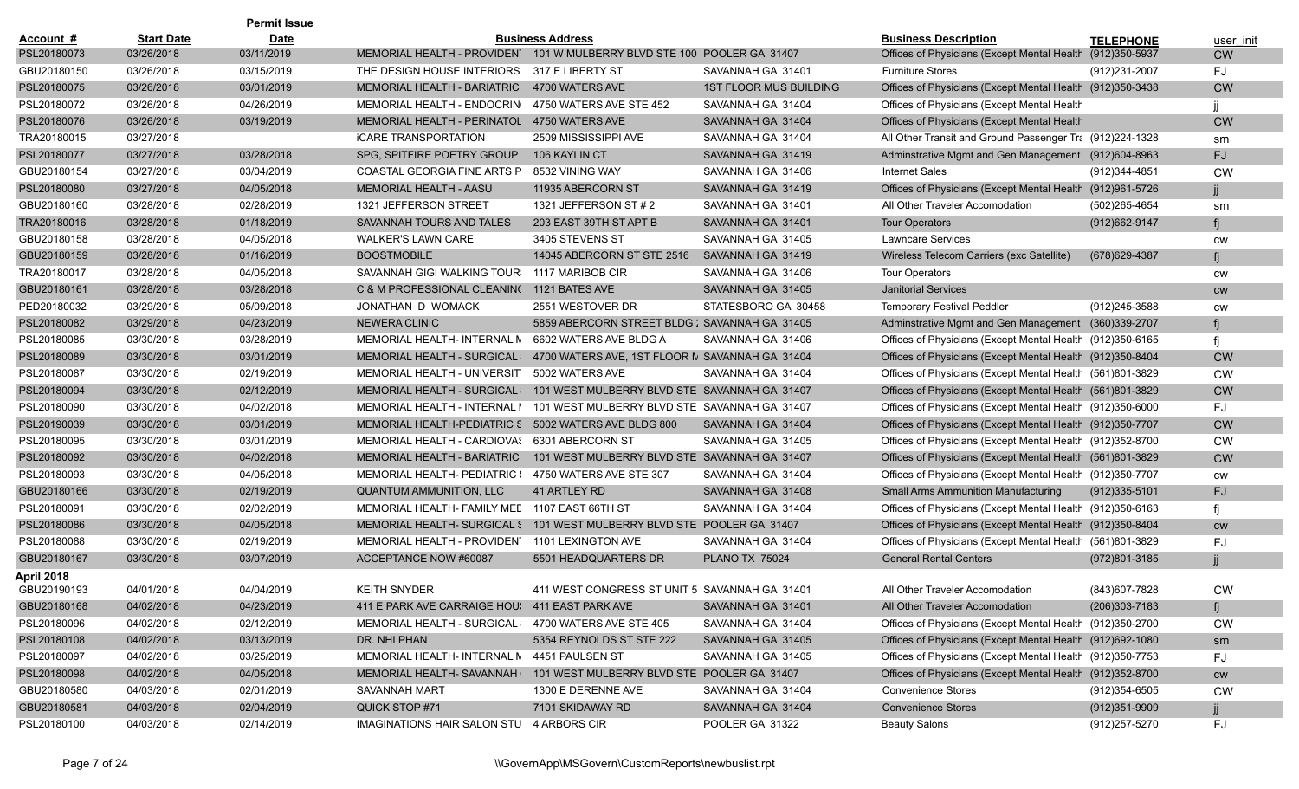|             |                   | <b>Permit Issue</b> |                                                      |                                                                        |                               |                                                             |                   |           |
|-------------|-------------------|---------------------|------------------------------------------------------|------------------------------------------------------------------------|-------------------------------|-------------------------------------------------------------|-------------------|-----------|
| Account #   | <b>Start Date</b> | <b>Date</b>         |                                                      | <b>Business Address</b>                                                |                               | <b>Business Description</b>                                 | <b>TELEPHONE</b>  | user init |
| PSL20180073 | 03/26/2018        | 03/11/2019          | MEMORIAL HEALTH - PROVIDENT                          | 101 W MULBERRY BLVD STE 100 POOLER GA 31407                            |                               | Offices of Physicians (Except Mental Health (912)350-5937   |                   | <b>CW</b> |
| GBU20180150 | 03/26/2018        | 03/15/2019          | THE DESIGN HOUSE INTERIORS                           | 317 E LIBERTY ST                                                       | SAVANNAH GA 31401             | <b>Furniture Stores</b>                                     | (912)231-2007     | FJ        |
| PSL20180075 | 03/26/2018        | 03/01/2019          | MEMORIAL HEALTH - BARIATRIC                          | 4700 WATERS AVE                                                        | <b>1ST FLOOR MUS BUILDING</b> | Offices of Physicians (Except Mental Health (912)350-3438   |                   | <b>CW</b> |
| PSL20180072 | 03/26/2018        | 04/26/2019          | MEMORIAL HEALTH - ENDOCRING                          | 4750 WATERS AVE STE 452                                                | SAVANNAH GA 31404             | Offices of Physicians (Except Mental Health                 |                   |           |
| PSL20180076 | 03/26/2018        | 03/19/2019          | MEMORIAL HEALTH - PERINATOL 4750 WATERS AVE          |                                                                        | SAVANNAH GA 31404             | Offices of Physicians (Except Mental Health                 |                   | <b>CW</b> |
| TRA20180015 | 03/27/2018        |                     | <b><i>ICARE TRANSPORTATION</i></b>                   | 2509 MISSISSIPPI AVE                                                   | SAVANNAH GA 31404             | All Other Transit and Ground Passenger Tra (912)224-1328    |                   | sm        |
| PSL20180077 | 03/27/2018        | 03/28/2018          | SPG, SPITFIRE POETRY GROUP                           | 106 KAYLIN CT                                                          | SAVANNAH GA 31419             | Adminstrative Mgmt and Gen Management (912)604-8963         |                   | FJ.       |
| GBU20180154 | 03/27/2018        | 03/04/2019          | COASTAL GEORGIA FINE ARTS P                          | 8532 VINING WAY                                                        | SAVANNAH GA 31406             | <b>Internet Sales</b>                                       | (912)344-4851     | <b>CW</b> |
| PSL20180080 | 03/27/2018        | 04/05/2018          | MEMORIAL HEALTH - AASU                               | 11935 ABERCORN ST                                                      | SAVANNAH GA 31419             | Offices of Physicians (Except Mental Health (912)961-5726   |                   |           |
| GBU20180160 | 03/28/2018        | 02/28/2019          | 1321 JEFFERSON STREET                                | 1321 JEFFERSON ST # 2                                                  | SAVANNAH GA 31401             | All Other Traveler Accomodation                             | (502)265-4654     | sm        |
| TRA20180016 | 03/28/2018        | 01/18/2019          | SAVANNAH TOURS AND TALES                             | 203 EAST 39TH ST APT B                                                 | SAVANNAH GA 31401             | <b>Tour Operators</b>                                       | (912) 662-9147    | fi        |
| GBU20180158 | 03/28/2018        | 04/05/2018          | <b>WALKER'S LAWN CARE</b>                            | 3405 STEVENS ST                                                        | SAVANNAH GA 31405             | <b>Lawncare Services</b>                                    |                   | CW        |
| GBU20180159 | 03/28/2018        | 01/16/2019          | <b>BOOSTMOBILE</b>                                   | 14045 ABERCORN ST STE 2516                                             | SAVANNAH GA 31419             | Wireless Telecom Carriers (exc Satellite)                   | $(678)629 - 4387$ | fi        |
| TRA20180017 | 03/28/2018        | 04/05/2018          | SAVANNAH GIGI WALKING TOUR: 1117 MARIBOB CIR         |                                                                        | SAVANNAH GA 31406             | <b>Tour Operators</b>                                       |                   | <b>CW</b> |
| GBU20180161 | 03/28/2018        | 03/28/2018          | C & M PROFESSIONAL CLEANIN( 1121 BATES AVE           |                                                                        | SAVANNAH GA 31405             | <b>Janitorial Services</b>                                  |                   | <b>CW</b> |
| PED20180032 | 03/29/2018        | 05/09/2018          | JONATHAN D WOMACK                                    | 2551 WESTOVER DR                                                       | STATESBORO GA 30458           | <b>Temporary Festival Peddler</b>                           | (912)245-3588     | CW        |
| PSL20180082 | 03/29/2018        | 04/23/2019          | <b>NEWERA CLINIC</b>                                 | 5859 ABERCORN STREET BLDG : SAVANNAH GA 31405                          |                               | Adminstrative Mgmt and Gen Management (360)339-2707         |                   | fi        |
| PSL20180085 | 03/30/2018        | 03/28/2019          | MEMORIAL HEALTH- INTERNAL N                          | 6602 WATERS AVE BLDG A                                                 | SAVANNAH GA 31406             | Offices of Physicians (Except Mental Health (912)350-6165   |                   | fi        |
| PSL20180089 | 03/30/2018        | 03/01/2019          | MEMORIAL HEALTH - SURGICAL                           | 4700 WATERS AVE, 1ST FLOOR N SAVANNAH GA 31404                         |                               | Offices of Physicians (Except Mental Health (912)350-8404   |                   | <b>CW</b> |
| PSL20180087 | 03/30/2018        | 02/19/2019          | MEMORIAL HEALTH - UNIVERSIT                          | 5002 WATERS AVE                                                        | SAVANNAH GA 31404             | Offices of Physicians (Except Mental Health) (561)801-3829  |                   | <b>CW</b> |
| PSL20180094 | 03/30/2018        | 02/12/2019          | <b>MEMORIAL HEALTH - SURGICAL:</b>                   | 101 WEST MULBERRY BLVD STE SAVANNAH GA 31407                           |                               | Offices of Physicians (Except Mental Health (561)801-3829   |                   | <b>CW</b> |
| PSL20180090 | 03/30/2018        | 04/02/2018          | MEMORIAL HEALTH - INTERNAL I                         | 101 WEST MULBERRY BLVD STE SAVANNAH GA 31407                           |                               | Offices of Physicians (Except Mental Health (912)350-6000   |                   | FJ        |
| PSL20190039 | 03/30/2018        | 03/01/2019          | MEMORIAL HEALTH-PEDIATRIC S 5002 WATERS AVE BLDG 800 |                                                                        | SAVANNAH GA 31404             | Offices of Physicians (Except Mental Health (912)350-7707   |                   | <b>CW</b> |
| PSL20180095 | 03/30/2018        | 03/01/2019          | MEMORIAL HEALTH - CARDIOVAS                          | 6301 ABERCORN ST                                                       | SAVANNAH GA 31405             | Offices of Physicians (Except Mental Health (912)352-8700   |                   | <b>CW</b> |
| PSL20180092 | 03/30/2018        | 04/02/2018          | MEMORIAL HEALTH - BARIATRIC                          | 101 WEST MULBERRY BLVD STE SAVANNAH GA 31407                           |                               | Offices of Physicians (Except Mental Health (561)801-3829   |                   | <b>CW</b> |
| PSL20180093 | 03/30/2018        | 04/05/2018          | MEMORIAL HEALTH- PEDIATRIC : 4750 WATERS AVE STE 307 |                                                                        | SAVANNAH GA 31404             | Offices of Physicians (Except Mental Health) (912) 350-7707 |                   | CW        |
| GBU20180166 | 03/30/2018        | 02/19/2019          | <b>QUANTUM AMMUNITION, LLC</b>                       | 41 ARTLEY RD                                                           | SAVANNAH GA 31408             | <b>Small Arms Ammunition Manufacturing</b>                  | $(912)335 - 5101$ | FJ.       |
| PSL20180091 | 03/30/2018        | 02/02/2019          | MEMORIAL HEALTH- FAMILY MED                          | 1107 EAST 66TH ST                                                      | SAVANNAH GA 31404             | Offices of Physicians (Except Mental Health (912)350-6163   |                   | fi        |
| PSL20180086 | 03/30/2018        | 04/05/2018          |                                                      | MEMORIAL HEALTH- SURGICAL 5 101 WEST MULBERRY BLVD STE POOLER GA 31407 |                               | Offices of Physicians (Except Mental Health (912)350-8404   |                   | <b>CW</b> |
| PSL20180088 | 03/30/2018        | 02/19/2019          | MEMORIAL HEALTH - PROVIDENT                          | 1101 LEXINGTON AVE                                                     | SAVANNAH GA 31404             | Offices of Physicians (Except Mental Health (561)801-3829   |                   | FJ        |
| GBU20180167 | 03/30/2018        | 03/07/2019          | ACCEPTANCE NOW #60087                                | 5501 HEADQUARTERS DR                                                   | <b>PLANO TX 75024</b>         | <b>General Rental Centers</b>                               | (972)801-3185     |           |
| April 2018  |                   |                     |                                                      |                                                                        |                               |                                                             |                   |           |
| GBU20190193 | 04/01/2018        | 04/04/2019          | <b>KEITH SNYDER</b>                                  | 411 WEST CONGRESS ST UNIT 5 SAVANNAH GA 31401                          |                               | All Other Traveler Accomodation                             | (843)607-7828     | <b>CW</b> |
| GBU20180168 | 04/02/2018        | 04/23/2019          | 411 E PARK AVE CARRAIGE HOU! 411 EAST PARK AVE       |                                                                        | SAVANNAH GA 31401             | All Other Traveler Accomodation                             | $(206)303 - 7183$ | fj        |
| PSL20180096 | 04/02/2018        | 02/12/2019          | MEMORIAL HEALTH - SURGICAL 4700 WATERS AVE STE 405   |                                                                        | SAVANNAH GA 31404             | Offices of Physicians (Except Mental Health (912)350-2700   |                   | <b>CW</b> |
| PSL20180108 | 04/02/2018        | 03/13/2019          | DR. NHI PHAN                                         | 5354 REYNOLDS ST STE 222                                               | SAVANNAH GA 31405             | Offices of Physicians (Except Mental Health (912)692-1080   |                   | sm        |
| PSL20180097 | 04/02/2018        | 03/25/2019          | MEMORIAL HEALTH- INTERNAL N 4451 PAULSEN ST          |                                                                        | SAVANNAH GA 31405             | Offices of Physicians (Except Mental Health (912)350-7753   |                   | FJ        |
| PSL20180098 | 04/02/2018        | 04/05/2018          | MEMORIAL HEALTH- SAVANNAH I                          | 101 WEST MULBERRY BLVD STE POOLER GA 31407                             |                               | Offices of Physicians (Except Mental Health (912)352-8700   |                   | <b>CW</b> |
| GBU20180580 | 04/03/2018        | 02/01/2019          | SAVANNAH MART                                        | 1300 E DERENNE AVE                                                     | SAVANNAH GA 31404             | <b>Convenience Stores</b>                                   | (912)354-6505     | <b>CW</b> |
| GBU20180581 | 04/03/2018        | 02/04/2019          | QUICK STOP #71                                       | 7101 SKIDAWAY RD                                                       | SAVANNAH GA 31404             | <b>Convenience Stores</b>                                   | $(912)351 - 9909$ |           |
| PSL20180100 | 04/03/2018        | 02/14/2019          | IMAGINATIONS HAIR SALON STU 4 ARBORS CIR             |                                                                        | POOLER GA 31322               | <b>Beauty Salons</b>                                        | (912) 257-5270    | <b>FJ</b> |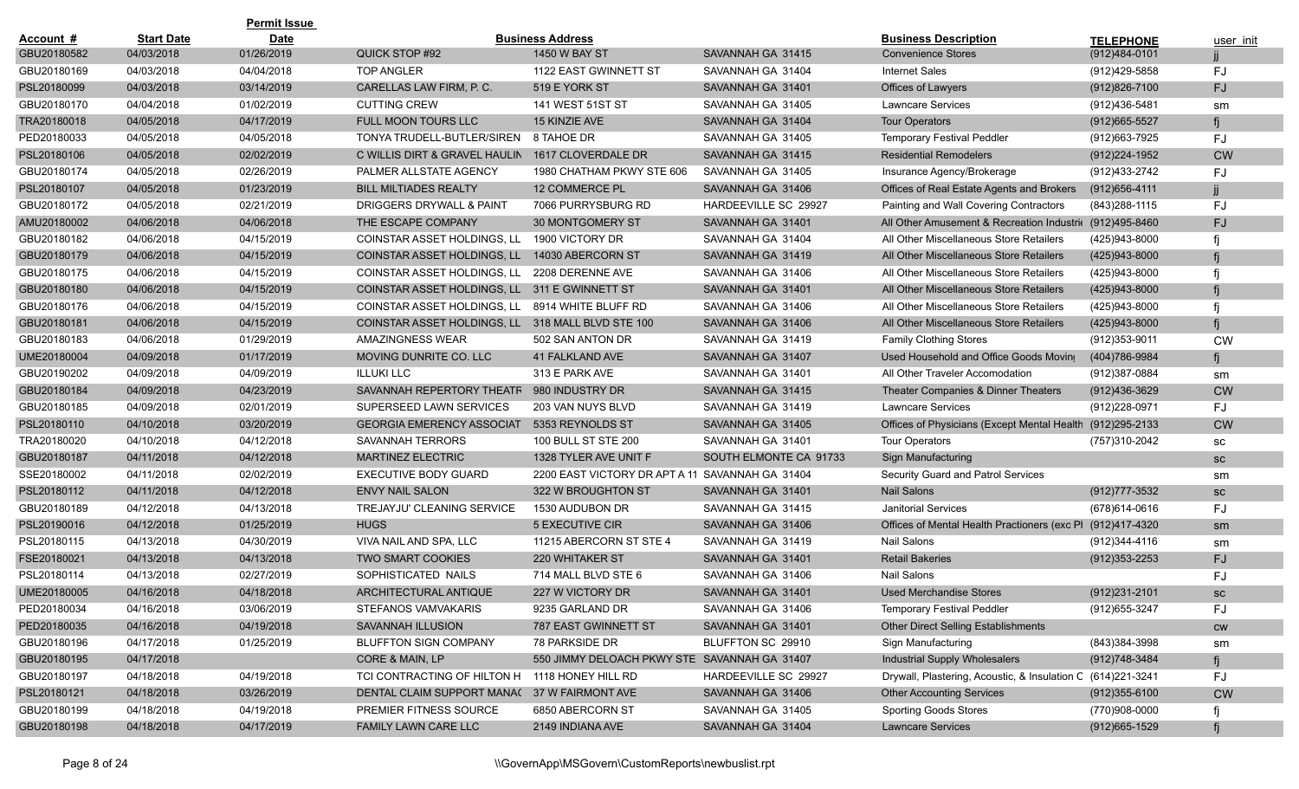|             |                   | <b>Permit Issue</b> |                                                   |                                                 |                        |                                                             |                   |           |
|-------------|-------------------|---------------------|---------------------------------------------------|-------------------------------------------------|------------------------|-------------------------------------------------------------|-------------------|-----------|
| Account #   | <b>Start Date</b> | <b>Date</b>         |                                                   | <b>Business Address</b>                         |                        | <b>Business Description</b>                                 | <b>TELEPHONE</b>  | user init |
| GBU20180582 | 04/03/2018        | 01/26/2019          | QUICK STOP #92                                    | <b>1450 W BAY ST</b>                            | SAVANNAH GA 31415      | <b>Convenience Stores</b>                                   | $(912)484-0101$   |           |
| GBU20180169 | 04/03/2018        | 04/04/2018          | <b>TOP ANGLER</b>                                 | 1122 EAST GWINNETT ST                           | SAVANNAH GA 31404      | <b>Internet Sales</b>                                       | (912)429-5858     | FJ        |
| PSL20180099 | 04/03/2018        | 03/14/2019          | CARELLAS LAW FIRM, P. C.                          | 519 E YORK ST                                   | SAVANNAH GA 31401      | Offices of Lawyers                                          | (912)826-7100     | FJ        |
| GBU20180170 | 04/04/2018        | 01/02/2019          | <b>CUTTING CREW</b>                               | 141 WEST 51ST ST                                | SAVANNAH GA 31405      | <b>Lawncare Services</b>                                    | (912)436-5481     | sm        |
| TRA20180018 | 04/05/2018        | 04/17/2019          | <b>FULL MOON TOURS LLC</b>                        | <b>15 KINZIE AVE</b>                            | SAVANNAH GA 31404      | <b>Tour Operators</b>                                       | $(912)665 - 5527$ |           |
| PED20180033 | 04/05/2018        | 04/05/2018          | TONYA TRUDELL-BUTLER/SIREN 8 TAHOE DR             |                                                 | SAVANNAH GA 31405      | <b>Temporary Festival Peddler</b>                           | (912) 663-7925    | FJ        |
| PSL20180106 | 04/05/2018        | 02/02/2019          | C WILLIS DIRT & GRAVEL HAULIN                     | 1617 CLOVERDALE DR                              | SAVANNAH GA 31415      | <b>Residential Remodelers</b>                               | (912) 224-1952    | <b>CW</b> |
| GBU20180174 | 04/05/2018        | 02/26/2019          | PALMER ALLSTATE AGENCY                            | 1980 CHATHAM PKWY STE 606                       | SAVANNAH GA 31405      | Insurance Agency/Brokerage                                  | (912)433-2742     | FJ        |
| PSL20180107 | 04/05/2018        | 01/23/2019          | <b>BILL MILTIADES REALTY</b>                      | 12 COMMERCE PL                                  | SAVANNAH GA 31406      | Offices of Real Estate Agents and Brokers                   | (912)656-4111     |           |
| GBU20180172 | 04/05/2018        | 02/21/2019          | DRIGGERS DRYWALL & PAINT                          | 7066 PURRYSBURG RD                              | HARDEEVILLE SC 29927   | Painting and Wall Covering Contractors                      | (843) 288-1115    | FJ        |
| AMU20180002 | 04/06/2018        | 04/06/2018          | THE ESCAPE COMPANY                                | 30 MONTGOMERY ST                                | SAVANNAH GA 31401      | All Other Amusement & Recreation Industri( (912)495-8460    |                   | FJ        |
| GBU20180182 | 04/06/2018        | 04/15/2019          | COINSTAR ASSET HOLDINGS, LL                       | 1900 VICTORY DR                                 | SAVANNAH GA 31404      | All Other Miscellaneous Store Retailers                     | (425)943-8000     |           |
| GBU20180179 | 04/06/2018        | 04/15/2019          | COINSTAR ASSET HOLDINGS, LL                       | 14030 ABERCORN ST                               | SAVANNAH GA 31419      | All Other Miscellaneous Store Retailers                     | (425)943-8000     |           |
| GBU20180175 | 04/06/2018        | 04/15/2019          | COINSTAR ASSET HOLDINGS, LL 2208 DERENNE AVE      |                                                 | SAVANNAH GA 31406      | All Other Miscellaneous Store Retailers                     | (425)943-8000     |           |
| GBU20180180 | 04/06/2018        | 04/15/2019          | COINSTAR ASSET HOLDINGS, LL 311 E GWINNETT ST     |                                                 | SAVANNAH GA 31401      | All Other Miscellaneous Store Retailers                     | (425)943-8000     |           |
| GBU20180176 | 04/06/2018        | 04/15/2019          | COINSTAR ASSET HOLDINGS, LL                       | 8914 WHITE BLUFF RD                             | SAVANNAH GA 31406      | All Other Miscellaneous Store Retailers                     | (425)943-8000     |           |
| GBU20180181 | 04/06/2018        | 04/15/2019          | COINSTAR ASSET HOLDINGS, LL 318 MALL BLVD STE 100 |                                                 | SAVANNAH GA 31406      | All Other Miscellaneous Store Retailers                     | (425)943-8000     |           |
| GBU20180183 | 04/06/2018        | 01/29/2019          | AMAZINGNESS WEAR                                  | 502 SAN ANTON DR                                | SAVANNAH GA 31419      | <b>Family Clothing Stores</b>                               | (912) 353-9011    | <b>CW</b> |
| UME20180004 | 04/09/2018        | 01/17/2019          | MOVING DUNRITE CO. LLC                            | 41 FALKLAND AVE                                 | SAVANNAH GA 31407      | Used Household and Office Goods Moving                      | (404)786-9984     |           |
| GBU20190202 | 04/09/2018        | 04/09/2019          | <b>ILLUKI LLC</b>                                 | 313 E PARK AVE                                  | SAVANNAH GA 31401      | All Other Traveler Accomodation                             | (912)387-0884     | sm        |
| GBU20180184 | 04/09/2018        | 04/23/2019          | SAVANNAH REPERTORY THEATR                         | 980 INDUSTRY DR                                 | SAVANNAH GA 31415      | Theater Companies & Dinner Theaters                         | $(912)436-3629$   | <b>CW</b> |
| GBU20180185 | 04/09/2018        | 02/01/2019          | SUPERSEED LAWN SERVICES                           | 203 VAN NUYS BLVD                               | SAVANNAH GA 31419      | <b>Lawncare Services</b>                                    | (912) 228-0971    | FJ        |
| PSL20180110 | 04/10/2018        | 03/20/2019          | <b>GEORGIA EMERENCY ASSOCIAT</b>                  | 5353 REYNOLDS ST                                | SAVANNAH GA 31405      | Offices of Physicians (Except Mental Health (912)295-2133   |                   | <b>CW</b> |
| TRA20180020 | 04/10/2018        | 04/12/2018          | <b>SAVANNAH TERRORS</b>                           | 100 BULL ST STE 200                             | SAVANNAH GA 31401      | <b>Tour Operators</b>                                       | (757)310-2042     | SC        |
| GBU20180187 | 04/11/2018        | 04/12/2018          | <b>MARTINEZ ELECTRIC</b>                          | 1328 TYLER AVE UNIT F                           | SOUTH ELMONTE CA 91733 | <b>Sign Manufacturing</b>                                   |                   | SC        |
| SSE20180002 | 04/11/2018        | 02/02/2019          | <b>EXECUTIVE BODY GUARD</b>                       | 2200 EAST VICTORY DR APT A 11 SAVANNAH GA 31404 |                        | Security Guard and Patrol Services                          |                   | sm        |
| PSL20180112 | 04/11/2018        | 04/12/2018          | <b>ENVY NAIL SALON</b>                            | 322 W BROUGHTON ST                              | SAVANNAH GA 31401      | <b>Nail Salons</b>                                          | (912) 777-3532    | SC        |
| GBU20180189 | 04/12/2018        | 04/13/2018          | TREJAYJU' CLEANING SERVICE                        | 1530 AUDUBON DR                                 | SAVANNAH GA 31415      | <b>Janitorial Services</b>                                  | (678) 614-0616    | FJ        |
| PSL20190016 | 04/12/2018        | 01/25/2019          | <b>HUGS</b>                                       | 5 EXECUTIVE CIR                                 | SAVANNAH GA 31406      | Offices of Mental Health Practioners (exc PI (912)417-4320  |                   | sm        |
| PSL20180115 | 04/13/2018        | 04/30/2019          | VIVA NAIL AND SPA, LLC                            | 11215 ABERCORN ST STE 4                         | SAVANNAH GA 31419      | Nail Salons                                                 | (912)344-4116     | sm        |
| FSE20180021 | 04/13/2018        | 04/13/2018          | <b>TWO SMART COOKIES</b>                          | 220 WHITAKER ST                                 | SAVANNAH GA 31401      | <b>Retail Bakeries</b>                                      | $(912)353 - 2253$ | FJ        |
| PSL20180114 | 04/13/2018        | 02/27/2019          | SOPHISTICATED NAILS                               | 714 MALL BLVD STE 6                             | SAVANNAH GA 31406      | <b>Nail Salons</b>                                          |                   | FJ        |
| UME20180005 | 04/16/2018        | 04/18/2018          | ARCHITECTURAL ANTIQUE                             | 227 W VICTORY DR                                | SAVANNAH GA 31401      | Used Merchandise Stores                                     | $(912)231 - 2101$ | SC        |
| PED20180034 | 04/16/2018        | 03/06/2019          | STEFANOS VAMVAKARIS                               | 9235 GARLAND DR                                 | SAVANNAH GA 31406      | <b>Temporary Festival Peddler</b>                           | (912) 655-3247    | FJ        |
| PED20180035 | 04/16/2018        | 04/19/2018          | SAVANNAH ILLUSION                                 | 787 EAST GWINNETT ST                            | SAVANNAH GA 31401      | Other Direct Selling Establishments                         |                   | <b>CW</b> |
| GBU20180196 | 04/17/2018        | 01/25/2019          | <b>BLUFFTON SIGN COMPANY</b>                      | 78 PARKSIDE DR                                  | BLUFFTON SC 29910      | Sign Manufacturing                                          | (843)384-3998     | sm        |
| GBU20180195 | 04/17/2018        |                     | CORE & MAIN, LP                                   | 550 JIMMY DELOACH PKWY STE SAVANNAH GA 31407    |                        | Industrial Supply Wholesalers                               | (912)748-3484     |           |
| GBU20180197 | 04/18/2018        | 04/19/2018          | TCI CONTRACTING OF HILTON H 1118 HONEY HILL RD    |                                                 | HARDEEVILLE SC 29927   | Drywall, Plastering, Acoustic, & Insulation C (614)221-3241 |                   | FJ        |
| PSL20180121 | 04/18/2018        | 03/26/2019          | DENTAL CLAIM SUPPORT MANA( 37 W FAIRMONT AVE      |                                                 | SAVANNAH GA 31406      | <b>Other Accounting Services</b>                            | $(912)355 - 6100$ | <b>CW</b> |
| GBU20180199 | 04/18/2018        | 04/19/2018          | <b>PREMIER FITNESS SOURCE</b>                     | 6850 ABERCORN ST                                | SAVANNAH GA 31405      | <b>Sporting Goods Stores</b>                                | (770)908-0000     |           |
| GBU20180198 | 04/18/2018        | 04/17/2019          | FAMILY LAWN CARE LLC                              | 2149 INDIANA AVE                                | SAVANNAH GA 31404      | <b>Lawncare Services</b>                                    | $(912)665 - 1529$ |           |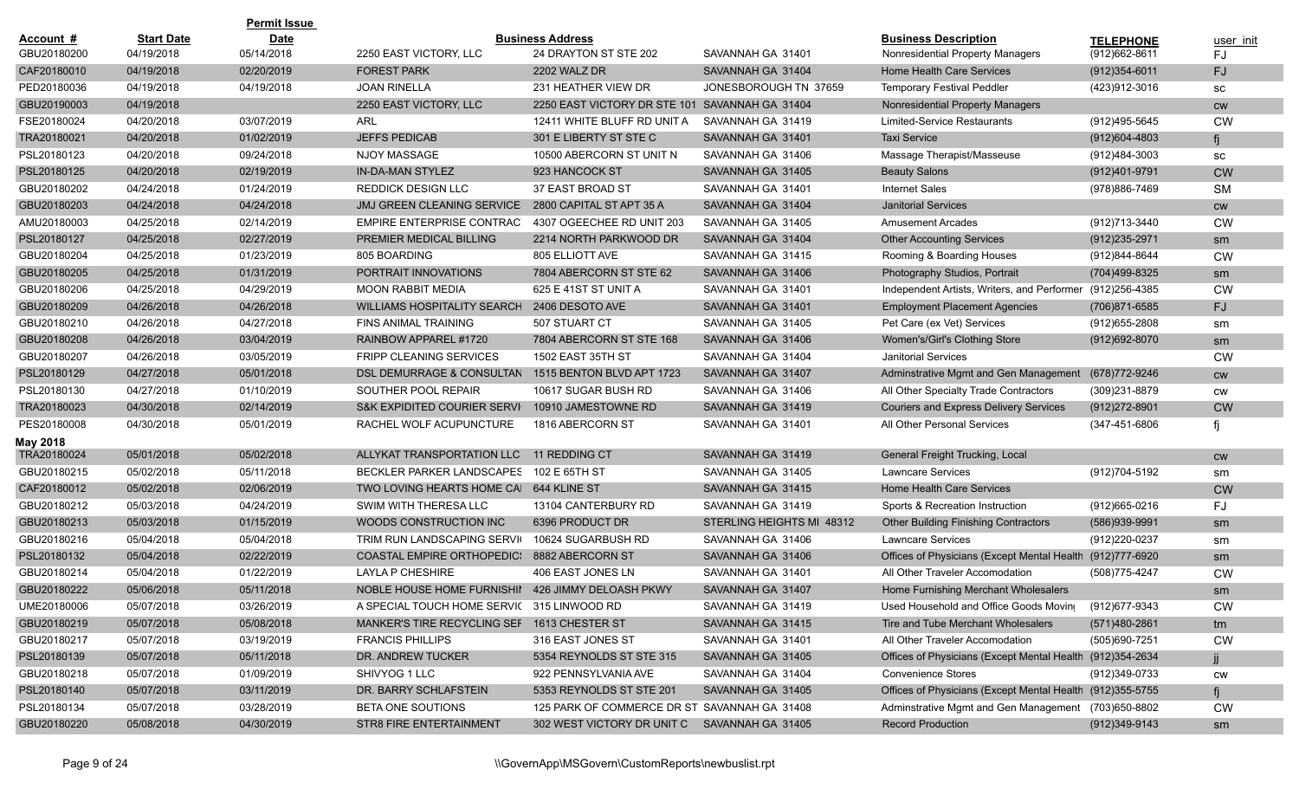|             |                   | <b>Permit Issue</b> |                                             |                                              |                           |                                                           |                   |           |
|-------------|-------------------|---------------------|---------------------------------------------|----------------------------------------------|---------------------------|-----------------------------------------------------------|-------------------|-----------|
| Account #   | <b>Start Date</b> | <b>Date</b>         |                                             | <b>Business Address</b>                      |                           | <b>Business Description</b>                               | <b>TELEPHONE</b>  | user init |
| GBU20180200 | 04/19/2018        | 05/14/2018          | 2250 EAST VICTORY, LLC                      | 24 DRAYTON ST STE 202                        | SAVANNAH GA 31401         | Nonresidential Property Managers                          | (912) 662-8611    | FJ.       |
| CAF20180010 | 04/19/2018        | 02/20/2019          | <b>FOREST PARK</b>                          | 2202 WALZ DR                                 | SAVANNAH GA 31404         | Home Health Care Services                                 | $(912)354 - 6011$ | FJ        |
| PED20180036 | 04/19/2018        | 04/19/2018          | <b>JOAN RINELLA</b>                         | 231 HEATHER VIEW DR                          | JONESBOROUGH TN 37659     | <b>Temporary Festival Peddler</b>                         | (423)912-3016     | SC        |
| GBU20190003 | 04/19/2018        |                     | 2250 EAST VICTORY, LLC                      | 2250 EAST VICTORY DR STE 101                 | SAVANNAH GA 31404         | Nonresidential Property Managers                          |                   | cw        |
| FSE20180024 | 04/20/2018        | 03/07/2019          | ARL                                         | 12411 WHITE BLUFF RD UNIT A                  | SAVANNAH GA 31419         | <b>Limited-Service Restaurants</b>                        | (912)495-5645     | <b>CW</b> |
| TRA20180021 | 04/20/2018        | 01/02/2019          | <b>JEFFS PEDICAB</b>                        | 301 E LIBERTY ST STE C                       | SAVANNAH GA 31401         | <b>Taxi Service</b>                                       | $(912)604 - 4803$ |           |
| PSL20180123 | 04/20/2018        | 09/24/2018          | NJOY MASSAGE                                | 10500 ABERCORN ST UNIT N                     | SAVANNAH GA 31406         | Massage Therapist/Masseuse                                | (912)484-3003     | SC        |
| PSL20180125 | 04/20/2018        | 02/19/2019          | <b>IN-DA-MAN STYLEZ</b>                     | 923 HANCOCK ST                               | SAVANNAH GA 31405         | <b>Beauty Salons</b>                                      | (912)401-9791     | <b>CW</b> |
| GBU20180202 | 04/24/2018        | 01/24/2019          | <b>REDDICK DESIGN LLC</b>                   | 37 EAST BROAD ST                             | SAVANNAH GA 31401         | <b>Internet Sales</b>                                     | (978)886-7469     | <b>SM</b> |
| GBU20180203 | 04/24/2018        | 04/24/2018          | <b>JMJ GREEN CLEANING SERVICE</b>           | 2800 CAPITAL ST APT 35 A                     | SAVANNAH GA 31404         | <b>Janitorial Services</b>                                |                   | <b>CW</b> |
| AMU20180003 | 04/25/2018        | 02/14/2019          | <b>EMPIRE ENTERPRISE CONTRAC</b>            | 4307 OGEECHEE RD UNIT 203                    | SAVANNAH GA 31405         | <b>Amusement Arcades</b>                                  | (912)713-3440     | <b>CW</b> |
| PSL20180127 | 04/25/2018        | 02/27/2019          | PREMIER MEDICAL BILLING                     | 2214 NORTH PARKWOOD DR                       | SAVANNAH GA 31404         | <b>Other Accounting Services</b>                          | (912) 235-2971    | sm        |
| GBU20180204 | 04/25/2018        | 01/23/2019          | 805 BOARDING                                | 805 ELLIOTT AVE                              | SAVANNAH GA 31415         | Rooming & Boarding Houses                                 | (912)844-8644     | <b>CW</b> |
| GBU20180205 | 04/25/2018        | 01/31/2019          | PORTRAIT INNOVATIONS                        | 7804 ABERCORN ST STE 62                      | SAVANNAH GA 31406         | Photography Studios, Portrait                             | (704)499-8325     | sm        |
| GBU20180206 | 04/25/2018        | 04/29/2019          | <b>MOON RABBIT MEDIA</b>                    | 625 E 41ST ST UNIT A                         | SAVANNAH GA 31401         | Independent Artists, Writers, and Performer               | (912) 256-4385    | <b>CW</b> |
| GBU20180209 | 04/26/2018        | 04/26/2018          | <b>WILLIAMS HOSPITALITY SEARCH</b>          | 2406 DESOTO AVE                              | SAVANNAH GA 31401         | <b>Employment Placement Agencies</b>                      | (706)871-6585     | FJ.       |
| GBU20180210 | 04/26/2018        | 04/27/2018          | <b>FINS ANIMAL TRAINING</b>                 | 507 STUART CT                                | SAVANNAH GA 31405         | Pet Care (ex Vet) Services                                | (912) 655-2808    | sm        |
| GBU20180208 | 04/26/2018        | 03/04/2019          | RAINBOW APPAREL #1720                       | 7804 ABERCORN ST STE 168                     | SAVANNAH GA 31406         | Women's/Girl's Clothing Store                             | $(912)692 - 8070$ | sm        |
| GBU20180207 | 04/26/2018        | 03/05/2019          | <b>FRIPP CLEANING SERVICES</b>              | 1502 EAST 35TH ST                            | SAVANNAH GA 31404         | <b>Janitorial Services</b>                                |                   | <b>CW</b> |
| PSL20180129 | 04/27/2018        | 05/01/2018          | <b>DSL DEMURRAGE &amp; CONSULTAN</b>        | 1515 BENTON BLVD APT 1723                    | SAVANNAH GA 31407         | Adminstrative Mgmt and Gen Management                     | (678)772-9246     | cw        |
| PSL20180130 | 04/27/2018        | 01/10/2019          | SOUTHER POOL REPAIR                         | 10617 SUGAR BUSH RD                          | SAVANNAH GA 31406         | All Other Specialty Trade Contractors                     | (309)231-8879     | <b>CW</b> |
| TRA20180023 | 04/30/2018        | 02/14/2019          | <b>S&amp;K EXPIDITED COURIER SERVI</b>      | 10910 JAMESTOWNE RD                          | SAVANNAH GA 31419         | <b>Couriers and Express Delivery Services</b>             | (912) 272-8901    | <b>CW</b> |
| PES20180008 | 04/30/2018        | 05/01/2019          | RACHEL WOLF ACUPUNCTURE                     | 1816 ABERCORN ST                             | SAVANNAH GA 31401         | All Other Personal Services                               | (347-451-6806     |           |
| May 2018    |                   |                     |                                             |                                              |                           |                                                           |                   |           |
| TRA20180024 | 05/01/2018        | 05/02/2018          | ALLYKAT TRANSPORTATION LLC                  | 11 REDDING CT                                | SAVANNAH GA 31419         | General Freight Trucking, Local                           |                   | cw        |
| GBU20180215 | 05/02/2018        | 05/11/2018          | BECKLER PARKER LANDSCAPES                   | 102 E 65TH ST                                | SAVANNAH GA 31405         | <b>Lawncare Services</b>                                  | (912)704-5192     | sm        |
| CAF20180012 | 05/02/2018        | 02/06/2019          | TWO LOVING HEARTS HOME CAI 644 KLINE ST     |                                              | SAVANNAH GA 31415         | Home Health Care Services                                 |                   | <b>CW</b> |
| GBU20180212 | 05/03/2018        | 04/24/2019          | SWIM WITH THERESA LLC                       | 13104 CANTERBURY RD                          | SAVANNAH GA 31419         | Sports & Recreation Instruction                           | (912)665-0216     | FJ        |
| GBU20180213 | 05/03/2018        | 01/15/2019          | WOODS CONSTRUCTION INC                      | 6396 PRODUCT DR                              | STERLING HEIGHTS MI 48312 | <b>Other Building Finishing Contractors</b>               | (586)939-9991     | sm        |
| GBU20180216 | 05/04/2018        | 05/04/2018          | TRIM RUN LANDSCAPING SERVI(                 | 10624 SUGARBUSH RD                           | SAVANNAH GA 31406         | <b>Lawncare Services</b>                                  | (912) 220-0237    | sm        |
| PSL20180132 | 05/04/2018        | 02/22/2019          | <b>COASTAL EMPIRE ORTHOPEDIC:</b>           | 8882 ABERCORN ST                             | SAVANNAH GA 31406         | Offices of Physicians (Except Mental Health               | (912)777-6920     | sm        |
| GBU20180214 | 05/04/2018        | 01/22/2019          | LAYLA P CHESHIRE                            | 406 EAST JONES LN                            | SAVANNAH GA 31401         | All Other Traveler Accomodation                           | (508) 775-4247    | <b>CW</b> |
| GBU20180222 | 05/06/2018        | 05/11/2018          | NOBLE HOUSE HOME FURNISHII                  | 426 JIMMY DELOASH PKWY                       | SAVANNAH GA 31407         | Home Furnishing Merchant Wholesalers                      |                   | sm        |
| UME20180006 | 05/07/2018        | 03/26/2019          | A SPECIAL TOUCH HOME SERVIC 315 LINWOOD RD  |                                              | SAVANNAH GA 31419         | Used Household and Office Goods Moving                    | (912) 677-9343    | <b>CW</b> |
| GBU20180219 | 05/07/2018        | 05/08/2018          | MANKER'S TIRE RECYCLING SEF 1613 CHESTER ST |                                              | SAVANNAH GA 31415         | Tire and Tube Merchant Wholesalers                        | (571)480-2861     | tm        |
| GBU20180217 | 05/07/2018        | 03/19/2019          | <b>FRANCIS PHILLIPS</b>                     | 316 EAST JONES ST                            | SAVANNAH GA 31401         | All Other Traveler Accomodation                           | (505)690-7251     | CW        |
| PSL20180139 | 05/07/2018        | 05/11/2018          | DR. ANDREW TUCKER                           | 5354 REYNOLDS ST STE 315                     | SAVANNAH GA 31405         | Offices of Physicians (Except Mental Health (912)354-2634 |                   |           |
| GBU20180218 | 05/07/2018        | 01/09/2019          | SHIVYOG 1 LLC                               | 922 PENNSYLVANIA AVE                         | SAVANNAH GA 31404         | <b>Convenience Stores</b>                                 | (912)349-0733     | <b>CW</b> |
| PSL20180140 | 05/07/2018        | 03/11/2019          | DR. BARRY SCHLAFSTEIN                       | 5353 REYNOLDS ST STE 201                     | SAVANNAH GA 31405         | Offices of Physicians (Except Mental Health (912)355-5755 |                   |           |
| PSL20180134 | 05/07/2018        | 03/28/2019          | BETA ONE SOUTIONS                           | 125 PARK OF COMMERCE DR ST SAVANNAH GA 31408 |                           | Adminstrative Mgmt and Gen Management (703)650-8802       |                   | CW        |
| GBU20180220 | 05/08/2018        | 04/30/2019          | <b>STR8 FIRE ENTERTAINMENT</b>              | 302 WEST VICTORY DR UNIT C                   | SAVANNAH GA 31405         | <b>Record Production</b>                                  | (912)349-9143     | sm        |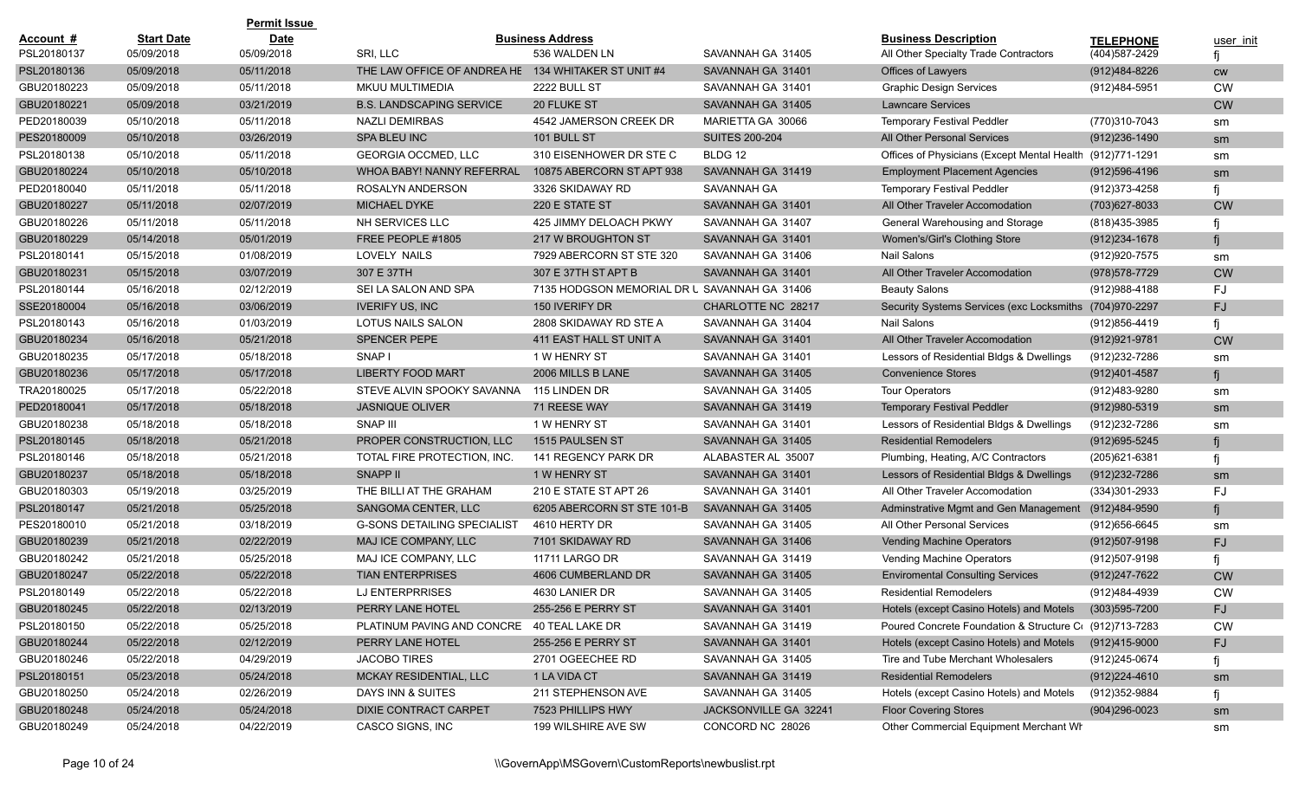|             |                   | <b>Permit Issue</b> |                                            |                                              |                       |                                                         |                   |           |
|-------------|-------------------|---------------------|--------------------------------------------|----------------------------------------------|-----------------------|---------------------------------------------------------|-------------------|-----------|
| Account #   | <b>Start Date</b> | <b>Date</b>         |                                            | <b>Business Address</b>                      |                       | <b>Business Description</b>                             | <b>TELEPHONE</b>  | user init |
| PSL20180137 | 05/09/2018        | 05/09/2018          | SRI, LLC                                   | 536 WALDEN LN                                | SAVANNAH GA 31405     | All Other Specialty Trade Contractors                   | (404) 587-2429    |           |
| PSL20180136 | 05/09/2018        | 05/11/2018          | THE LAW OFFICE OF ANDREA HE                | 134 WHITAKER ST UNIT #4                      | SAVANNAH GA 31401     | Offices of Lawyers                                      | (912)484-8226     | <b>CW</b> |
| GBU20180223 | 05/09/2018        | 05/11/2018          | MKUU MULTIMEDIA                            | 2222 BULL ST                                 | SAVANNAH GA 31401     | <b>Graphic Design Services</b>                          | (912)484-5951     | <b>CW</b> |
| GBU20180221 | 05/09/2018        | 03/21/2019          | <b>B.S. LANDSCAPING SERVICE</b>            | 20 FLUKE ST                                  | SAVANNAH GA 31405     | <b>Lawncare Services</b>                                |                   | <b>CW</b> |
| PED20180039 | 05/10/2018        | 05/11/2018          | <b>NAZLI DEMIRBAS</b>                      | 4542 JAMERSON CREEK DR                       | MARIETTA GA 30066     | <b>Temporary Festival Peddler</b>                       | (770)310-7043     | sm        |
| PES20180009 | 05/10/2018        | 03/26/2019          | SPA BLEU INC                               | 101 BULL ST                                  | <b>SUITES 200-204</b> | All Other Personal Services                             | (912)236-1490     | sm        |
| PSL20180138 | 05/10/2018        | 05/11/2018          | <b>GEORGIA OCCMED, LLC</b>                 | 310 EISENHOWER DR STE C                      | BLDG 12               | Offices of Physicians (Except Mental Health             | (912)771-1291     | sm        |
| GBU20180224 | 05/10/2018        | 05/10/2018          | WHOA BABY! NANNY REFERRAL                  | 10875 ABERCORN ST APT 938                    | SAVANNAH GA 31419     | <b>Employment Placement Agencies</b>                    | (912)596-4196     | sm        |
| PED20180040 | 05/11/2018        | 05/11/2018          | ROSALYN ANDERSON                           | 3326 SKIDAWAY RD                             | <b>SAVANNAH GA</b>    | <b>Temporary Festival Peddler</b>                       | (912) 373-4258    |           |
| GBU20180227 | 05/11/2018        | 02/07/2019          | <b>MICHAEL DYKE</b>                        | 220 E STATE ST                               | SAVANNAH GA 31401     | All Other Traveler Accomodation                         | (703) 627-8033    | <b>CW</b> |
| GBU20180226 | 05/11/2018        | 05/11/2018          | NH SERVICES LLC                            | 425 JIMMY DELOACH PKWY                       | SAVANNAH GA 31407     | General Warehousing and Storage                         | (818)435-3985     |           |
| GBU20180229 | 05/14/2018        | 05/01/2019          | FREE PEOPLE #1805                          | 217 W BROUGHTON ST                           | SAVANNAH GA 31401     | Women's/Girl's Clothing Store                           | (912)234-1678     |           |
| PSL20180141 | 05/15/2018        | 01/08/2019          | LOVELY NAILS                               | 7929 ABERCORN ST STE 320                     | SAVANNAH GA 31406     | <b>Nail Salons</b>                                      | (912) 920-7575    | sm        |
| GBU20180231 | 05/15/2018        | 03/07/2019          | 307 E 37TH                                 | 307 E 37TH ST APT B                          | SAVANNAH GA 31401     | All Other Traveler Accomodation                         | (978) 578-7729    | <b>CW</b> |
| PSL20180144 | 05/16/2018        | 02/12/2019          | SEI LA SALON AND SPA                       | 7135 HODGSON MEMORIAL DR U SAVANNAH GA 31406 |                       | <b>Beauty Salons</b>                                    | (912) 988-4188    | FJ        |
| SSE20180004 | 05/16/2018        | 03/06/2019          | <b>IVERIFY US, INC</b>                     | 150 IVERIFY DR                               | CHARLOTTE NC 28217    | Security Systems Services (exc Locksmiths (704)970-2297 |                   | <b>FJ</b> |
| PSL20180143 | 05/16/2018        | 01/03/2019          | LOTUS NAILS SALON                          | 2808 SKIDAWAY RD STE A                       | SAVANNAH GA 31404     | Nail Salons                                             | (912)856-4419     |           |
| GBU20180234 | 05/16/2018        | 05/21/2018          | <b>SPENCER PEPE</b>                        | 411 EAST HALL ST UNIT A                      | SAVANNAH GA 31401     | All Other Traveler Accomodation                         | (912) 921-9781    | <b>CW</b> |
| GBU20180235 | 05/17/2018        | 05/18/2018          | SNAP I                                     | 1 W HENRY ST                                 | SAVANNAH GA 31401     | Lessors of Residential Bldgs & Dwellings                | (912)232-7286     | sm        |
| GBU20180236 | 05/17/2018        | 05/17/2018          | <b>LIBERTY FOOD MART</b>                   | 2006 MILLS B LANE                            | SAVANNAH GA 31405     | <b>Convenience Stores</b>                               | (912)401-4587     |           |
| TRA20180025 | 05/17/2018        | 05/22/2018          | STEVE ALVIN SPOOKY SAVANNA                 | 115 LINDEN DR                                | SAVANNAH GA 31405     | <b>Tour Operators</b>                                   | (912)483-9280     | sm        |
| PED20180041 | 05/17/2018        | 05/18/2018          | <b>JASNIQUE OLIVER</b>                     | 71 REESE WAY                                 | SAVANNAH GA 31419     | <b>Temporary Festival Peddler</b>                       | (912) 980-5319    | sm        |
| GBU20180238 | 05/18/2018        | 05/18/2018          | SNAP III                                   | 1 W HENRY ST                                 | SAVANNAH GA 31401     | Lessors of Residential Bldgs & Dwellings                | (912)232-7286     | sm        |
| PSL20180145 | 05/18/2018        | 05/21/2018          | PROPER CONSTRUCTION, LLC                   | 1515 PAULSEN ST                              | SAVANNAH GA 31405     | <b>Residential Remodelers</b>                           | (912) 695-5245    |           |
| PSL20180146 | 05/18/2018        | 05/21/2018          | TOTAL FIRE PROTECTION, INC.                | 141 REGENCY PARK DR                          | ALABASTER AL 35007    | Plumbing, Heating, A/C Contractors                      | (205) 621-6381    |           |
| GBU20180237 | 05/18/2018        | 05/18/2018          | <b>SNAPP II</b>                            | 1 W HENRY ST                                 | SAVANNAH GA 31401     | Lessors of Residential Bldgs & Dwellings                | (912) 232-7286    | sm        |
| GBU20180303 | 05/19/2018        | 03/25/2019          | THE BILLI AT THE GRAHAM                    | 210 E STATE ST APT 26                        | SAVANNAH GA 31401     | All Other Traveler Accomodation                         | (334)301-2933     | FJ        |
| PSL20180147 | 05/21/2018        | 05/25/2018          | SANGOMA CENTER, LLC                        | 6205 ABERCORN ST STE 101-B                   | SAVANNAH GA 31405     | Adminstrative Mgmt and Gen Management (912)484-9590     |                   |           |
| PES20180010 | 05/21/2018        | 03/18/2019          | <b>G-SONS DETAILING SPECIALIST</b>         | 4610 HERTY DR                                | SAVANNAH GA 31405     | All Other Personal Services                             | (912) 656-6645    | sm        |
| GBU20180239 | 05/21/2018        | 02/22/2019          | MAJ ICE COMPANY, LLC                       | 7101 SKIDAWAY RD                             | SAVANNAH GA 31406     | Vending Machine Operators                               | (912)507-9198     | FJ        |
| GBU20180242 | 05/21/2018        | 05/25/2018          | MAJ ICE COMPANY, LLC                       | 11711 LARGO DR                               | SAVANNAH GA 31419     | Vending Machine Operators                               | (912)507-9198     |           |
| GBU20180247 | 05/22/2018        | 05/22/2018          | <b>TIAN ENTERPRISES</b>                    | 4606 CUMBERLAND DR                           | SAVANNAH GA 31405     | <b>Enviromental Consulting Services</b>                 | (912)247-7622     | <b>CW</b> |
| PSL20180149 | 05/22/2018        | 05/22/2018          | LJ ENTERPRRISES                            | 4630 LANIER DR                               | SAVANNAH GA 31405     | <b>Residential Remodelers</b>                           | (912)484-4939     | <b>CW</b> |
| GBU20180245 | 05/22/2018        | 02/13/2019          | PERRY LANE HOTEL                           | 255-256 E PERRY ST                           | SAVANNAH GA 31401     | Hotels (except Casino Hotels) and Motels                | $(303)595 - 7200$ | FJ        |
| PSL20180150 | 05/22/2018        | 05/25/2018          | PLATINUM PAVING AND CONCRE 40 TEAL LAKE DR |                                              | SAVANNAH GA 31419     | Poured Concrete Foundation & Structure C( (912)713-7283 |                   | CW        |
| GBU20180244 | 05/22/2018        | 02/12/2019          | PERRY LANE HOTEL                           | 255-256 E PERRY ST                           | SAVANNAH GA 31401     | Hotels (except Casino Hotels) and Motels                | (912)415-9000     | FJ        |
| GBU20180246 | 05/22/2018        | 04/29/2019          | <b>JACOBO TIRES</b>                        | 2701 OGEECHEE RD                             | SAVANNAH GA 31405     | Tire and Tube Merchant Wholesalers                      | (912)245-0674     |           |
| PSL20180151 | 05/23/2018        | 05/24/2018          | MCKAY RESIDENTIAL, LLC                     | 1 LA VIDA CT                                 | SAVANNAH GA 31419     | <b>Residential Remodelers</b>                           | (912)224-4610     | sm        |
| GBU20180250 | 05/24/2018        | 02/26/2019          | DAYS INN & SUITES                          | 211 STEPHENSON AVE                           | SAVANNAH GA 31405     | Hotels (except Casino Hotels) and Motels                | (912)352-9884     |           |
| GBU20180248 | 05/24/2018        | 05/24/2018          | DIXIE CONTRACT CARPET                      | 7523 PHILLIPS HWY                            | JACKSONVILLE GA 32241 | <b>Floor Covering Stores</b>                            | $(904)296-0023$   | sm        |
| GBU20180249 | 05/24/2018        | 04/22/2019          | CASCO SIGNS, INC                           | 199 WILSHIRE AVE SW                          | CONCORD NC 28026      | Other Commercial Equipment Merchant Wh                  |                   | sm        |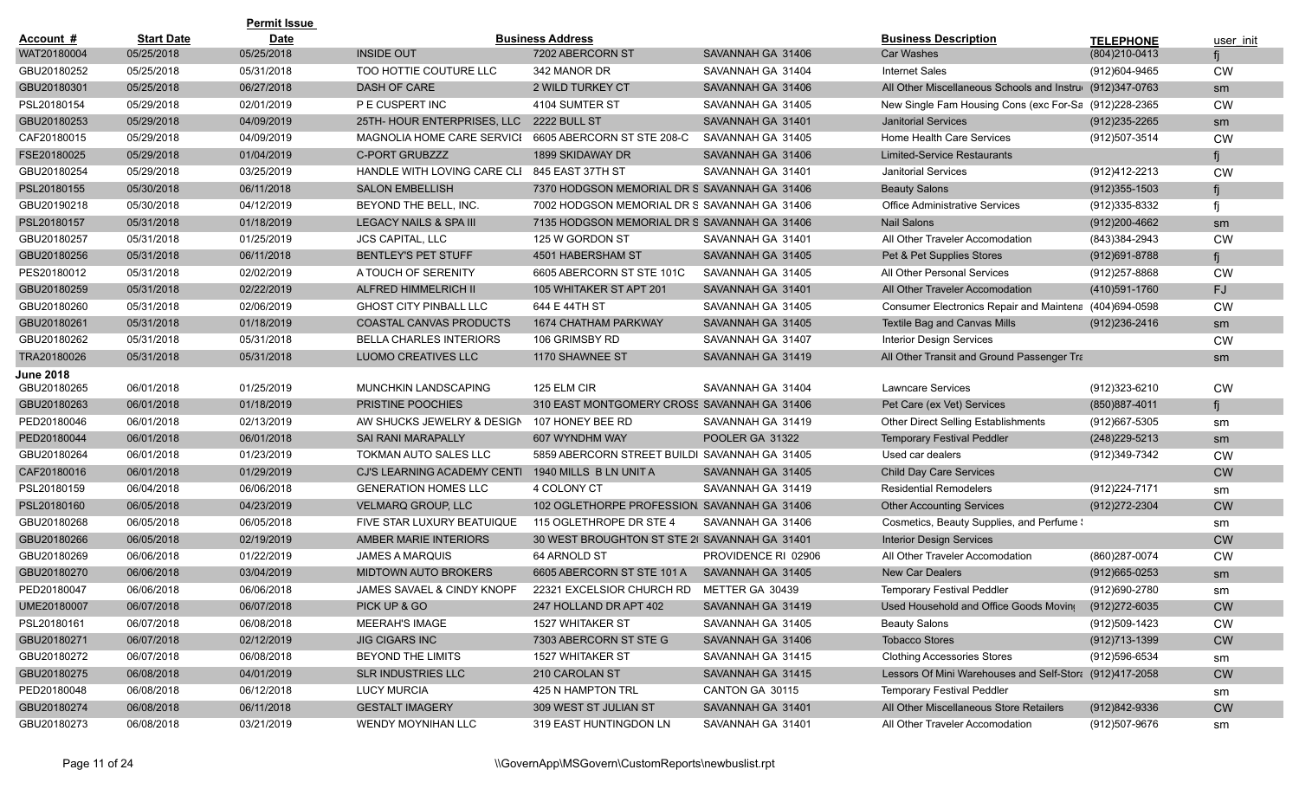|                  |                   | <b>Permit Issue</b> |                                |                                               |                     |                                                           |                   |           |
|------------------|-------------------|---------------------|--------------------------------|-----------------------------------------------|---------------------|-----------------------------------------------------------|-------------------|-----------|
| Account #        | <b>Start Date</b> | <b>Date</b>         |                                | <b>Business Address</b>                       |                     | <b>Business Description</b>                               | <b>TELEPHONE</b>  | user init |
| WAT20180004      | 05/25/2018        | 05/25/2018          | <b>INSIDE OUT</b>              | 7202 ABERCORN ST                              | SAVANNAH GA 31406   | <b>Car Washes</b>                                         | (804) 210-0413    |           |
| GBU20180252      | 05/25/2018        | 05/31/2018          | TOO HOTTIE COUTURE LLC         | 342 MANOR DR                                  | SAVANNAH GA 31404   | <b>Internet Sales</b>                                     | (912)604-9465     | <b>CW</b> |
| GBU20180301      | 05/25/2018        | 06/27/2018          | <b>DASH OF CARE</b>            | <b>2 WILD TURKEY CT</b>                       | SAVANNAH GA 31406   | All Other Miscellaneous Schools and Instrue (912)347-0763 |                   | sm        |
| PSL20180154      | 05/29/2018        | 02/01/2019          | P E CUSPERT INC                | 4104 SUMTER ST                                | SAVANNAH GA 31405   | New Single Fam Housing Cons (exc For-Sa (912)228-2365     |                   | <b>CW</b> |
| GBU20180253      | 05/29/2018        | 04/09/2019          | 25TH- HOUR ENTERPRISES, LLC    | <b>2222 BULL ST</b>                           | SAVANNAH GA 31401   | <b>Janitorial Services</b>                                | $(912)$ 235-2265  | sm        |
| CAF20180015      | 05/29/2018        | 04/09/2019          | MAGNOLIA HOME CARE SERVICI     | 6605 ABERCORN ST STE 208-C                    | SAVANNAH GA 31405   | Home Health Care Services                                 | (912)507-3514     | <b>CW</b> |
| FSE20180025      | 05/29/2018        | 01/04/2019          | <b>C-PORT GRUBZZZ</b>          | 1899 SKIDAWAY DR                              | SAVANNAH GA 31406   | <b>Limited-Service Restaurants</b>                        |                   |           |
| GBU20180254      | 05/29/2018        | 03/25/2019          | HANDLE WITH LOVING CARE CLI    | 845 EAST 37TH ST                              | SAVANNAH GA 31401   | <b>Janitorial Services</b>                                | (912)412-2213     | <b>CW</b> |
| PSL20180155      | 05/30/2018        | 06/11/2018          | <b>SALON EMBELLISH</b>         | 7370 HODGSON MEMORIAL DR S SAVANNAH GA 31406  |                     | <b>Beauty Salons</b>                                      | $(912)355 - 1503$ |           |
| GBU20190218      | 05/30/2018        | 04/12/2019          | BEYOND THE BELL, INC.          | 7002 HODGSON MEMORIAL DR S SAVANNAH GA 31406  |                     | <b>Office Administrative Services</b>                     | (912)335-8332     |           |
| PSL20180157      | 05/31/2018        | 01/18/2019          | LEGACY NAILS & SPA III         | 7135 HODGSON MEMORIAL DR S SAVANNAH GA 31406  |                     | <b>Nail Salons</b>                                        | $(912)200 - 4662$ | sm        |
| GBU20180257      | 05/31/2018        | 01/25/2019          | <b>JCS CAPITAL, LLC</b>        | 125 W GORDON ST                               | SAVANNAH GA 31401   | All Other Traveler Accomodation                           | (843)384-2943     | <b>CW</b> |
| GBU20180256      | 05/31/2018        | 06/11/2018          | <b>BENTLEY'S PET STUFF</b>     | 4501 HABERSHAM ST                             | SAVANNAH GA 31405   | Pet & Pet Supplies Stores                                 | $(912)691 - 8788$ |           |
| PES20180012      | 05/31/2018        | 02/02/2019          | A TOUCH OF SERENITY            | 6605 ABERCORN ST STE 101C                     | SAVANNAH GA 31405   | All Other Personal Services                               | (912)257-8868     | <b>CW</b> |
| GBU20180259      | 05/31/2018        | 02/22/2019          | <b>ALFRED HIMMELRICH II</b>    | 105 WHITAKER ST APT 201                       | SAVANNAH GA 31401   | All Other Traveler Accomodation                           | (410)591-1760     | FJ        |
| GBU20180260      | 05/31/2018        | 02/06/2019          | <b>GHOST CITY PINBALL LLC</b>  | 644 E 44TH ST                                 | SAVANNAH GA 31405   | Consumer Electronics Repair and Maintena (404)694-0598    |                   | <b>CW</b> |
| GBU20180261      | 05/31/2018        | 01/18/2019          | <b>COASTAL CANVAS PRODUCTS</b> | 1674 CHATHAM PARKWAY                          | SAVANNAH GA 31405   | Textile Bag and Canvas Mills                              | $(912)236 - 2416$ | sm        |
| GBU20180262      | 05/31/2018        | 05/31/2018          | <b>BELLA CHARLES INTERIORS</b> | 106 GRIMSBY RD                                | SAVANNAH GA 31407   | <b>Interior Design Services</b>                           |                   | <b>CW</b> |
| TRA20180026      | 05/31/2018        | 05/31/2018          | LUOMO CREATIVES LLC            | 1170 SHAWNEE ST                               | SAVANNAH GA 31419   | All Other Transit and Ground Passenger Tra                |                   | sm        |
| <b>June 2018</b> |                   |                     |                                |                                               |                     |                                                           |                   |           |
| GBU20180265      | 06/01/2018        | 01/25/2019          | <b>MUNCHKIN LANDSCAPING</b>    | 125 ELM CIR                                   | SAVANNAH GA 31404   | <b>Lawncare Services</b>                                  | (912)323-6210     | <b>CW</b> |
| GBU20180263      | 06/01/2018        | 01/18/2019          | PRISTINE POOCHIES              | 310 EAST MONTGOMERY CROSS SAVANNAH GA 31406   |                     | Pet Care (ex Vet) Services                                | (850)887-4011     |           |
| PED20180046      | 06/01/2018        | 02/13/2019          | AW SHUCKS JEWELRY & DESIGN     | 107 HONEY BEE RD                              | SAVANNAH GA 31419   | Other Direct Selling Establishments                       | (912)667-5305     | sm        |
| PED20180044      | 06/01/2018        | 06/01/2018          | <b>SAI RANI MARAPALLY</b>      | 607 WYNDHM WAY                                | POOLER GA 31322     | <b>Temporary Festival Peddler</b>                         | (248) 229-5213    | sm        |
| GBU20180264      | 06/01/2018        | 01/23/2019          | TOKMAN AUTO SALES LLC          | 5859 ABERCORN STREET BUILDI SAVANNAH GA 31405 |                     | Used car dealers                                          | (912)349-7342     | <b>CW</b> |
| CAF20180016      | 06/01/2018        | 01/29/2019          | CJ'S LEARNING ACADEMY CENTI    | 1940 MILLS B LN UNIT A                        | SAVANNAH GA 31405   | <b>Child Day Care Services</b>                            |                   | <b>CW</b> |
| PSL20180159      | 06/04/2018        | 06/06/2018          | <b>GENERATION HOMES LLC</b>    | 4 COLONY CT                                   | SAVANNAH GA 31419   | <b>Residential Remodelers</b>                             | (912) 224-7171    | sm        |
| PSL20180160      | 06/05/2018        | 04/23/2019          | <b>VELMARQ GROUP, LLC</b>      | 102 OGLETHORPE PROFESSION. SAVANNAH GA 31406  |                     | <b>Other Accounting Services</b>                          | (912)272-2304     | <b>CW</b> |
| GBU20180268      | 06/05/2018        | 06/05/2018          | FIVE STAR LUXURY BEATUIQUE     | 115 OGLETHROPE DR STE 4                       | SAVANNAH GA 31406   | Cosmetics, Beauty Supplies, and Perfume!                  |                   | sm        |
| GBU20180266      | 06/05/2018        | 02/19/2019          | <b>AMBER MARIE INTERIORS</b>   | 30 WEST BROUGHTON ST STE 2( SAVANNAH GA 31401 |                     | <b>Interior Design Services</b>                           |                   | <b>CW</b> |
| GBU20180269      | 06/06/2018        | 01/22/2019          | <b>JAMES A MARQUIS</b>         | 64 ARNOLD ST                                  | PROVIDENCE RI 02906 | All Other Traveler Accomodation                           | (860) 287-0074    | <b>CW</b> |
| GBU20180270      | 06/06/2018        | 03/04/2019          | <b>MIDTOWN AUTO BROKERS</b>    | 6605 ABERCORN ST STE 101 A                    | SAVANNAH GA 31405   | <b>New Car Dealers</b>                                    | $(912)665 - 0253$ | sm        |
| PED20180047      | 06/06/2018        | 06/06/2018          | JAMES SAVAEL & CINDY KNOPF     | 22321 EXCELSIOR CHURCH RD                     | METTER GA 30439     | <b>Temporary Festival Peddler</b>                         | (912)690-2780     | sm        |
| UME20180007      | 06/07/2018        | 06/07/2018          | PICK UP & GO                   | 247 HOLLAND DR APT 402                        | SAVANNAH GA 31419   | Used Household and Office Goods Movino                    | (912) 272-6035    | <b>CW</b> |
| PSL20180161      | 06/07/2018        | 06/08/2018          | <b>MEERAH'S IMAGE</b>          | 1527 WHITAKER ST                              | SAVANNAH GA 31405   | <b>Beauty Salons</b>                                      | (912)509-1423     | <b>CW</b> |
| GBU20180271      | 06/07/2018        | 02/12/2019          | <b>JIG CIGARS INC</b>          | 7303 ABERCORN ST STE G                        | SAVANNAH GA 31406   | <b>Tobacco Stores</b>                                     | (912)713-1399     | <b>CW</b> |
| GBU20180272      | 06/07/2018        | 06/08/2018          | BEYOND THE LIMITS              | 1527 WHITAKER ST                              | SAVANNAH GA 31415   | <b>Clothing Accessories Stores</b>                        | (912)596-6534     | sm        |
| GBU20180275      | 06/08/2018        | 04/01/2019          | <b>SLR INDUSTRIES LLC</b>      | 210 CAROLAN ST                                | SAVANNAH GA 31415   | Lessors Of Mini Warehouses and Self-Stor: (912)417-2058   |                   | <b>CW</b> |
| PED20180048      | 06/08/2018        | 06/12/2018          | <b>LUCY MURCIA</b>             | 425 N HAMPTON TRL                             | CANTON GA 30115     | <b>Temporary Festival Peddler</b>                         |                   | sm        |
| GBU20180274      | 06/08/2018        | 06/11/2018          | <b>GESTALT IMAGERY</b>         | 309 WEST ST JULIAN ST                         | SAVANNAH GA 31401   | All Other Miscellaneous Store Retailers                   | (912)842-9336     | <b>CW</b> |
| GBU20180273      | 06/08/2018        | 03/21/2019          | WENDY MOYNIHAN LLC             | 319 EAST HUNTINGDON LN                        | SAVANNAH GA 31401   | All Other Traveler Accomodation                           | (912)507-9676     | sm        |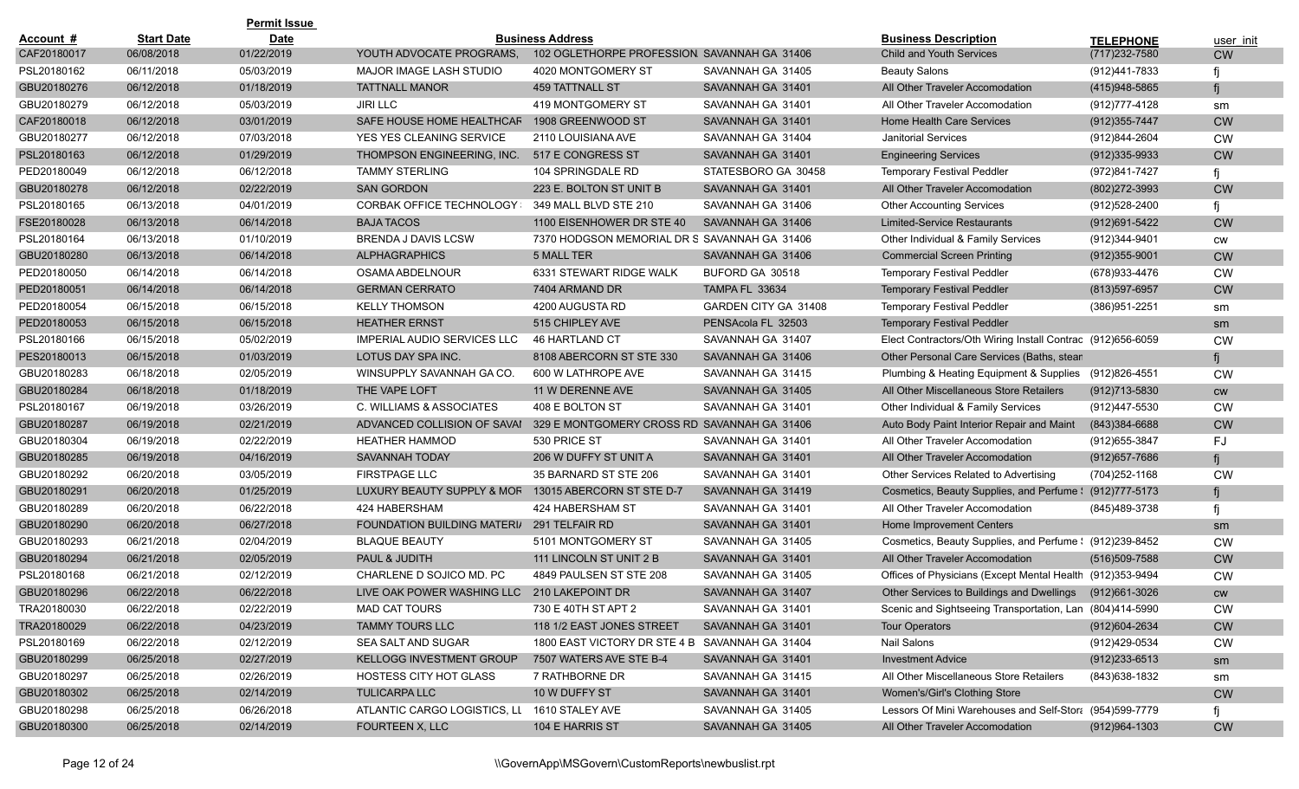|             |                   | <b>Permit Issue</b> |                                    |                                                |                      |                                                            |                   |           |
|-------------|-------------------|---------------------|------------------------------------|------------------------------------------------|----------------------|------------------------------------------------------------|-------------------|-----------|
| Account #   | <b>Start Date</b> | <b>Date</b>         |                                    | <b>Business Address</b>                        |                      | <b>Business Description</b>                                | <b>TELEPHONE</b>  | user init |
| CAF20180017 | 06/08/2018        | 01/22/2019          | YOUTH ADVOCATE PROGRAMS.           | 102 OGLETHORPE PROFESSION, SAVANNAH GA 31406   |                      | <b>Child and Youth Services</b>                            | (717) 232-7580    | <b>CW</b> |
| PSL20180162 | 06/11/2018        | 05/03/2019          | <b>MAJOR IMAGE LASH STUDIO</b>     | 4020 MONTGOMERY ST                             | SAVANNAH GA 31405    | <b>Beauty Salons</b>                                       | (912)441-7833     |           |
| GBU20180276 | 06/12/2018        | 01/18/2019          | <b>TATTNALL MANOR</b>              | <b>459 TATTNALL ST</b>                         | SAVANNAH GA 31401    | All Other Traveler Accomodation                            | (415)948-5865     |           |
| GBU20180279 | 06/12/2018        | 05/03/2019          | <b>JIRI LLC</b>                    | 419 MONTGOMERY ST                              | SAVANNAH GA 31401    | All Other Traveler Accomodation                            | (912) 777-4128    | sm        |
| CAF20180018 | 06/12/2018        | 03/01/2019          | SAFE HOUSE HOME HEALTHCAF          | 1908 GREENWOOD ST                              | SAVANNAH GA 31401    | <b>Home Health Care Services</b>                           | $(912)355 - 7447$ | <b>CW</b> |
| GBU20180277 | 06/12/2018        | 07/03/2018          | YES YES CLEANING SERVICE           | 2110 LOUISIANA AVE                             | SAVANNAH GA 31404    | <b>Janitorial Services</b>                                 | (912)844-2604     | <b>CW</b> |
| PSL20180163 | 06/12/2018        | 01/29/2019          | THOMPSON ENGINEERING, INC.         | 517 E CONGRESS ST                              | SAVANNAH GA 31401    | <b>Engineering Services</b>                                | $(912)335-9933$   | <b>CW</b> |
| PED20180049 | 06/12/2018        | 06/12/2018          | <b>TAMMY STERLING</b>              | 104 SPRINGDALE RD                              | STATESBORO GA 30458  | <b>Temporary Festival Peddler</b>                          | (972)841-7427     |           |
| GBU20180278 | 06/12/2018        | 02/22/2019          | <b>SAN GORDON</b>                  | 223 E. BOLTON ST UNIT B                        | SAVANNAH GA 31401    | All Other Traveler Accomodation                            | (802) 272-3993    | <b>CW</b> |
| PSL20180165 | 06/13/2018        | 04/01/2019          | <b>CORBAK OFFICE TECHNOLOGY:</b>   | 349 MALL BLVD STE 210                          | SAVANNAH GA 31406    | <b>Other Accounting Services</b>                           | (912)528-2400     |           |
| FSE20180028 | 06/13/2018        | 06/14/2018          | <b>BAJA TACOS</b>                  | 1100 EISENHOWER DR STE 40                      | SAVANNAH GA 31406    | <b>Limited-Service Restaurants</b>                         | (912) 691-5422    | <b>CW</b> |
| PSL20180164 | 06/13/2018        | 01/10/2019          | <b>BRENDA J DAVIS LCSW</b>         | 7370 HODGSON MEMORIAL DR S SAVANNAH GA 31406   |                      | Other Individual & Family Services                         | (912)344-9401     | CW        |
| GBU20180280 | 06/13/2018        | 06/14/2018          | <b>ALPHAGRAPHICS</b>               | <b>5 MALL TER</b>                              | SAVANNAH GA 31406    | <b>Commercial Screen Printing</b>                          | $(912)355-9001$   | <b>CW</b> |
| PED20180050 | 06/14/2018        | 06/14/2018          | OSAMA ABDELNOUR                    | 6331 STEWART RIDGE WALK                        | BUFORD GA 30518      | <b>Temporary Festival Peddler</b>                          | (678) 933-4476    | <b>CW</b> |
| PED20180051 | 06/14/2018        | 06/14/2018          | <b>GERMAN CERRATO</b>              | 7404 ARMAND DR                                 | TAMPA FL 33634       | <b>Temporary Festival Peddler</b>                          | (813) 597-6957    | <b>CW</b> |
| PED20180054 | 06/15/2018        | 06/15/2018          | <b>KELLY THOMSON</b>               | 4200 AUGUSTA RD                                | GARDEN CITY GA 31408 | <b>Temporary Festival Peddler</b>                          | (386)951-2251     | sm        |
| PED20180053 | 06/15/2018        | 06/15/2018          | <b>HEATHER ERNST</b>               | 515 CHIPLEY AVE                                | PENSAcola FL 32503   | <b>Temporary Festival Peddler</b>                          |                   | sm        |
| PSL20180166 | 06/15/2018        | 05/02/2019          | <b>IMPERIAL AUDIO SERVICES LLC</b> | 46 HARTLAND CT                                 | SAVANNAH GA 31407    | Elect Contractors/Oth Wiring Install Contrac (912)656-6059 |                   | <b>CW</b> |
| PES20180013 | 06/15/2018        | 01/03/2019          | LOTUS DAY SPA INC.                 | 8108 ABERCORN ST STE 330                       | SAVANNAH GA 31406    | Other Personal Care Services (Baths, stean                 |                   |           |
| GBU20180283 | 06/18/2018        | 02/05/2019          | WINSUPPLY SAVANNAH GA CO.          | 600 W LATHROPE AVE                             | SAVANNAH GA 31415    | Plumbing & Heating Equipment & Supplies (912)826-4551      |                   | <b>CW</b> |
| GBU20180284 | 06/18/2018        | 01/18/2019          | THE VAPE LOFT                      | 11 W DERENNE AVE                               | SAVANNAH GA 31405    | All Other Miscellaneous Store Retailers                    | $(912)713 - 5830$ | <b>CW</b> |
| PSL20180167 | 06/19/2018        | 03/26/2019          | C. WILLIAMS & ASSOCIATES           | 408 E BOLTON ST                                | SAVANNAH GA 31401    | Other Individual & Family Services                         | (912)447-5530     | <b>CW</b> |
| GBU20180287 | 06/19/2018        | 02/21/2019          | ADVANCED COLLISION OF SAVAI        | 329 E MONTGOMERY CROSS RD SAVANNAH GA 31406    |                      | Auto Body Paint Interior Repair and Maint                  | (843)384-6688     | <b>CW</b> |
| GBU20180304 | 06/19/2018        | 02/22/2019          | <b>HEATHER HAMMOD</b>              | 530 PRICE ST                                   | SAVANNAH GA 31401    | All Other Traveler Accomodation                            | (912) 655-3847    | FJ        |
| GBU20180285 | 06/19/2018        | 04/16/2019          | <b>SAVANNAH TODAY</b>              | 206 W DUFFY ST UNIT A                          | SAVANNAH GA 31401    | All Other Traveler Accomodation                            | (912) 657-7686    |           |
| GBU20180292 | 06/20/2018        | 03/05/2019          | <b>FIRSTPAGE LLC</b>               | 35 BARNARD ST STE 206                          | SAVANNAH GA 31401    | Other Services Related to Advertising                      | (704)252-1168     | <b>CW</b> |
| GBU20180291 | 06/20/2018        | 01/25/2019          | LUXURY BEAUTY SUPPLY & MOR         | 13015 ABERCORN ST STE D-7                      | SAVANNAH GA 31419    | Cosmetics, Beauty Supplies, and Perfume \ (912)777-5173    |                   |           |
| GBU20180289 | 06/20/2018        | 06/22/2018          | 424 HABERSHAM                      | 424 HABERSHAM ST                               | SAVANNAH GA 31401    | All Other Traveler Accomodation                            | (845)489-3738     |           |
| GBU20180290 | 06/20/2018        | 06/27/2018          | FOUNDATION BUILDING MATERIAL       | 291 TELFAIR RD                                 | SAVANNAH GA 31401    | Home Improvement Centers                                   |                   | sm        |
| GBU20180293 | 06/21/2018        | 02/04/2019          | <b>BLAQUE BEAUTY</b>               | 5101 MONTGOMERY ST                             | SAVANNAH GA 31405    | Cosmetics, Beauty Supplies, and Perfume \: (912)239-8452   |                   | <b>CW</b> |
| GBU20180294 | 06/21/2018        | 02/05/2019          | PAUL & JUDITH                      | 111 LINCOLN ST UNIT 2 B                        | SAVANNAH GA 31401    | All Other Traveler Accomodation                            | (516)509-7588     | <b>CW</b> |
| PSL20180168 | 06/21/2018        | 02/12/2019          | CHARLENE D SOJICO MD. PC           | 4849 PAULSEN ST STE 208                        | SAVANNAH GA 31405    | Offices of Physicians (Except Mental Health (912)353-9494  |                   | <b>CW</b> |
| GBU20180296 | 06/22/2018        | 06/22/2018          | LIVE OAK POWER WASHING LLC         | 210 LAKEPOINT DR                               | SAVANNAH GA 31407    | Other Services to Buildings and Dwellings                  | (912)661-3026     | <b>CW</b> |
| TRA20180030 | 06/22/2018        | 02/22/2019          | <b>MAD CAT TOURS</b>               | 730 E 40TH ST APT 2                            | SAVANNAH GA 31401    | Scenic and Sightseeing Transportation, Lan (804)414-5990   |                   | <b>CW</b> |
| TRA20180029 | 06/22/2018        | 04/23/2019          | <b>TAMMY TOURS LLC</b>             | 118 1/2 EAST JONES STREET                      | SAVANNAH GA 31401    | <b>Tour Operators</b>                                      | (912) 604-2634    | CW        |
| PSL20180169 | 06/22/2018        | 02/12/2019          | SEA SALT AND SUGAR                 | 1800 EAST VICTORY DR STE 4 B SAVANNAH GA 31404 |                      | Nail Salons                                                | (912)429-0534     | CW        |
| GBU20180299 | 06/25/2018        | 02/27/2019          | KELLOGG INVESTMENT GROUP           | 7507 WATERS AVE STE B-4                        | SAVANNAH GA 31401    | <b>Investment Advice</b>                                   | $(912)233 - 6513$ | sm        |
| GBU20180297 | 06/25/2018        | 02/26/2019          | <b>HOSTESS CITY HOT GLASS</b>      | 7 RATHBORNE DR                                 | SAVANNAH GA 31415    | All Other Miscellaneous Store Retailers                    | (843) 638-1832    | sm        |
| GBU20180302 | 06/25/2018        | 02/14/2019          | <b>TULICARPA LLC</b>               | 10 W DUFFY ST                                  | SAVANNAH GA 31401    | Women's/Girl's Clothing Store                              |                   | <b>CW</b> |
| GBU20180298 | 06/25/2018        | 06/26/2018          | ATLANTIC CARGO LOGISTICS, LL       | 1610 STALEY AVE                                | SAVANNAH GA 31405    | Lessors Of Mini Warehouses and Self-Stora (954)599-7779    |                   |           |
| GBU20180300 | 06/25/2018        | 02/14/2019          | FOURTEEN X, LLC                    | 104 E HARRIS ST                                | SAVANNAH GA 31405    | All Other Traveler Accomodation                            | (912) 964-1303    | <b>CW</b> |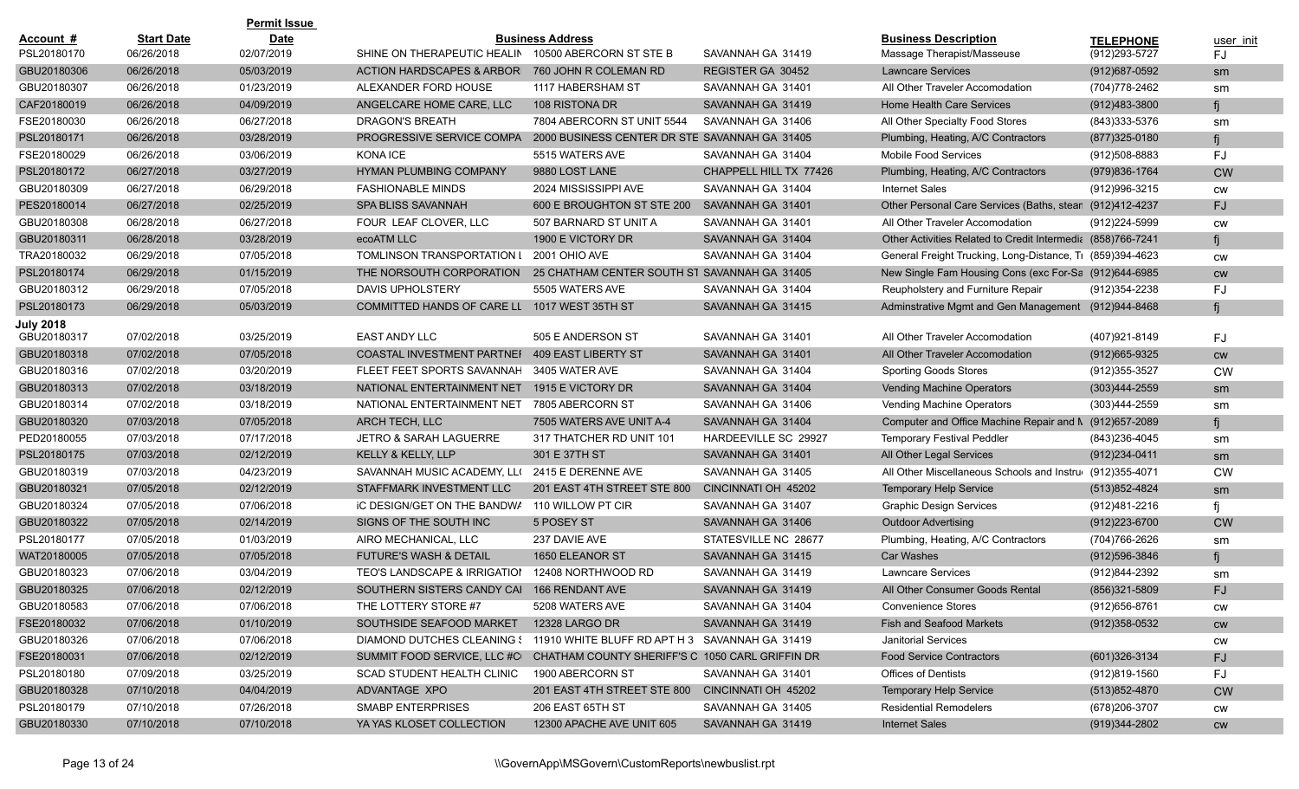|                  |                   | <b>Permit Issue</b> |                                                                              |                                                 |                        |                                                             |                   |           |
|------------------|-------------------|---------------------|------------------------------------------------------------------------------|-------------------------------------------------|------------------------|-------------------------------------------------------------|-------------------|-----------|
| Account #        | <b>Start Date</b> | <b>Date</b>         |                                                                              | <b>Business Address</b>                         |                        | <b>Business Description</b>                                 | <b>TELEPHONE</b>  | user init |
| PSL20180170      | 06/26/2018        | 02/07/2019          | SHINE ON THERAPEUTIC HEALIN                                                  | 10500 ABERCORN ST STE B                         | SAVANNAH GA 31419      | Massage Therapist/Masseuse                                  | (912) 293-5727    | FJ        |
| GBU20180306      | 06/26/2018        | 05/03/2019          | <b>ACTION HARDSCAPES &amp; ARBORI</b>                                        | 760 JOHN R COLEMAN RD                           | REGISTER GA 30452      | <b>Lawncare Services</b>                                    | $(912)687 - 0592$ | sm        |
| GBU20180307      | 06/26/2018        | 01/23/2019          | ALEXANDER FORD HOUSE                                                         | 1117 HABERSHAM ST                               | SAVANNAH GA 31401      | All Other Traveler Accomodation                             | (704) 778-2462    | sm        |
| CAF20180019      | 06/26/2018        | 04/09/2019          | ANGELCARE HOME CARE, LLC                                                     | 108 RISTONA DR                                  | SAVANNAH GA 31419      | <b>Home Health Care Services</b>                            | (912)483-3800     |           |
| FSE20180030      | 06/26/2018        | 06/27/2018          | DRAGON'S BREATH                                                              | 7804 ABERCORN ST UNIT 5544                      | SAVANNAH GA 31406      | All Other Specialty Food Stores                             | (843) 333-5376    | sm        |
| PSL20180171      | 06/26/2018        | 03/28/2019          | PROGRESSIVE SERVICE COMPA                                                    | 2000 BUSINESS CENTER DR STE SAVANNAH GA 31405   |                        | Plumbing, Heating, A/C Contractors                          | $(877)325 - 0180$ | fi        |
| FSE20180029      | 06/26/2018        | 03/06/2019          | KONA ICE                                                                     | 5515 WATERS AVE                                 | SAVANNAH GA 31404      | <b>Mobile Food Services</b>                                 | (912)508-8883     | FJ        |
| PSL20180172      | 06/27/2018        | 03/27/2019          | <b>HYMAN PLUMBING COMPANY</b>                                                | 9880 LOST LANE                                  | CHAPPELL HILL TX 77426 | Plumbing, Heating, A/C Contractors                          | (979) 836-1764    | <b>CW</b> |
| GBU20180309      | 06/27/2018        | 06/29/2018          | <b>FASHIONABLE MINDS</b>                                                     | 2024 MISSISSIPPI AVE                            | SAVANNAH GA 31404      | <b>Internet Sales</b>                                       | (912) 996-3215    | CW        |
| PES20180014      | 06/27/2018        | 02/25/2019          | <b>SPA BLISS SAVANNAH</b>                                                    | 600 E BROUGHTON ST STE 200                      | SAVANNAH GA 31401      | Other Personal Care Services (Baths, stean (912)412-4237    |                   | <b>FJ</b> |
| GBU20180308      | 06/28/2018        | 06/27/2018          | FOUR LEAF CLOVER, LLC                                                        | 507 BARNARD ST UNIT A                           | SAVANNAH GA 31401      | All Other Traveler Accomodation                             | (912) 224-5999    | CW        |
| GBU20180311      | 06/28/2018        | 03/28/2019          | ecoATM LLC                                                                   | 1900 E VICTORY DR                               | SAVANNAH GA 31404      | Other Activities Related to Credit Intermedia (858)766-7241 |                   | fi        |
| TRA20180032      | 06/29/2018        | 07/05/2018          | TOMLINSON TRANSPORTATION I                                                   | 2001 OHIO AVE                                   | SAVANNAH GA 31404      | General Freight Trucking, Long-Distance, Tr (859)394-4623   |                   | CW        |
| PSL20180174      | 06/29/2018        | 01/15/2019          | THE NORSOUTH CORPORATION                                                     | 25 CHATHAM CENTER SOUTH ST SAVANNAH GA 31405    |                        | New Single Fam Housing Cons (exc For-Sa (912)644-6985       |                   | <b>CW</b> |
| GBU20180312      | 06/29/2018        | 07/05/2018          | <b>DAVIS UPHOLSTERY</b>                                                      | 5505 WATERS AVE                                 | SAVANNAH GA 31404      | Reupholstery and Furniture Repair                           | (912) 354-2238    | FJ        |
| PSL20180173      | 06/29/2018        | 05/03/2019          | COMMITTED HANDS OF CARE LL                                                   | 1017 WEST 35TH ST                               | SAVANNAH GA 31415      | Adminstrative Mgmt and Gen Management (912)944-8468         |                   | fi        |
| <b>July 2018</b> |                   |                     |                                                                              |                                                 |                        |                                                             |                   |           |
| GBU20180317      | 07/02/2018        | 03/25/2019          | EAST ANDY LLC                                                                | 505 E ANDERSON ST                               | SAVANNAH GA 31401      | All Other Traveler Accomodation                             | (407)921-8149     | FJ        |
| GBU20180318      | 07/02/2018        | 07/05/2018          | COASTAL INVESTMENT PARTNEF                                                   | <b>409 EAST LIBERTY ST</b>                      | SAVANNAH GA 31401      | All Other Traveler Accomodation                             | $(912)665 - 9325$ | <b>CW</b> |
| GBU20180316      | 07/02/2018        | 03/20/2019          | FLEET FEET SPORTS SAVANNAH                                                   | 3405 WATER AVE                                  | SAVANNAH GA 31404      | <b>Sporting Goods Stores</b>                                | (912) 355-3527    | <b>CW</b> |
| GBU20180313      | 07/02/2018        | 03/18/2019          | NATIONAL ENTERTAINMENT NET                                                   | 1915 E VICTORY DR                               | SAVANNAH GA 31404      | Vending Machine Operators                                   | $(303)444 - 2559$ | sm        |
| GBU20180314      | 07/02/2018        | 03/18/2019          | NATIONAL ENTERTAINMENT NET                                                   | 7805 ABERCORN ST                                | SAVANNAH GA 31406      | Vending Machine Operators                                   | (303)444-2559     | sm        |
| GBU20180320      | 07/03/2018        | 07/05/2018          | <b>ARCH TECH, LLC</b>                                                        | 7505 WATERS AVE UNIT A-4                        | SAVANNAH GA 31404      | Computer and Office Machine Repair and M (912)657-2089      |                   | fi        |
| PED20180055      | 07/03/2018        | 07/17/2018          | <b>JETRO &amp; SARAH LAGUERRE</b>                                            | 317 THATCHER RD UNIT 101                        | HARDEEVILLE SC 29927   | <b>Temporary Festival Peddler</b>                           | (843) 236-4045    | sm        |
| PSL20180175      | 07/03/2018        | 02/12/2019          | KELLY & KELLY, LLP                                                           | 301 E 37TH ST                                   | SAVANNAH GA 31401      | All Other Legal Services                                    | (912)234-0411     | sm        |
| GBU20180319      | 07/03/2018        | 04/23/2019          | SAVANNAH MUSIC ACADEMY, LLO                                                  | 2415 E DERENNE AVE                              | SAVANNAH GA 31405      | All Other Miscellaneous Schools and Instru (912)355-4071    |                   | <b>CW</b> |
| GBU20180321      | 07/05/2018        | 02/12/2019          | STAFFMARK INVESTMENT LLC                                                     | 201 EAST 4TH STREET STE 800                     | CINCINNATI OH 45202    | <b>Temporary Help Service</b>                               | (513) 852-4824    | sm        |
| GBU20180324      | 07/05/2018        | 07/06/2018          | IC DESIGN/GET ON THE BANDWA                                                  | 110 WILLOW PT CIR                               | SAVANNAH GA 31407      | <b>Graphic Design Services</b>                              | (912)481-2216     |           |
| GBU20180322      | 07/05/2018        | 02/14/2019          | SIGNS OF THE SOUTH INC                                                       | 5 POSEY ST                                      | SAVANNAH GA 31406      | <b>Outdoor Advertising</b>                                  | $(912)223 - 6700$ | <b>CW</b> |
| PSL20180177      | 07/05/2018        | 01/03/2019          | AIRO MECHANICAL, LLC                                                         | 237 DAVIE AVE                                   | STATESVILLE NC 28677   | Plumbing, Heating, A/C Contractors                          | (704) 766-2626    | sm        |
| WAT20180005      | 07/05/2018        | 07/05/2018          | <b>FUTURE'S WASH &amp; DETAIL</b>                                            | 1650 ELEANOR ST                                 | SAVANNAH GA 31415      | <b>Car Washes</b>                                           | $(912)596 - 3846$ |           |
| GBU20180323      | 07/06/2018        | 03/04/2019          | <b>TEO'S LANDSCAPE &amp; IRRIGATION</b>                                      | 12408 NORTHWOOD RD                              | SAVANNAH GA 31419      | <b>Lawncare Services</b>                                    | (912)844-2392     | sm        |
| GBU20180325      | 07/06/2018        | 02/12/2019          | SOUTHERN SISTERS CANDY CAI                                                   | 166 RENDANT AVE                                 | SAVANNAH GA 31419      | All Other Consumer Goods Rental                             | $(856)321 - 5809$ | <b>FJ</b> |
| GBU20180583      | 07/06/2018        | 07/06/2018          | THE LOTTERY STORE #7                                                         | 5208 WATERS AVE                                 | SAVANNAH GA 31404      | <b>Convenience Stores</b>                                   | (912) 656-8761    | <b>CW</b> |
| FSE20180032      | 07/06/2018        | 01/10/2019          | SOUTHSIDE SEAFOOD MARKET                                                     | 12328 LARGO DR                                  | SAVANNAH GA 31419      | Fish and Seafood Markets                                    | $(912)358-0532$   | <b>CW</b> |
| GBU20180326      | 07/06/2018        | 07/06/2018          | DIAMOND DUTCHES CLEANING : 11910 WHITE BLUFF RD APT H 3 SAVANNAH GA 31419    |                                                 |                        | <b>Janitorial Services</b>                                  |                   | CW        |
| FSE20180031      | 07/06/2018        | 02/12/2019          | SUMMIT FOOD SERVICE, LLC #CI CHATHAM COUNTY SHERIFF'S C 1050 CARL GRIFFIN DR |                                                 |                        | <b>Food Service Contractors</b>                             | (601)326-3134     | <b>FJ</b> |
| PSL20180180      | 07/09/2018        | 03/25/2019          | SCAD STUDENT HEALTH CLINIC                                                   | 1900 ABERCORN ST                                | SAVANNAH GA 31401      | <b>Offices of Dentists</b>                                  | (912)819-1560     | FJ        |
| GBU20180328      | 07/10/2018        | 04/04/2019          | ADVANTAGE XPO                                                                | 201 EAST 4TH STREET STE 800 CINCINNATI OH 45202 |                        | <b>Temporary Help Service</b>                               | (513)852-4870     | <b>CW</b> |
| PSL20180179      | 07/10/2018        | 07/26/2018          | SMABP ENTERPRISES                                                            | 206 EAST 65TH ST                                | SAVANNAH GA 31405      | <b>Residential Remodelers</b>                               | (678) 206-3707    | <b>CW</b> |
| GBU20180330      | 07/10/2018        | 07/10/2018          | YA YAS KLOSET COLLECTION                                                     | 12300 APACHE AVE UNIT 605                       | SAVANNAH GA 31419      | <b>Internet Sales</b>                                       | (919)344-2802     | <b>CW</b> |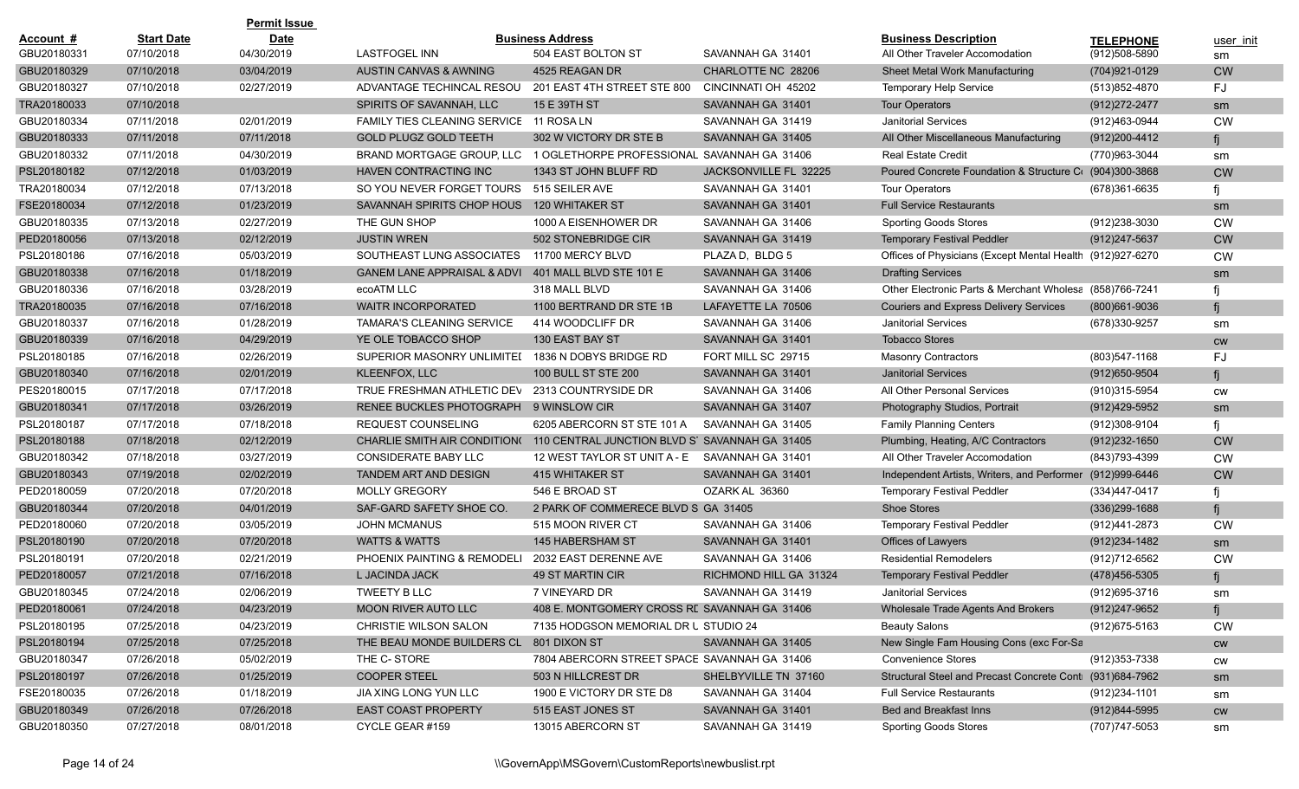| <b>Start Date</b><br><b>Date</b><br><b>Business Address</b><br><b>Business Description</b><br>Account #<br><b>TELEPHONE</b><br>GBU20180331<br>07/10/2018<br>04/30/2019<br><b>LASTFOGEL INN</b><br>504 EAST BOLTON ST<br>SAVANNAH GA 31401<br>All Other Traveler Accomodation<br>(912)508-5890<br>GBU20180329<br>07/10/2018<br>03/04/2019<br>AUSTIN CANVAS & AWNING<br>4525 REAGAN DR<br>CHARLOTTE NC 28206<br>(704) 921-0129<br>Sheet Metal Work Manufacturing<br>GBU20180327<br>07/10/2018<br>02/27/2019<br>ADVANTAGE TECHINCAL RESOU<br>201 EAST 4TH STREET STE 800<br>CINCINNATI OH 45202<br><b>Temporary Help Service</b><br>(513)852-4870<br>TRA20180033<br>07/10/2018<br>SPIRITS OF SAVANNAH, LLC<br>15 E 39TH ST<br>SAVANNAH GA 31401<br><b>Tour Operators</b><br>(912) 272-2477<br>GBU20180334<br>07/11/2018<br>02/01/2019<br>FAMILY TIES CLEANING SERVICE 11 ROSA LN<br>SAVANNAH GA 31419<br><b>Janitorial Services</b><br>(912)463-0944<br>07/11/2018<br>GBU20180333<br>07/11/2018<br><b>GOLD PLUGZ GOLD TEETH</b><br>302 W VICTORY DR STE B<br>SAVANNAH GA 31405<br>All Other Miscellaneous Manufacturing<br>(912) 200-4412<br>GBU20180332<br>07/11/2018<br>04/30/2019<br>BRAND MORTGAGE GROUP, LLC<br>1 OGLETHORPE PROFESSIONAL SAVANNAH GA 31406<br><b>Real Estate Credit</b><br>(770)963-3044<br>PSL20180182<br>07/12/2018<br>01/03/2019<br>HAVEN CONTRACTING INC<br>1343 ST JOHN BLUFF RD<br>JACKSONVILLE FL 32225<br>Poured Concrete Foundation & Structure C (904)300-3868<br>515 SEILER AVE<br>TRA20180034<br>07/12/2018<br>07/13/2018<br>SO YOU NEVER FORGET TOURS<br>SAVANNAH GA 31401<br><b>Tour Operators</b><br>(678)361-6635 | user init<br>sm<br><b>CW</b><br>FJ |
|------------------------------------------------------------------------------------------------------------------------------------------------------------------------------------------------------------------------------------------------------------------------------------------------------------------------------------------------------------------------------------------------------------------------------------------------------------------------------------------------------------------------------------------------------------------------------------------------------------------------------------------------------------------------------------------------------------------------------------------------------------------------------------------------------------------------------------------------------------------------------------------------------------------------------------------------------------------------------------------------------------------------------------------------------------------------------------------------------------------------------------------------------------------------------------------------------------------------------------------------------------------------------------------------------------------------------------------------------------------------------------------------------------------------------------------------------------------------------------------------------------------------------------------------------------------------------------------------------------------------------------------------------|------------------------------------|
|                                                                                                                                                                                                                                                                                                                                                                                                                                                                                                                                                                                                                                                                                                                                                                                                                                                                                                                                                                                                                                                                                                                                                                                                                                                                                                                                                                                                                                                                                                                                                                                                                                                      |                                    |
|                                                                                                                                                                                                                                                                                                                                                                                                                                                                                                                                                                                                                                                                                                                                                                                                                                                                                                                                                                                                                                                                                                                                                                                                                                                                                                                                                                                                                                                                                                                                                                                                                                                      |                                    |
|                                                                                                                                                                                                                                                                                                                                                                                                                                                                                                                                                                                                                                                                                                                                                                                                                                                                                                                                                                                                                                                                                                                                                                                                                                                                                                                                                                                                                                                                                                                                                                                                                                                      |                                    |
|                                                                                                                                                                                                                                                                                                                                                                                                                                                                                                                                                                                                                                                                                                                                                                                                                                                                                                                                                                                                                                                                                                                                                                                                                                                                                                                                                                                                                                                                                                                                                                                                                                                      |                                    |
|                                                                                                                                                                                                                                                                                                                                                                                                                                                                                                                                                                                                                                                                                                                                                                                                                                                                                                                                                                                                                                                                                                                                                                                                                                                                                                                                                                                                                                                                                                                                                                                                                                                      | sm                                 |
|                                                                                                                                                                                                                                                                                                                                                                                                                                                                                                                                                                                                                                                                                                                                                                                                                                                                                                                                                                                                                                                                                                                                                                                                                                                                                                                                                                                                                                                                                                                                                                                                                                                      | <b>CW</b>                          |
|                                                                                                                                                                                                                                                                                                                                                                                                                                                                                                                                                                                                                                                                                                                                                                                                                                                                                                                                                                                                                                                                                                                                                                                                                                                                                                                                                                                                                                                                                                                                                                                                                                                      | fi                                 |
|                                                                                                                                                                                                                                                                                                                                                                                                                                                                                                                                                                                                                                                                                                                                                                                                                                                                                                                                                                                                                                                                                                                                                                                                                                                                                                                                                                                                                                                                                                                                                                                                                                                      | sm                                 |
|                                                                                                                                                                                                                                                                                                                                                                                                                                                                                                                                                                                                                                                                                                                                                                                                                                                                                                                                                                                                                                                                                                                                                                                                                                                                                                                                                                                                                                                                                                                                                                                                                                                      | <b>CW</b>                          |
|                                                                                                                                                                                                                                                                                                                                                                                                                                                                                                                                                                                                                                                                                                                                                                                                                                                                                                                                                                                                                                                                                                                                                                                                                                                                                                                                                                                                                                                                                                                                                                                                                                                      | fi                                 |
| 01/23/2019<br>FSE20180034<br>07/12/2018<br>SAVANNAH SPIRITS CHOP HOUS<br><b>120 WHITAKER ST</b><br>SAVANNAH GA 31401<br><b>Full Service Restaurants</b>                                                                                                                                                                                                                                                                                                                                                                                                                                                                                                                                                                                                                                                                                                                                                                                                                                                                                                                                                                                                                                                                                                                                                                                                                                                                                                                                                                                                                                                                                              | sm                                 |
| GBU20180335<br>07/13/2018<br>02/27/2019<br>THE GUN SHOP<br>1000 A EISENHOWER DR<br>SAVANNAH GA 31406<br><b>Sporting Goods Stores</b><br>(912) 238-3030                                                                                                                                                                                                                                                                                                                                                                                                                                                                                                                                                                                                                                                                                                                                                                                                                                                                                                                                                                                                                                                                                                                                                                                                                                                                                                                                                                                                                                                                                               | <b>CW</b>                          |
| 02/12/2019<br><b>JUSTIN WREN</b><br>PED20180056<br>07/13/2018<br>502 STONEBRIDGE CIR<br>SAVANNAH GA 31419<br><b>Temporary Festival Peddler</b><br>(912)247-5637                                                                                                                                                                                                                                                                                                                                                                                                                                                                                                                                                                                                                                                                                                                                                                                                                                                                                                                                                                                                                                                                                                                                                                                                                                                                                                                                                                                                                                                                                      | <b>CW</b>                          |
| 05/03/2019<br>SOUTHEAST LUNG ASSOCIATES<br>PSL20180186<br>07/16/2018<br>11700 MERCY BLVD<br>PLAZA D, BLDG 5<br>Offices of Physicians (Except Mental Health (912)927-6270                                                                                                                                                                                                                                                                                                                                                                                                                                                                                                                                                                                                                                                                                                                                                                                                                                                                                                                                                                                                                                                                                                                                                                                                                                                                                                                                                                                                                                                                             | <b>CW</b>                          |
| GBU20180338<br>07/16/2018<br>01/18/2019<br><b>GANEM LANE APPRAISAL &amp; ADVI</b><br>401 MALL BLVD STE 101 E<br>SAVANNAH GA 31406<br><b>Drafting Services</b>                                                                                                                                                                                                                                                                                                                                                                                                                                                                                                                                                                                                                                                                                                                                                                                                                                                                                                                                                                                                                                                                                                                                                                                                                                                                                                                                                                                                                                                                                        | sm                                 |
| GBU20180336<br>07/16/2018<br>03/28/2019<br>ecoATM LLC<br>318 MALL BLVD<br>SAVANNAH GA 31406<br>Other Electronic Parts & Merchant Wholesa (858)766-7241                                                                                                                                                                                                                                                                                                                                                                                                                                                                                                                                                                                                                                                                                                                                                                                                                                                                                                                                                                                                                                                                                                                                                                                                                                                                                                                                                                                                                                                                                               |                                    |
| 07/16/2018<br>TRA20180035<br>07/16/2018<br><b>WAITR INCORPORATED</b><br>1100 BERTRAND DR STE 1B<br>LAFAYETTE LA 70506<br><b>Couriers and Express Delivery Services</b><br>$(800)661 - 9036$                                                                                                                                                                                                                                                                                                                                                                                                                                                                                                                                                                                                                                                                                                                                                                                                                                                                                                                                                                                                                                                                                                                                                                                                                                                                                                                                                                                                                                                          |                                    |
| GBU20180337<br>07/16/2018<br>01/28/2019<br>414 WOODCLIFF DR<br><b>TAMARA'S CLEANING SERVICE</b><br>SAVANNAH GA 31406<br><b>Janitorial Services</b><br>(678)330-9257                                                                                                                                                                                                                                                                                                                                                                                                                                                                                                                                                                                                                                                                                                                                                                                                                                                                                                                                                                                                                                                                                                                                                                                                                                                                                                                                                                                                                                                                                  | sm                                 |
| GBU20180339<br>07/16/2018<br>04/29/2019<br>YE OLE TOBACCO SHOP<br>130 EAST BAY ST<br>SAVANNAH GA 31401<br><b>Tobacco Stores</b>                                                                                                                                                                                                                                                                                                                                                                                                                                                                                                                                                                                                                                                                                                                                                                                                                                                                                                                                                                                                                                                                                                                                                                                                                                                                                                                                                                                                                                                                                                                      | <b>CW</b>                          |
| PSL20180185<br>07/16/2018<br>02/26/2019<br>SUPERIOR MASONRY UNLIMITED<br>1836 N DOBYS BRIDGE RD<br>FORT MILL SC 29715<br><b>Masonry Contractors</b><br>(803) 547-1168                                                                                                                                                                                                                                                                                                                                                                                                                                                                                                                                                                                                                                                                                                                                                                                                                                                                                                                                                                                                                                                                                                                                                                                                                                                                                                                                                                                                                                                                                | FJ                                 |
| GBU20180340<br>02/01/2019<br>KLEENFOX, LLC<br>100 BULL ST STE 200<br>07/16/2018<br>SAVANNAH GA 31401<br><b>Janitorial Services</b><br>$(912)650 - 9504$                                                                                                                                                                                                                                                                                                                                                                                                                                                                                                                                                                                                                                                                                                                                                                                                                                                                                                                                                                                                                                                                                                                                                                                                                                                                                                                                                                                                                                                                                              | fi                                 |
| 07/17/2018<br>07/17/2018<br>TRUE FRESHMAN ATHLETIC DEV<br>PES20180015<br>2313 COUNTRYSIDE DR<br>SAVANNAH GA 31406<br>All Other Personal Services<br>(910)315-5954                                                                                                                                                                                                                                                                                                                                                                                                                                                                                                                                                                                                                                                                                                                                                                                                                                                                                                                                                                                                                                                                                                                                                                                                                                                                                                                                                                                                                                                                                    | <b>CW</b>                          |
| 03/26/2019<br>GBU20180341<br>07/17/2018<br>RENEE BUCKLES PHOTOGRAPH<br>9 WINSLOW CIR<br>SAVANNAH GA 31407<br>Photography Studios, Portrait<br>(912)429-5952                                                                                                                                                                                                                                                                                                                                                                                                                                                                                                                                                                                                                                                                                                                                                                                                                                                                                                                                                                                                                                                                                                                                                                                                                                                                                                                                                                                                                                                                                          | sm                                 |
| PSL20180187<br>07/17/2018<br>07/18/2018<br><b>REQUEST COUNSELING</b><br>6205 ABERCORN ST STE 101 A<br>SAVANNAH GA 31405<br><b>Family Planning Centers</b><br>(912)308-9104                                                                                                                                                                                                                                                                                                                                                                                                                                                                                                                                                                                                                                                                                                                                                                                                                                                                                                                                                                                                                                                                                                                                                                                                                                                                                                                                                                                                                                                                           | fi                                 |
| PSL20180188<br>07/18/2018<br>02/12/2019<br>CHARLIE SMITH AIR CONDITION( 110 CENTRAL JUNCTION BLVD S' SAVANNAH GA 31405<br>Plumbing, Heating, A/C Contractors<br>$(912)232 - 1650$                                                                                                                                                                                                                                                                                                                                                                                                                                                                                                                                                                                                                                                                                                                                                                                                                                                                                                                                                                                                                                                                                                                                                                                                                                                                                                                                                                                                                                                                    | <b>CW</b>                          |
| GBU20180342<br>07/18/2018<br>03/27/2019<br><b>CONSIDERATE BABY LLC</b><br>12 WEST TAYLOR ST UNIT A - E<br>All Other Traveler Accomodation<br>(843) 793-4399<br>SAVANNAH GA 31401                                                                                                                                                                                                                                                                                                                                                                                                                                                                                                                                                                                                                                                                                                                                                                                                                                                                                                                                                                                                                                                                                                                                                                                                                                                                                                                                                                                                                                                                     | <b>CW</b>                          |
| GBU20180343<br>02/02/2019<br><b>TANDEM ART AND DESIGN</b><br>415 WHITAKER ST<br>Independent Artists, Writers, and Performer (912)999-6446<br>07/19/2018<br>SAVANNAH GA 31401                                                                                                                                                                                                                                                                                                                                                                                                                                                                                                                                                                                                                                                                                                                                                                                                                                                                                                                                                                                                                                                                                                                                                                                                                                                                                                                                                                                                                                                                         | <b>CW</b>                          |
| <b>MOLLY GREGORY</b><br>OZARK AL 36360<br>PED20180059<br>07/20/2018<br>07/20/2018<br>546 E BROAD ST<br><b>Temporary Festival Peddler</b><br>(334)447-0417                                                                                                                                                                                                                                                                                                                                                                                                                                                                                                                                                                                                                                                                                                                                                                                                                                                                                                                                                                                                                                                                                                                                                                                                                                                                                                                                                                                                                                                                                            | fi                                 |
| GBU20180344<br>07/20/2018<br>04/01/2019<br>SAF-GARD SAFETY SHOE CO.<br>2 PARK OF COMMERECE BLVD S GA 31405<br><b>Shoe Stores</b><br>$(336)$ 299-1688                                                                                                                                                                                                                                                                                                                                                                                                                                                                                                                                                                                                                                                                                                                                                                                                                                                                                                                                                                                                                                                                                                                                                                                                                                                                                                                                                                                                                                                                                                 | fi                                 |
| 03/05/2019<br><b>JOHN MCMANUS</b><br>SAVANNAH GA 31406<br>PED20180060<br>07/20/2018<br>515 MOON RIVER CT<br><b>Temporary Festival Peddler</b><br>(912)441-2873                                                                                                                                                                                                                                                                                                                                                                                                                                                                                                                                                                                                                                                                                                                                                                                                                                                                                                                                                                                                                                                                                                                                                                                                                                                                                                                                                                                                                                                                                       | <b>CW</b>                          |
| PSL20180190<br>07/20/2018<br>07/20/2018<br><b>WATTS &amp; WATTS</b><br><b>145 HABERSHAM ST</b><br>SAVANNAH GA 31401<br>Offices of Lawyers<br>$(912)$ 234-1482                                                                                                                                                                                                                                                                                                                                                                                                                                                                                                                                                                                                                                                                                                                                                                                                                                                                                                                                                                                                                                                                                                                                                                                                                                                                                                                                                                                                                                                                                        | sm                                 |
| PSL20180191<br>07/20/2018<br>02/21/2019<br>PHOENIX PAINTING & REMODELI<br>2032 EAST DERENNE AVE<br>SAVANNAH GA 31406<br><b>Residential Remodelers</b><br>(912)712-6562                                                                                                                                                                                                                                                                                                                                                                                                                                                                                                                                                                                                                                                                                                                                                                                                                                                                                                                                                                                                                                                                                                                                                                                                                                                                                                                                                                                                                                                                               | <b>CW</b>                          |
| PED20180057<br>07/21/2018<br>07/16/2018<br>L JACINDA JACK<br><b>49 ST MARTIN CIR</b><br>RICHMOND HILL GA 31324<br><b>Temporary Festival Peddler</b><br>(478) 456-5305                                                                                                                                                                                                                                                                                                                                                                                                                                                                                                                                                                                                                                                                                                                                                                                                                                                                                                                                                                                                                                                                                                                                                                                                                                                                                                                                                                                                                                                                                |                                    |
| 07/24/2018<br>TWEETY B LLC<br>GBU20180345<br>02/06/2019<br>7 VINEYARD DR<br>SAVANNAH GA 31419<br><b>Janitorial Services</b><br>(912) 695-3716                                                                                                                                                                                                                                                                                                                                                                                                                                                                                                                                                                                                                                                                                                                                                                                                                                                                                                                                                                                                                                                                                                                                                                                                                                                                                                                                                                                                                                                                                                        | sm                                 |
| PED20180061<br>07/24/2018<br>04/23/2019<br><b>MOON RIVER AUTO LLC</b><br>408 E. MONTGOMERY CROSS RE SAVANNAH GA 31406<br>Wholesale Trade Agents And Brokers<br>(912)247-9652                                                                                                                                                                                                                                                                                                                                                                                                                                                                                                                                                                                                                                                                                                                                                                                                                                                                                                                                                                                                                                                                                                                                                                                                                                                                                                                                                                                                                                                                         | fj                                 |
| PSL20180195<br>04/23/2019<br>CHRISTIE WILSON SALON<br><b>Beauty Salons</b><br>07/25/2018<br>7135 HODGSON MEMORIAL DR U STUDIO 24<br>(912) 675-5163                                                                                                                                                                                                                                                                                                                                                                                                                                                                                                                                                                                                                                                                                                                                                                                                                                                                                                                                                                                                                                                                                                                                                                                                                                                                                                                                                                                                                                                                                                   | <b>CW</b>                          |
| PSL20180194<br>07/25/2018<br>THE BEAU MONDE BUILDERS CL 801 DIXON ST<br>New Single Fam Housing Cons (exc For-Sa<br>07/25/2018<br>SAVANNAH GA 31405                                                                                                                                                                                                                                                                                                                                                                                                                                                                                                                                                                                                                                                                                                                                                                                                                                                                                                                                                                                                                                                                                                                                                                                                                                                                                                                                                                                                                                                                                                   | <b>CW</b>                          |
| GBU20180347<br>7804 ABERCORN STREET SPACE SAVANNAH GA 31406<br>Convenience Stores<br>(912) 353-7338<br>07/26/2018<br>05/02/2019<br>THE C-STORE                                                                                                                                                                                                                                                                                                                                                                                                                                                                                                                                                                                                                                                                                                                                                                                                                                                                                                                                                                                                                                                                                                                                                                                                                                                                                                                                                                                                                                                                                                       | CW                                 |
| Structural Steel and Precast Concrete Conti (931)684-7962<br>PSL20180197<br>07/26/2018<br>01/25/2019<br><b>COOPER STEEL</b><br>503 N HILLCREST DR<br>SHELBYVILLE TN 37160                                                                                                                                                                                                                                                                                                                                                                                                                                                                                                                                                                                                                                                                                                                                                                                                                                                                                                                                                                                                                                                                                                                                                                                                                                                                                                                                                                                                                                                                            | sm                                 |
| FSE20180035<br>07/26/2018<br>01/18/2019<br>JIA XING LONG YUN LLC<br>1900 E VICTORY DR STE D8<br>SAVANNAH GA 31404<br><b>Full Service Restaurants</b><br>$(912)234 - 1101$                                                                                                                                                                                                                                                                                                                                                                                                                                                                                                                                                                                                                                                                                                                                                                                                                                                                                                                                                                                                                                                                                                                                                                                                                                                                                                                                                                                                                                                                            | sm                                 |
| GBU20180349<br>07/26/2018<br>07/26/2018<br>SAVANNAH GA 31401<br><b>EAST COAST PROPERTY</b><br>515 EAST JONES ST<br>Bed and Breakfast Inns<br>(912)844-5995                                                                                                                                                                                                                                                                                                                                                                                                                                                                                                                                                                                                                                                                                                                                                                                                                                                                                                                                                                                                                                                                                                                                                                                                                                                                                                                                                                                                                                                                                           | <b>CW</b>                          |
| GBU20180350<br>07/27/2018<br>08/01/2018<br>CYCLE GEAR #159<br>13015 ABERCORN ST<br>SAVANNAH GA 31419<br><b>Sporting Goods Stores</b><br>(707) 747-5053                                                                                                                                                                                                                                                                                                                                                                                                                                                                                                                                                                                                                                                                                                                                                                                                                                                                                                                                                                                                                                                                                                                                                                                                                                                                                                                                                                                                                                                                                               | sm                                 |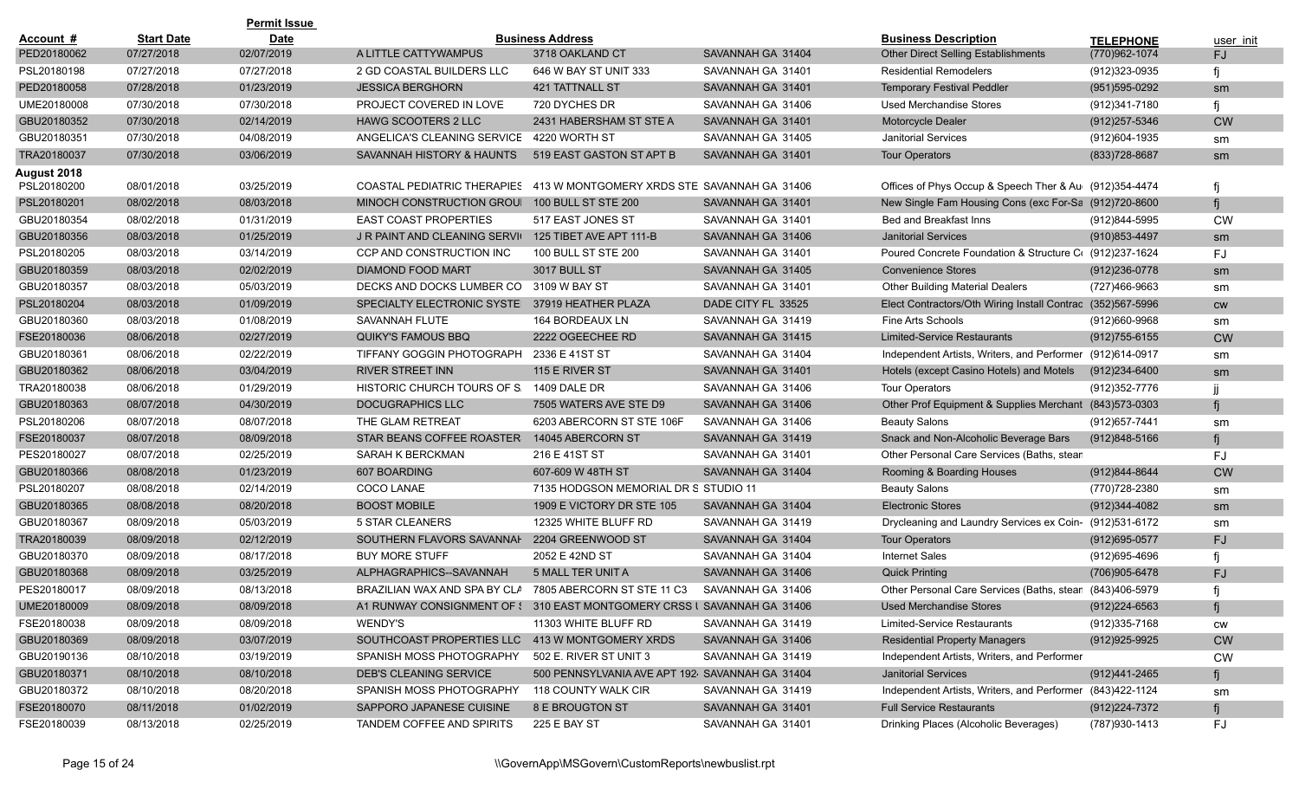|             |                   | <b>Permit Issue</b> |                                                                         |                                                 |                    |                                                            |                   |           |
|-------------|-------------------|---------------------|-------------------------------------------------------------------------|-------------------------------------------------|--------------------|------------------------------------------------------------|-------------------|-----------|
| Account #   | <b>Start Date</b> | <b>Date</b>         |                                                                         | <b>Business Address</b>                         |                    | <b>Business Description</b>                                | <b>TELEPHONE</b>  | user init |
| PED20180062 | 07/27/2018        | 02/07/2019          | A LITTLE CATTYWAMPUS                                                    | 3718 OAKLAND CT                                 | SAVANNAH GA 31404  | Other Direct Selling Establishments                        | (770)962-1074     | <b>FJ</b> |
| PSL20180198 | 07/27/2018        | 07/27/2018          | 2 GD COASTAL BUILDERS LLC                                               | 646 W BAY ST UNIT 333                           | SAVANNAH GA 31401  | <b>Residential Remodelers</b>                              | (912)323-0935     |           |
| PED20180058 | 07/28/2018        | 01/23/2019          | <b>JESSICA BERGHORN</b>                                                 | <b>421 TATTNALL ST</b>                          | SAVANNAH GA 31401  | <b>Temporary Festival Peddler</b>                          | $(951)595-0292$   | sm        |
| UME20180008 | 07/30/2018        | 07/30/2018          | PROJECT COVERED IN LOVE                                                 | 720 DYCHES DR                                   | SAVANNAH GA 31406  | <b>Used Merchandise Stores</b>                             | (912)341-7180     |           |
| GBU20180352 | 07/30/2018        | 02/14/2019          | <b>HAWG SCOOTERS 2 LLC</b>                                              | 2431 HABERSHAM ST STE A                         | SAVANNAH GA 31401  | Motorcycle Dealer                                          | $(912)257 - 5346$ | <b>CW</b> |
| GBU20180351 | 07/30/2018        | 04/08/2019          | ANGELICA'S CLEANING SERVICE                                             | 4220 WORTH ST                                   | SAVANNAH GA 31405  | <b>Janitorial Services</b>                                 | (912)604-1935     | sm        |
| TRA20180037 | 07/30/2018        | 03/06/2019          | SAVANNAH HISTORY & HAUNTS                                               | 519 EAST GASTON ST APT B                        | SAVANNAH GA 31401  | <b>Tour Operators</b>                                      | (833) 728-8687    | sm        |
| August 2018 |                   |                     |                                                                         |                                                 |                    |                                                            |                   |           |
| PSL20180200 | 08/01/2018        | 03/25/2019          | COASTAL PEDIATRIC THERAPIES                                             | 413 W MONTGOMERY XRDS STE SAVANNAH GA 31406     |                    | Offices of Phys Occup & Speech Ther & Au (912)354-4474     |                   |           |
| PSL20180201 | 08/02/2018        | 08/03/2018          | MINOCH CONSTRUCTION GROUI                                               | <b>100 BULL ST STE 200</b>                      | SAVANNAH GA 31401  | New Single Fam Housing Cons (exc For-Sa (912)720-8600      |                   |           |
| GBU20180354 | 08/02/2018        | 01/31/2019          | <b>EAST COAST PROPERTIES</b>                                            | 517 EAST JONES ST                               | SAVANNAH GA 31401  | Bed and Breakfast Inns                                     | (912)844-5995     | <b>CW</b> |
| GBU20180356 | 08/03/2018        | 01/25/2019          | J R PAINT AND CLEANING SERVIC                                           | 125 TIBET AVE APT 111-B                         | SAVANNAH GA 31406  | <b>Janitorial Services</b>                                 | (910) 853-4497    | sm        |
| PSL20180205 | 08/03/2018        | 03/14/2019          | CCP AND CONSTRUCTION INC                                                | 100 BULL ST STE 200                             | SAVANNAH GA 31401  | Poured Concrete Foundation & Structure C( (912)237-1624    |                   | <b>FJ</b> |
| GBU20180359 | 08/03/2018        | 02/02/2019          | <b>DIAMOND FOOD MART</b>                                                | <b>3017 BULL ST</b>                             | SAVANNAH GA 31405  | <b>Convenience Stores</b>                                  | (912) 236-0778    | sm        |
| GBU20180357 | 08/03/2018        | 05/03/2019          | DECKS AND DOCKS LUMBER CO                                               | 3109 W BAY ST                                   | SAVANNAH GA 31401  | <b>Other Building Material Dealers</b>                     | (727)466-9663     | sm        |
| PSL20180204 | 08/03/2018        | 01/09/2019          | SPECIALTY ELECTRONIC SYSTEL                                             | 37919 HEATHER PLAZA                             | DADE CITY FL 33525 | Elect Contractors/Oth Wiring Install Contrac (352)567-5996 |                   | <b>CW</b> |
| GBU20180360 | 08/03/2018        | 01/08/2019          | SAVANNAH FLUTE                                                          | 164 BORDEAUX LN                                 | SAVANNAH GA 31419  | <b>Fine Arts Schools</b>                                   | (912)660-9968     | sm        |
| FSE20180036 | 08/06/2018        | 02/27/2019          | QUIKY'S FAMOUS BBQ                                                      | 2222 OGEECHEE RD                                | SAVANNAH GA 31415  | <b>Limited-Service Restaurants</b>                         | $(912)755-6155$   | <b>CW</b> |
| GBU20180361 | 08/06/2018        | 02/22/2019          | TIFFANY GOGGIN PHOTOGRAPH                                               | 2336 E 41ST ST                                  | SAVANNAH GA 31404  | Independent Artists, Writers, and Performer                | (912)614-0917     | sm        |
| GBU20180362 | 08/06/2018        | 03/04/2019          | <b>RIVER STREET INN</b>                                                 | 115 E RIVER ST                                  | SAVANNAH GA 31401  | Hotels (except Casino Hotels) and Motels                   | (912)234-6400     | sm        |
| TRA20180038 | 08/06/2018        | 01/29/2019          | HISTORIC CHURCH TOURS OF S.                                             | 1409 DALE DR                                    | SAVANNAH GA 31406  | <b>Tour Operators</b>                                      | (912) 352-7776    |           |
| GBU20180363 | 08/07/2018        | 04/30/2019          | <b>DOCUGRAPHICS LLC</b>                                                 | 7505 WATERS AVE STE D9                          | SAVANNAH GA 31406  | Other Prof Equipment & Supplies Merchant                   | (843) 573-0303    |           |
| PSL20180206 | 08/07/2018        | 08/07/2018          | THE GLAM RETREAT                                                        | 6203 ABERCORN ST STE 106F                       | SAVANNAH GA 31406  | <b>Beauty Salons</b>                                       | (912) 657-7441    | sm        |
| FSE20180037 | 08/07/2018        | 08/09/2018          | STAR BEANS COFFEE ROASTER                                               | 14045 ABERCORN ST                               | SAVANNAH GA 31419  | Snack and Non-Alcoholic Beverage Bars                      | $(912)848 - 5166$ |           |
| PES20180027 | 08/07/2018        | 02/25/2019          | SARAH K BERCKMAN                                                        | 216 E 41ST ST                                   | SAVANNAH GA 31401  | Other Personal Care Services (Baths, stean                 |                   | FJ        |
| GBU20180366 | 08/08/2018        | 01/23/2019          | 607 BOARDING                                                            | 607-609 W 48TH ST                               | SAVANNAH GA 31404  | Rooming & Boarding Houses                                  | (912)844-8644     | <b>CW</b> |
| PSL20180207 | 08/08/2018        | 02/14/2019          | COCO LANAE                                                              | 7135 HODGSON MEMORIAL DR S STUDIO 11            |                    | <b>Beauty Salons</b>                                       | (770) 728-2380    | sm        |
| GBU20180365 | 08/08/2018        | 08/20/2018          | <b>BOOST MOBILE</b>                                                     | 1909 E VICTORY DR STE 105                       | SAVANNAH GA 31404  | <b>Electronic Stores</b>                                   | (912) 344-4082    | sm        |
| GBU20180367 | 08/09/2018        | 05/03/2019          | 5 STAR CLEANERS                                                         | 12325 WHITE BLUFF RD                            | SAVANNAH GA 31419  | Drycleaning and Laundry Services ex Coin- (912)531-6172    |                   | sm        |
| TRA20180039 | 08/09/2018        | 02/12/2019          | SOUTHERN FLAVORS SAVANNAH                                               | 2204 GREENWOOD ST                               | SAVANNAH GA 31404  | <b>Tour Operators</b>                                      | $(912)695 - 0577$ | <b>FJ</b> |
| GBU20180370 | 08/09/2018        | 08/17/2018          | <b>BUY MORE STUFF</b>                                                   | 2052 E 42ND ST                                  | SAVANNAH GA 31404  | <b>Internet Sales</b>                                      | (912)695-4696     |           |
| GBU20180368 | 08/09/2018        | 03/25/2019          | ALPHAGRAPHICS--SAVANNAH                                                 | 5 MALL TER UNIT A                               | SAVANNAH GA 31406  | <b>Quick Printing</b>                                      | (706)905-6478     | <b>FJ</b> |
| PES20180017 | 08/09/2018        | 08/13/2018          | BRAZILIAN WAX AND SPA BY CLA                                            | 7805 ABERCORN ST STE 11 C3                      | SAVANNAH GA 31406  | Other Personal Care Services (Baths, stean (843)406-5979   |                   |           |
| UME20180009 | 08/09/2018        | 08/09/2018          | A1 RUNWAY CONSIGNMENT OF { 310 EAST MONTGOMERY CRSS   SAVANNAH GA 31406 |                                                 |                    | <b>Used Merchandise Stores</b>                             | $(912)224-6563$   | fi        |
| FSE20180038 | 08/09/2018        | 08/09/2018          | WENDY'S                                                                 | 11303 WHITE BLUFF RD                            | SAVANNAH GA 31419  | <b>Limited-Service Restaurants</b>                         | (912) 335-7168    | CW        |
| GBU20180369 | 08/09/2018        | 03/07/2019          | SOUTHCOAST PROPERTIES LLC 413 W MONTGOMERY XRDS                         |                                                 | SAVANNAH GA 31406  | <b>Residential Property Managers</b>                       | (912) 925-9925    | <b>CW</b> |
| GBU20190136 | 08/10/2018        | 03/19/2019          | SPANISH MOSS PHOTOGRAPHY                                                | 502 E. RIVER ST UNIT 3                          | SAVANNAH GA 31419  | Independent Artists, Writers, and Performer                |                   | CW        |
| GBU20180371 | 08/10/2018        | 08/10/2018          | <b>DEB'S CLEANING SERVICE</b>                                           | 500 PENNSYLVANIA AVE APT 192. SAVANNAH GA 31404 |                    | <b>Janitorial Services</b>                                 | (912)441-2465     |           |
| GBU20180372 | 08/10/2018        | 08/20/2018          | SPANISH MOSS PHOTOGRAPHY                                                | 118 COUNTY WALK CIR                             | SAVANNAH GA 31419  | Independent Artists, Writers, and Performer (843)422-1124  |                   | sm        |
| FSE20180070 | 08/11/2018        | 01/02/2019          | SAPPORO JAPANESE CUISINE                                                | 8 E BROUGTON ST                                 | SAVANNAH GA 31401  | <b>Full Service Restaurants</b>                            | (912) 224-7372    | fj        |
| FSE20180039 | 08/13/2018        | 02/25/2019          | TANDEM COFFEE AND SPIRITS                                               | 225 E BAY ST                                    | SAVANNAH GA 31401  | Drinking Places (Alcoholic Beverages)                      | (787) 930-1413    | FJ        |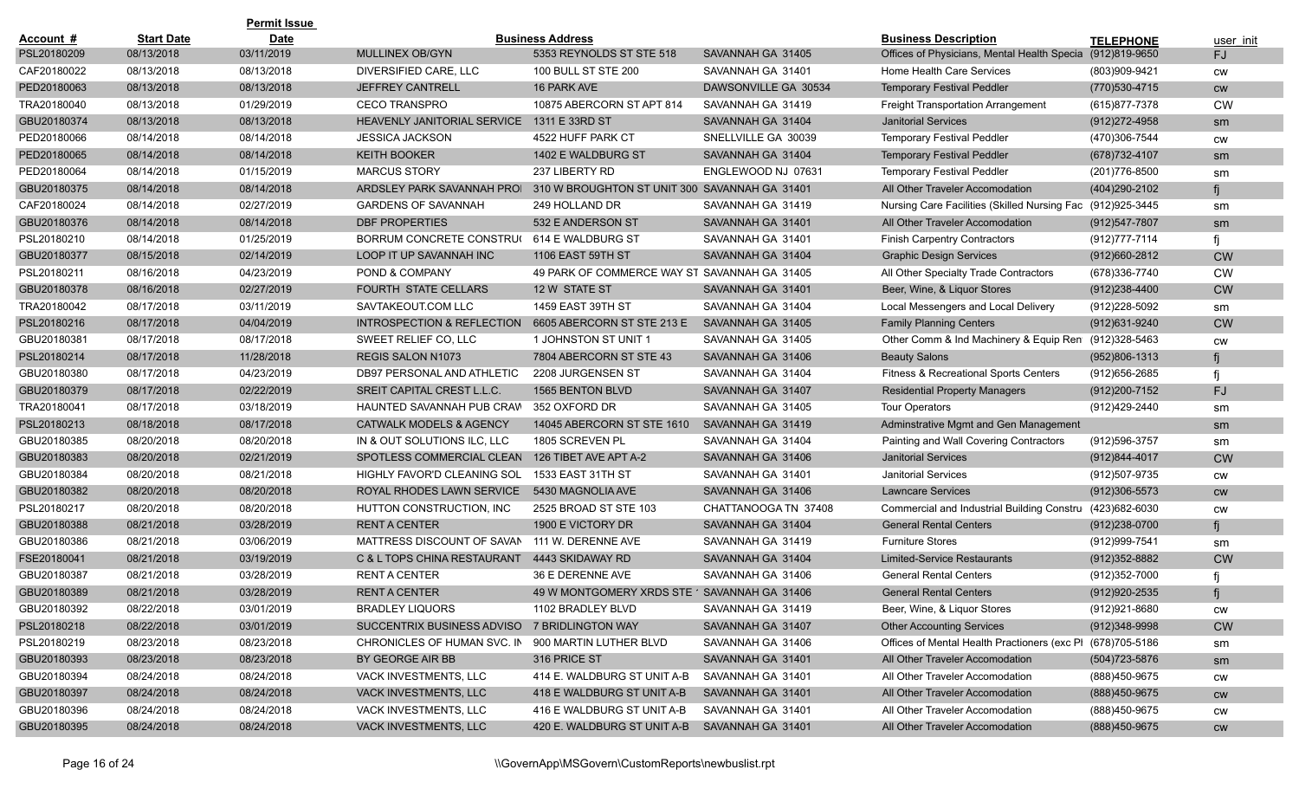|             |                   | <b>Permit Issue</b> |                                              |                                               |                      |                                                            |                   |               |
|-------------|-------------------|---------------------|----------------------------------------------|-----------------------------------------------|----------------------|------------------------------------------------------------|-------------------|---------------|
| Account #   | <b>Start Date</b> | <b>Date</b>         |                                              | <b>Business Address</b>                       |                      | <b>Business Description</b>                                | <b>TELEPHONE</b>  | user init     |
| PSL20180209 | 08/13/2018        | 03/11/2019          | <b>MULLINEX OB/GYN</b>                       | 5353 REYNOLDS ST STE 518                      | SAVANNAH GA 31405    | Offices of Physicians, Mental Health Specia                | (912)819-9650     | FJ            |
| CAF20180022 | 08/13/2018        | 08/13/2018          | DIVERSIFIED CARE, LLC                        | 100 BULL ST STE 200                           | SAVANNAH GA 31401    | Home Health Care Services                                  | (803)909-9421     | <b>CW</b>     |
| PED20180063 | 08/13/2018        | 08/13/2018          | <b>JEFFREY CANTRELL</b>                      | 16 PARK AVE                                   | DAWSONVILLE GA 30534 | <b>Temporary Festival Peddler</b>                          | (770) 530-4715    | cw            |
| TRA20180040 | 08/13/2018        | 01/29/2019          | <b>CECO TRANSPRO</b>                         | 10875 ABERCORN ST APT 814                     | SAVANNAH GA 31419    | Freight Transportation Arrangement                         | (615) 877-7378    | <b>CW</b>     |
| GBU20180374 | 08/13/2018        | 08/13/2018          | HEAVENLY JANITORIAL SERVICE                  | 1311 E 33RD ST                                | SAVANNAH GA 31404    | <b>Janitorial Services</b>                                 | $(912)272 - 4958$ | sm            |
| PED20180066 | 08/14/2018        | 08/14/2018          | <b>JESSICA JACKSON</b>                       | 4522 HUFF PARK CT                             | SNELLVILLE GA 30039  | <b>Temporary Festival Peddler</b>                          | (470)306-7544     | <b>CW</b>     |
| PED20180065 | 08/14/2018        | 08/14/2018          | <b>KEITH BOOKER</b>                          | 1402 E WALDBURG ST                            | SAVANNAH GA 31404    | <b>Temporary Festival Peddler</b>                          | (678) 732-4107    | sm            |
| PED20180064 | 08/14/2018        | 01/15/2019          | <b>MARCUS STORY</b>                          | 237 LIBERTY RD                                | ENGLEWOOD NJ 07631   | <b>Temporary Festival Peddler</b>                          | (201) 776-8500    | sm            |
| GBU20180375 | 08/14/2018        | 08/14/2018          | ARDSLEY PARK SAVANNAH PROI                   | 310 W BROUGHTON ST UNIT 300 SAVANNAH GA 31401 |                      | All Other Traveler Accomodation                            | (404) 290-2102    |               |
| CAF20180024 | 08/14/2018        | 02/27/2019          | <b>GARDENS OF SAVANNAH</b>                   | 249 HOLLAND DR                                | SAVANNAH GA 31419    | Nursing Care Facilities (Skilled Nursing Fac (912)925-3445 |                   | sm            |
| GBU20180376 | 08/14/2018        | 08/14/2018          | <b>DBF PROPERTIES</b>                        | 532 E ANDERSON ST                             | SAVANNAH GA 31401    | All Other Traveler Accomodation                            | $(912)547 - 7807$ | sm            |
| PSL20180210 | 08/14/2018        | 01/25/2019          | BORRUM CONCRETE CONSTRUC                     | 614 E WALDBURG ST                             | SAVANNAH GA 31401    | <b>Finish Carpentry Contractors</b>                        | (912) 777-7114    |               |
| GBU20180377 | 08/15/2018        | 02/14/2019          | LOOP IT UP SAVANNAH INC                      | <b>1106 EAST 59TH ST</b>                      | SAVANNAH GA 31404    | <b>Graphic Design Services</b>                             | $(912)660 - 2812$ | <b>CW</b>     |
| PSL20180211 | 08/16/2018        | 04/23/2019          | POND & COMPANY                               | 49 PARK OF COMMERCE WAY ST SAVANNAH GA 31405  |                      | All Other Specialty Trade Contractors                      | (678) 336-7740    | <b>CW</b>     |
| GBU20180378 | 08/16/2018        | 02/27/2019          | <b>FOURTH STATE CELLARS</b>                  | 12 W STATE ST                                 | SAVANNAH GA 31401    | Beer, Wine, & Liquor Stores                                | $(912)238 - 4400$ | <b>CW</b>     |
| TRA20180042 | 08/17/2018        | 03/11/2019          | SAVTAKEOUT.COM LLC                           | 1459 EAST 39TH ST                             | SAVANNAH GA 31404    | Local Messengers and Local Delivery                        | (912)228-5092     | sm            |
| PSL20180216 | 08/17/2018        | 04/04/2019          | INTROSPECTION & REFLECTION                   | 6605 ABERCORN ST STE 213 E                    | SAVANNAH GA 31405    | <b>Family Planning Centers</b>                             | (912) 631-9240    | <b>CW</b>     |
| GBU20180381 | 08/17/2018        | 08/17/2018          | SWEET RELIEF CO, LLC                         | 1 JOHNSTON ST UNIT 1                          | SAVANNAH GA 31405    | Other Comm & Ind Machinery & Equip Ren (912)328-5463       |                   | <b>CW</b>     |
| PSL20180214 | 08/17/2018        | 11/28/2018          | <b>REGIS SALON N1073</b>                     | 7804 ABERCORN ST STE 43                       | SAVANNAH GA 31406    | <b>Beauty Salons</b>                                       | (952)806-1313     |               |
| GBU20180380 | 08/17/2018        | 04/23/2019          | DB97 PERSONAL AND ATHLETIC                   | 2208 JURGENSEN ST                             | SAVANNAH GA 31404    | <b>Fitness &amp; Recreational Sports Centers</b>           | (912) 656-2685    |               |
| GBU20180379 | 08/17/2018        | 02/22/2019          | SREIT CAPITAL CREST L.L.C.                   | 1565 BENTON BLVD                              | SAVANNAH GA 31407    | <b>Residential Property Managers</b>                       | (912) 200-7152    | FJ            |
| TRA20180041 | 08/17/2018        | 03/18/2019          | HAUNTED SAVANNAH PUB CRAW                    | 352 OXFORD DR                                 | SAVANNAH GA 31405    | <b>Tour Operators</b>                                      | (912)429-2440     | sm            |
| PSL20180213 | 08/18/2018        | 08/17/2018          | <b>CATWALK MODELS &amp; AGENCY</b>           | 14045 ABERCORN ST STE 1610                    | SAVANNAH GA 31419    | Adminstrative Mgmt and Gen Management                      |                   | sm            |
| GBU20180385 | 08/20/2018        | 08/20/2018          | IN & OUT SOLUTIONS ILC, LLC                  | 1805 SCREVEN PL                               | SAVANNAH GA 31404    | Painting and Wall Covering Contractors                     | (912) 596-3757    | sm            |
| GBU20180383 | 08/20/2018        | 02/21/2019          | SPOTLESS COMMERCIAL CLEAN                    | 126 TIBET AVE APT A-2                         | SAVANNAH GA 31406    | <b>Janitorial Services</b>                                 | $(912)844 - 4017$ | <b>CW</b>     |
| GBU20180384 | 08/20/2018        | 08/21/2018          | HIGHLY FAVOR'D CLEANING SOL                  | 1533 EAST 31TH ST                             | SAVANNAH GA 31401    | <b>Janitorial Services</b>                                 | (912)507-9735     | <b>CW</b>     |
| GBU20180382 | 08/20/2018        | 08/20/2018          | ROYAL RHODES LAWN SERVICE                    | 5430 MAGNOLIA AVE                             | SAVANNAH GA 31406    | <b>Lawncare Services</b>                                   | $(912)306 - 5573$ | <b>CW</b>     |
| PSL20180217 | 08/20/2018        | 08/20/2018          | HUTTON CONSTRUCTION, INC                     | 2525 BROAD ST STE 103                         | CHATTANOOGA TN 37408 | Commercial and Industrial Building Constru (423)682-6030   |                   | <b>CW</b>     |
| GBU20180388 | 08/21/2018        | 03/28/2019          | <b>RENTA CENTER</b>                          | 1900 E VICTORY DR                             | SAVANNAH GA 31404    | <b>General Rental Centers</b>                              | (912)238-0700     | fi            |
| GBU20180386 | 08/21/2018        | 03/06/2019          | MATTRESS DISCOUNT OF SAVAN                   | 111 W. DERENNE AVE                            | SAVANNAH GA 31419    | <b>Furniture Stores</b>                                    | (912) 999-7541    | sm            |
| FSE20180041 | 08/21/2018        | 03/19/2019          | C & L TOPS CHINA RESTAURANT                  | 4443 SKIDAWAY RD                              | SAVANNAH GA 31404    | Limited-Service Restaurants                                | $(912)352 - 8882$ | <b>CW</b>     |
| GBU20180387 | 08/21/2018        | 03/28/2019          | <b>RENT A CENTER</b>                         | 36 E DERENNE AVE                              | SAVANNAH GA 31406    | <b>General Rental Centers</b>                              | (912) 352-7000    |               |
| GBU20180389 | 08/21/2018        | 03/28/2019          | <b>RENTA CENTER</b>                          | 49 W MONTGOMERY XRDS STE 1 SAVANNAH GA 31406  |                      | <b>General Rental Centers</b>                              | (912) 920-2535    |               |
| GBU20180392 | 08/22/2018        | 03/01/2019          | <b>BRADLEY LIQUORS</b>                       | 1102 BRADLEY BLVD                             | SAVANNAH GA 31419    | Beer, Wine, & Liquor Stores                                | (912) 921-8680    | <b>CW</b>     |
| PSL20180218 | 08/22/2018        | 03/01/2019          | SUCCENTRIX BUSINESS ADVISO 7 BRIDLINGTON WAY |                                               | SAVANNAH GA 31407    | <b>Other Accounting Services</b>                           | $(912)348-9998$   | <b>CW</b>     |
| PSL20180219 | 08/23/2018        | 08/23/2018          | CHRONICLES OF HUMAN SVC. IN                  | 900 MARTIN LUTHER BLVD                        | SAVANNAH GA 31406    | Offices of Mental Health Practioners (exc PI (678)705-5186 |                   | sm            |
| GBU20180393 | 08/23/2018        | 08/23/2018          | BY GEORGE AIR BB                             | 316 PRICE ST                                  | SAVANNAH GA 31401    | All Other Traveler Accomodation                            | (504)723-5876     | sm            |
| GBU20180394 | 08/24/2018        | 08/24/2018          | VACK INVESTMENTS, LLC                        | 414 E. WALDBURG ST UNIT A-B                   | SAVANNAH GA 31401    | All Other Traveler Accomodation                            | (888)450-9675     | <b>CW</b>     |
| GBU20180397 | 08/24/2018        | 08/24/2018          | VACK INVESTMENTS, LLC                        | 418 E WALDBURG ST UNIT A-B                    | SAVANNAH GA 31401    | All Other Traveler Accomodation                            | (888) 450-9675    | $\mathsf{cw}$ |
| GBU20180396 | 08/24/2018        | 08/24/2018          | VACK INVESTMENTS, LLC                        | 416 E WALDBURG ST UNIT A-B                    | SAVANNAH GA 31401    | All Other Traveler Accomodation                            | (888)450-9675     | CW            |
| GBU20180395 | 08/24/2018        | 08/24/2018          | VACK INVESTMENTS, LLC                        | 420 E. WALDBURG ST UNIT A-B                   | SAVANNAH GA 31401    | All Other Traveler Accomodation                            | (888) 450-9675    | cw            |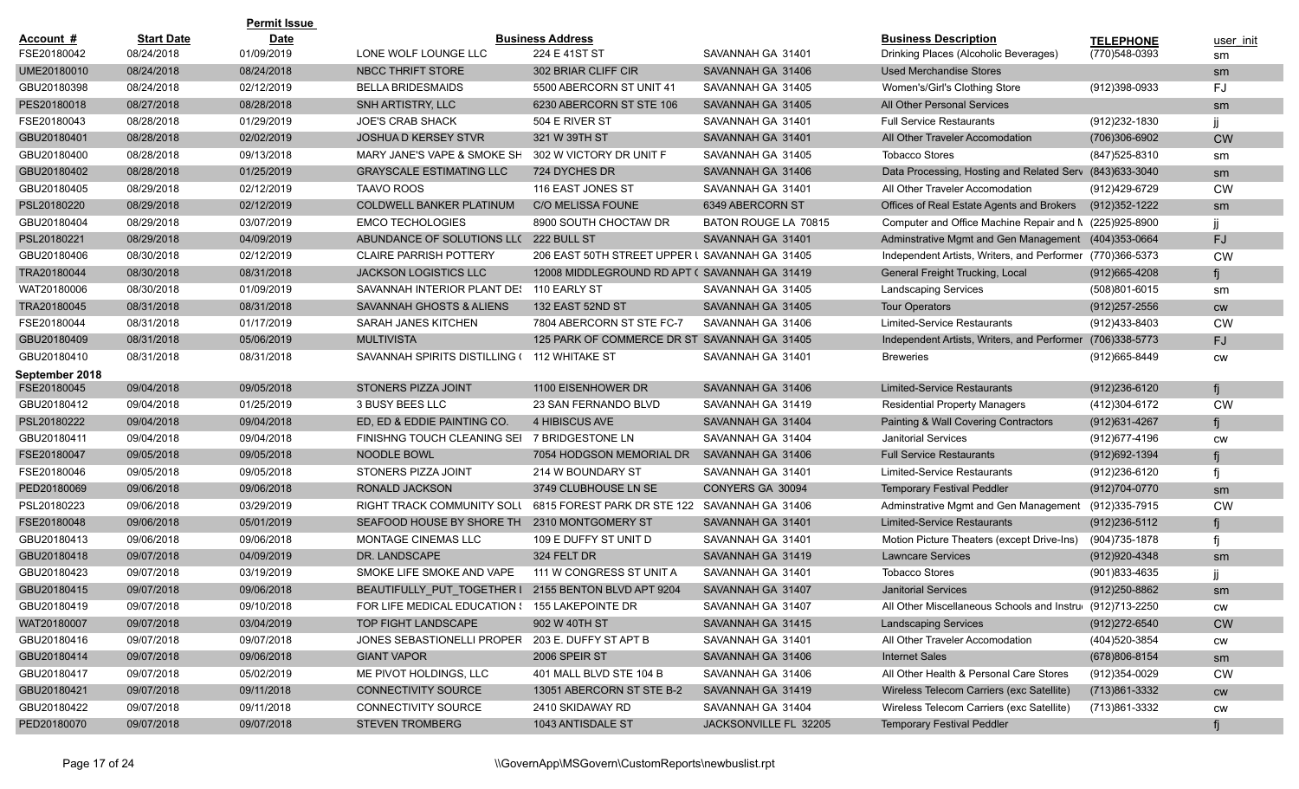|                |                   | <b>Permit Issue</b> |                                                     |                                                |                       |                                                           |                   |           |
|----------------|-------------------|---------------------|-----------------------------------------------------|------------------------------------------------|-----------------------|-----------------------------------------------------------|-------------------|-----------|
| Account #      | <b>Start Date</b> | <b>Date</b>         |                                                     | <b>Business Address</b>                        |                       | <b>Business Description</b>                               | <b>TELEPHONE</b>  | user init |
| FSE20180042    | 08/24/2018        | 01/09/2019          | LONE WOLF LOUNGE LLC                                | 224 E 41ST ST                                  | SAVANNAH GA 31401     | Drinking Places (Alcoholic Beverages)                     | (770)548-0393     | sm        |
| UME20180010    | 08/24/2018        | 08/24/2018          | <b>NBCC THRIFT STORE</b>                            | 302 BRIAR CLIFF CIR                            | SAVANNAH GA 31406     | <b>Used Merchandise Stores</b>                            |                   | sm        |
| GBU20180398    | 08/24/2018        | 02/12/2019          | <b>BELLA BRIDESMAIDS</b>                            | 5500 ABERCORN ST UNIT 41                       | SAVANNAH GA 31405     | Women's/Girl's Clothing Store                             | (912)398-0933     | FJ        |
| PES20180018    | 08/27/2018        | 08/28/2018          | SNH ARTISTRY, LLC                                   | 6230 ABERCORN ST STE 106                       | SAVANNAH GA 31405     | All Other Personal Services                               |                   | sm        |
| FSE20180043    | 08/28/2018        | 01/29/2019          | <b>JOE'S CRAB SHACK</b>                             | 504 E RIVER ST                                 | SAVANNAH GA 31401     | <b>Full Service Restaurants</b>                           | (912) 232-1830    |           |
| GBU20180401    | 08/28/2018        | 02/02/2019          | <b>JOSHUA D KERSEY STVR</b>                         | 321 W 39TH ST                                  | SAVANNAH GA 31401     | All Other Traveler Accomodation                           | (706)306-6902     | <b>CW</b> |
| GBU20180400    | 08/28/2018        | 09/13/2018          | MARY JANE'S VAPE & SMOKE SH 302 W VICTORY DR UNIT F |                                                | SAVANNAH GA 31405     | <b>Tobacco Stores</b>                                     | (847) 525-8310    | sm        |
| GBU20180402    | 08/28/2018        | 01/25/2019          | <b>GRAYSCALE ESTIMATING LLC</b>                     | 724 DYCHES DR                                  | SAVANNAH GA 31406     | Data Processing, Hosting and Related Serv (843)633-3040   |                   | sm        |
| GBU20180405    | 08/29/2018        | 02/12/2019          | <b>TAAVO ROOS</b>                                   | 116 EAST JONES ST                              | SAVANNAH GA 31401     | All Other Traveler Accomodation                           | (912)429-6729     | <b>CW</b> |
| PSL20180220    | 08/29/2018        | 02/12/2019          | <b>COLDWELL BANKER PLATINUM</b>                     | <b>C/O MELISSA FOUNE</b>                       | 6349 ABERCORN ST      | Offices of Real Estate Agents and Brokers                 | (912) 352-1222    | sm        |
| GBU20180404    | 08/29/2018        | 03/07/2019          | <b>EMCO TECHOLOGIES</b>                             | 8900 SOUTH CHOCTAW DR                          | BATON ROUGE LA 70815  | Computer and Office Machine Repair and N (225)925-8900    |                   |           |
| PSL20180221    | 08/29/2018        | 04/09/2019          | ABUNDANCE OF SOLUTIONS LLC 222 BULL ST              |                                                | SAVANNAH GA 31401     | Adminstrative Mgmt and Gen Management (404)353-0664       |                   | <b>FJ</b> |
| GBU20180406    | 08/30/2018        | 02/12/2019          | <b>CLAIRE PARRISH POTTERY</b>                       | 206 EAST 50TH STREET UPPER L SAVANNAH GA 31405 |                       | Independent Artists, Writers, and Performer (770)366-5373 |                   | <b>CW</b> |
| TRA20180044    | 08/30/2018        | 08/31/2018          | <b>JACKSON LOGISTICS LLC</b>                        | 12008 MIDDLEGROUND RD APT (SAVANNAH GA 31419   |                       | General Freight Trucking, Local                           | $(912)665 - 4208$ |           |
| WAT20180006    | 08/30/2018        | 01/09/2019          | SAVANNAH INTERIOR PLANT DE!                         | 110 EARLY ST                                   | SAVANNAH GA 31405     | <b>Landscaping Services</b>                               | $(508)801 - 6015$ | sm        |
| TRA20180045    | 08/31/2018        | 08/31/2018          | SAVANNAH GHOSTS & ALIENS                            | 132 EAST 52ND ST                               | SAVANNAH GA 31405     | <b>Tour Operators</b>                                     | $(912)257 - 2556$ | <b>CW</b> |
| FSE20180044    | 08/31/2018        | 01/17/2019          | SARAH JANES KITCHEN                                 | 7804 ABERCORN ST STE FC-7                      | SAVANNAH GA 31406     | <b>Limited-Service Restaurants</b>                        | (912)433-8403     | <b>CW</b> |
| GBU20180409    | 08/31/2018        | 05/06/2019          | <b>MULTIVISTA</b>                                   | 125 PARK OF COMMERCE DR ST SAVANNAH GA 31405   |                       | Independent Artists, Writers, and Performer (706)338-5773 |                   | FJ.       |
| GBU20180410    | 08/31/2018        | 08/31/2018          | SAVANNAH SPIRITS DISTILLING ( 112 WHITAKE ST        |                                                | SAVANNAH GA 31401     | <b>Breweries</b>                                          | (912) 665-8449    | CW        |
| September 2018 |                   |                     |                                                     |                                                |                       |                                                           |                   |           |
| FSE20180045    | 09/04/2018        | 09/05/2018          | STONERS PIZZA JOINT                                 | 1100 EISENHOWER DR                             | SAVANNAH GA 31406     | <b>Limited-Service Restaurants</b>                        | $(912)236-6120$   | fi        |
| GBU20180412    | 09/04/2018        | 01/25/2019          | 3 BUSY BEES LLC                                     | 23 SAN FERNANDO BLVD                           | SAVANNAH GA 31419     | <b>Residential Property Managers</b>                      | (412)304-6172     | <b>CW</b> |
| PSL20180222    | 09/04/2018        | 09/04/2018          | ED, ED & EDDIE PAINTING CO                          | 4 HIBISCUS AVE                                 | SAVANNAH GA 31404     | Painting & Wall Covering Contractors                      | $(912)631 - 4267$ | fi        |
| GBU20180411    | 09/04/2018        | 09/04/2018          | FINISHNG TOUCH CLEANING SEI                         | 7 BRIDGESTONE LN                               | SAVANNAH GA 31404     | <b>Janitorial Services</b>                                | (912) 677-4196    | <b>CW</b> |
| FSE20180047    | 09/05/2018        | 09/05/2018          | NOODLE BOWL                                         | 7054 HODGSON MEMORIAL DR                       | SAVANNAH GA 31406     | <b>Full Service Restaurants</b>                           | (912) 692-1394    | fi        |
| FSE20180046    | 09/05/2018        | 09/05/2018          | STONERS PIZZA JOINT                                 | 214 W BOUNDARY ST                              | SAVANNAH GA 31401     | Limited-Service Restaurants                               | (912) 236-6120    | fj        |
| PED20180069    | 09/06/2018        | 09/06/2018          | RONALD JACKSON                                      | 3749 CLUBHOUSE LN SE                           | CONYERS GA 30094      | <b>Temporary Festival Peddler</b>                         | (912)704-0770     | sm        |
| PSL20180223    | 09/06/2018        | 03/29/2019          | RIGHT TRACK COMMUNITY SOLL                          | 6815 FOREST PARK DR STE 122                    | SAVANNAH GA 31406     | Adminstrative Mgmt and Gen Management                     | (912)335-7915     | <b>CW</b> |
| FSE20180048    | 09/06/2018        | 05/01/2019          | SEAFOOD HOUSE BY SHORE TH                           | 2310 MONTGOMERY ST                             | SAVANNAH GA 31401     | <b>Limited-Service Restaurants</b>                        | $(912)236 - 5112$ | fi        |
| GBU20180413    | 09/06/2018        | 09/06/2018          | MONTAGE CINEMAS LLC                                 | 109 E DUFFY ST UNIT D                          | SAVANNAH GA 31401     | Motion Picture Theaters (except Drive-Ins)                | (904) 735-1878    | fi        |
| GBU20180418    | 09/07/2018        | 04/09/2019          | DR. LANDSCAPE                                       | 324 FELT DR                                    | SAVANNAH GA 31419     | <b>Lawncare Services</b>                                  | (912) 920-4348    | sm        |
| GBU20180423    | 09/07/2018        | 03/19/2019          | SMOKE LIFE SMOKE AND VAPE                           | 111 W CONGRESS ST UNIT A                       | SAVANNAH GA 31401     | <b>Tobacco Stores</b>                                     | (901) 833-4635    |           |
| GBU20180415    | 09/07/2018        | 09/06/2018          | <b>BEAUTIFULLY PUT TOGETHER I</b>                   | 2155 BENTON BLVD APT 9204                      | SAVANNAH GA 31407     | <b>Janitorial Services</b>                                | (912)250-8862     | sm        |
| GBU20180419    | 09/07/2018        | 09/10/2018          | FOR LIFE MEDICAL EDUCATION ( 155 LAKEPOINTE DR      |                                                | SAVANNAH GA 31407     | All Other Miscellaneous Schools and Instru (912)713-2250  |                   | <b>CW</b> |
| WAT20180007    | 09/07/2018        | 03/04/2019          | TOP FIGHT LANDSCAPE                                 | 902 W 40TH ST                                  | SAVANNAH GA 31415     | <b>Landscaping Services</b>                               | (912) 272-6540    | <b>CW</b> |
| GBU20180416    | 09/07/2018        | 09/07/2018          | JONES SEBASTIONELLI PROPER                          | 203 E. DUFFY ST APT B                          | SAVANNAH GA 31401     | All Other Traveler Accomodation                           | (404) 520-3854    | <b>CW</b> |
| GBU20180414    | 09/07/2018        | 09/06/2018          | <b>GIANT VAPOR</b>                                  | 2006 SPEIR ST                                  | SAVANNAH GA 31406     | <b>Internet Sales</b>                                     | (678)806-8154     | sm        |
| GBU20180417    | 09/07/2018        | 05/02/2019          | ME PIVOT HOLDINGS, LLC                              | 401 MALL BLVD STE 104 B                        | SAVANNAH GA 31406     | All Other Health & Personal Care Stores                   | (912)354-0029     | <b>CW</b> |
| GBU20180421    | 09/07/2018        | 09/11/2018          | <b>CONNECTIVITY SOURCE</b>                          | 13051 ABERCORN ST STE B-2                      | SAVANNAH GA 31419     | Wireless Telecom Carriers (exc Satellite)                 | (713)861-3332     | <b>CW</b> |
| GBU20180422    | 09/07/2018        | 09/11/2018          | CONNECTIVITY SOURCE                                 | 2410 SKIDAWAY RD                               | SAVANNAH GA 31404     | Wireless Telecom Carriers (exc Satellite)                 | (713)861-3332     | <b>CW</b> |
| PED20180070    | 09/07/2018        | 09/07/2018          | <b>STEVEN TROMBERG</b>                              | 1043 ANTISDALE ST                              | JACKSONVILLE FL 32205 | <b>Temporary Festival Peddler</b>                         |                   | fi        |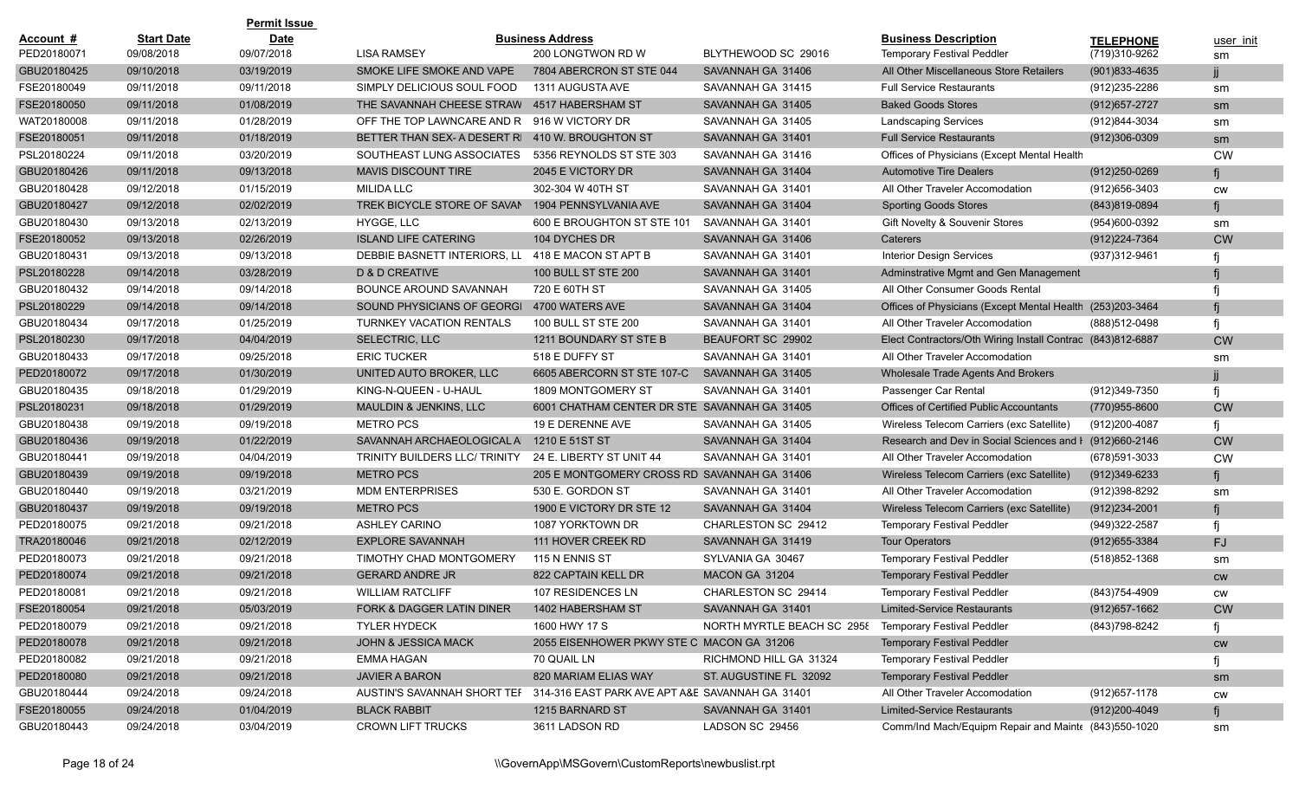|             |                   | <b>Permit Issue</b> |                                                                             |                                              |                            |                                                            |                   |               |
|-------------|-------------------|---------------------|-----------------------------------------------------------------------------|----------------------------------------------|----------------------------|------------------------------------------------------------|-------------------|---------------|
| Account #   | <b>Start Date</b> | <b>Date</b>         |                                                                             | <b>Business Address</b>                      |                            | <b>Business Description</b>                                | <b>TELEPHONE</b>  | user init     |
| PED20180071 | 09/08/2018        | 09/07/2018          | <b>LISA RAMSEY</b>                                                          | 200 LONGTWON RD W                            | BLYTHEWOOD SC 29016        | <b>Temporary Festival Peddler</b>                          | (719)310-9262     | sm            |
| GBU20180425 | 09/10/2018        | 03/19/2019          | SMOKE LIFE SMOKE AND VAPE                                                   | 7804 ABERCRON ST STE 044                     | SAVANNAH GA 31406          | All Other Miscellaneous Store Retailers                    | $(901)833 - 4635$ |               |
| FSE20180049 | 09/11/2018        | 09/11/2018          | SIMPLY DELICIOUS SOUL FOOD                                                  | 1311 AUGUSTA AVE                             | SAVANNAH GA 31415          | <b>Full Service Restaurants</b>                            | (912) 235-2286    | sm            |
| FSE20180050 | 09/11/2018        | 01/08/2019          | THE SAVANNAH CHEESE STRAW                                                   | 4517 HABERSHAM ST                            | SAVANNAH GA 31405          | <b>Baked Goods Stores</b>                                  | (912) 657-2727    | sm            |
| WAT20180008 | 09/11/2018        | 01/28/2019          | OFF THE TOP LAWNCARE AND R                                                  | 916 W VICTORY DR                             | SAVANNAH GA 31405          | <b>Landscaping Services</b>                                | (912)844-3034     | sm            |
| FSE20180051 | 09/11/2018        | 01/18/2019          | BETTER THAN SEX- A DESERT RI                                                | 410 W. BROUGHTON ST                          | SAVANNAH GA 31401          | <b>Full Service Restaurants</b>                            | $(912)306-0309$   | sm            |
| PSL20180224 | 09/11/2018        | 03/20/2019          | SOUTHEAST LUNG ASSOCIATES                                                   | 5356 REYNOLDS ST STE 303                     | SAVANNAH GA 31416          | Offices of Physicians (Except Mental Health                |                   | <b>CW</b>     |
| GBU20180426 | 09/11/2018        | 09/13/2018          | <b>MAVIS DISCOUNT TIRE</b>                                                  | 2045 E VICTORY DR                            | SAVANNAH GA 31404          | <b>Automotive Tire Dealers</b>                             | $(912)250 - 0269$ |               |
| GBU20180428 | 09/12/2018        | 01/15/2019          | <b>MILIDA LLC</b>                                                           | 302-304 W 40TH ST                            | SAVANNAH GA 31401          | All Other Traveler Accomodation                            | (912)656-3403     | <b>CW</b>     |
| GBU20180427 | 09/12/2018        | 02/02/2019          | TREK BICYCLE STORE OF SAVAN                                                 | 1904 PENNSYLVANIA AVE                        | SAVANNAH GA 31404          | <b>Sporting Goods Stores</b>                               | (843)819-0894     |               |
| GBU20180430 | 09/13/2018        | 02/13/2019          | HYGGE, LLC                                                                  | 600 E BROUGHTON ST STE 101                   | SAVANNAH GA 31401          | Gift Novelty & Souvenir Stores                             | (954)600-0392     | sm            |
| FSE20180052 | 09/13/2018        | 02/26/2019          | <b>ISLAND LIFE CATERING</b>                                                 | 104 DYCHES DR                                | SAVANNAH GA 31406          | Caterers                                                   | (912) 224-7364    | <b>CW</b>     |
| GBU20180431 | 09/13/2018        | 09/13/2018          | DEBBIE BASNETT INTERIORS, LL                                                | 418 E MACON ST APT B                         | SAVANNAH GA 31401          | <b>Interior Design Services</b>                            | (937) 312-9461    |               |
| PSL20180228 | 09/14/2018        | 03/28/2019          | D & D CREATIVE                                                              | 100 BULL ST STE 200                          | SAVANNAH GA 31401          | Adminstrative Mgmt and Gen Management                      |                   |               |
| GBU20180432 | 09/14/2018        | 09/14/2018          | BOUNCE AROUND SAVANNAH                                                      | 720 E 60TH ST                                | SAVANNAH GA 31405          | All Other Consumer Goods Rental                            |                   |               |
| PSL20180229 | 09/14/2018        | 09/14/2018          | SOUND PHYSICIANS OF GEORGI 4700 WATERS AVE                                  |                                              | SAVANNAH GA 31404          | Offices of Physicians (Except Mental Health (253)203-3464  |                   |               |
| GBU20180434 | 09/17/2018        | 01/25/2019          | <b>TURNKEY VACATION RENTALS</b>                                             | 100 BULL ST STE 200                          | SAVANNAH GA 31401          | All Other Traveler Accomodation                            | (888)512-0498     |               |
| PSL20180230 | 09/17/2018        | 04/04/2019          | SELECTRIC, LLC                                                              | 1211 BOUNDARY ST STE B                       | BEAUFORT SC 29902          | Elect Contractors/Oth Wiring Install Contrac (843)812-6887 |                   | <b>CW</b>     |
| GBU20180433 | 09/17/2018        | 09/25/2018          | <b>ERIC TUCKER</b>                                                          | 518 E DUFFY ST                               | SAVANNAH GA 31401          | All Other Traveler Accomodation                            |                   | sm            |
| PED20180072 | 09/17/2018        | 01/30/2019          | UNITED AUTO BROKER, LLC                                                     | 6605 ABERCORN ST STE 107-C                   | SAVANNAH GA 31405          | Wholesale Trade Agents And Brokers                         |                   |               |
| GBU20180435 | 09/18/2018        | 01/29/2019          | KING-N-QUEEN - U-HAUL                                                       | 1809 MONTGOMERY ST                           | SAVANNAH GA 31401          | Passenger Car Rental                                       | (912)349-7350     |               |
| PSL20180231 | 09/18/2018        | 01/29/2019          | MAULDIN & JENKINS, LLC                                                      | 6001 CHATHAM CENTER DR STE SAVANNAH GA 31405 |                            | <b>Offices of Certified Public Accountants</b>             | (770)955-8600     | <b>CW</b>     |
| GBU20180438 | 09/19/2018        | 09/19/2018          | <b>METRO PCS</b>                                                            | 19 E DERENNE AVE                             | SAVANNAH GA 31405          | Wireless Telecom Carriers (exc Satellite)                  | (912) 200-4087    |               |
| GBU20180436 | 09/19/2018        | 01/22/2019          | SAVANNAH ARCHAEOLOGICAL A                                                   | 1210 E 51ST ST                               | SAVANNAH GA 31404          | Research and Dev in Social Sciences and I (912)660-2146    |                   | <b>CW</b>     |
| GBU20180441 | 09/19/2018        | 04/04/2019          | TRINITY BUILDERS LLC/ TRINITY                                               | 24 E. LIBERTY ST UNIT 44                     | SAVANNAH GA 31401          | All Other Traveler Accomodation                            | (678)591-3033     | <b>CW</b>     |
| GBU20180439 | 09/19/2018        | 09/19/2018          | <b>METRO PCS</b>                                                            | 205 E MONTGOMERY CROSS RD SAVANNAH GA 31406  |                            | Wireless Telecom Carriers (exc Satellite)                  | $(912)349-6233$   |               |
| GBU20180440 | 09/19/2018        | 03/21/2019          | <b>MDM ENTERPRISES</b>                                                      | 530 E. GORDON ST                             | SAVANNAH GA 31401          | All Other Traveler Accomodation                            | (912)398-8292     | sm            |
| GBU20180437 | 09/19/2018        | 09/19/2018          | <b>METRO PCS</b>                                                            | 1900 E VICTORY DR STE 12                     | SAVANNAH GA 31404          | Wireless Telecom Carriers (exc Satellite)                  | $(912)234 - 2001$ |               |
| PED20180075 | 09/21/2018        | 09/21/2018          | <b>ASHLEY CARINO</b>                                                        | 1087 YORKTOWN DR                             | CHARLESTON SC 29412        | <b>Temporary Festival Peddler</b>                          | (949)322-2587     |               |
| TRA20180046 | 09/21/2018        | 02/12/2019          | <b>EXPLORE SAVANNAH</b>                                                     | 111 HOVER CREEK RD                           | SAVANNAH GA 31419          | <b>Tour Operators</b>                                      | (912) 655-3384    | FJ            |
| PED20180073 | 09/21/2018        | 09/21/2018          | TIMOTHY CHAD MONTGOMERY                                                     | 115 N ENNIS ST                               | SYLVANIA GA 30467          | <b>Temporary Festival Peddler</b>                          | (518) 852-1368    | sm            |
| PED20180074 | 09/21/2018        | 09/21/2018          | <b>GERARD ANDRE JR</b>                                                      | 822 CAPTAIN KELL DR                          | MACON GA 31204             | <b>Temporary Festival Peddler</b>                          |                   | <b>CW</b>     |
| PED20180081 | 09/21/2018        | 09/21/2018          | <b>WILLIAM RATCLIFF</b>                                                     | 107 RESIDENCES LN                            | CHARLESTON SC 29414        | <b>Temporary Festival Peddler</b>                          | (843)754-4909     | <b>CW</b>     |
| FSE20180054 | 09/21/2018        | 05/03/2019          | <b>FORK &amp; DAGGER LATIN DINER</b>                                        | 1402 HABERSHAM ST                            | SAVANNAH GA 31401          | Limited-Service Restaurants                                | (912) 657-1662    | <b>CW</b>     |
| PED20180079 | 09/21/2018        | 09/21/2018          | <b>TYLER HYDECK</b>                                                         | 1600 HWY 17 S                                | NORTH MYRTLE BEACH SC 2958 | <b>Temporary Festival Peddler</b>                          | (843)798-8242     |               |
| PED20180078 | 09/21/2018        | 09/21/2018          | <b>JOHN &amp; JESSICA MACK</b>                                              | 2055 EISENHOWER PKWY STE C MACON GA 31206    |                            | <b>Temporary Festival Peddler</b>                          |                   | $\mathsf{cw}$ |
| PED20180082 | 09/21/2018        | 09/21/2018          | <b>EMMA HAGAN</b>                                                           | 70 QUAIL LN                                  | RICHMOND HILL GA 31324     | <b>Temporary Festival Peddler</b>                          |                   |               |
| PED20180080 | 09/21/2018        | 09/21/2018          | <b>JAVIER A BARON</b>                                                       | 820 MARIAM ELIAS WAY                         | ST. AUGUSTINE FL 32092     | <b>Temporary Festival Peddler</b>                          |                   | sm            |
| GBU20180444 | 09/24/2018        | 09/24/2018          | AUSTIN'S SAVANNAH SHORT TEF 314-316 EAST PARK AVE APT A&E SAVANNAH GA 31401 |                                              |                            | All Other Traveler Accomodation                            | (912) 657-1178    | <b>CW</b>     |
| FSE20180055 | 09/24/2018        | 01/04/2019          | <b>BLACK RABBIT</b>                                                         | 1215 BARNARD ST                              | SAVANNAH GA 31401          | <b>Limited-Service Restaurants</b>                         | (912)200-4049     | fj            |
| GBU20180443 | 09/24/2018        | 03/04/2019          | <b>CROWN LIFT TRUCKS</b>                                                    | 3611 LADSON RD                               | LADSON SC 29456            | Comm/Ind Mach/Equipm Repair and Mainte (843)550-1020       |                   | sm            |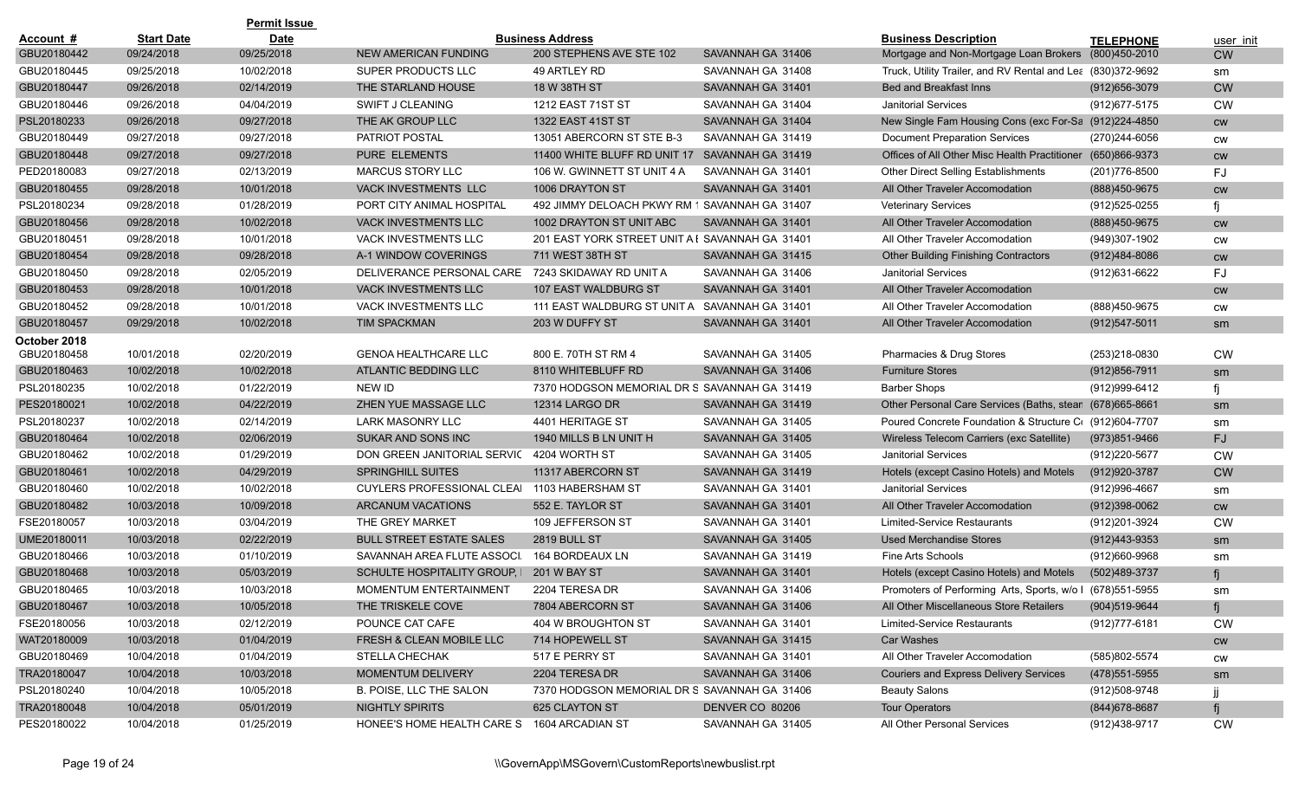|              |                   | <b>Permit Issue</b> |                                                   |                                                 |                   |                                                             |                   |           |
|--------------|-------------------|---------------------|---------------------------------------------------|-------------------------------------------------|-------------------|-------------------------------------------------------------|-------------------|-----------|
| Account #    | <b>Start Date</b> | <b>Date</b>         |                                                   | <b>Business Address</b>                         |                   | <b>Business Description</b>                                 | <b>TELEPHONE</b>  | user init |
| GBU20180442  | 09/24/2018        | 09/25/2018          | NEW AMERICAN FUNDING                              | 200 STEPHENS AVE STE 102                        | SAVANNAH GA 31406 | Mortgage and Non-Mortgage Loan Brokers                      | (800)450-2010     | <b>CW</b> |
| GBU20180445  | 09/25/2018        | 10/02/2018          | SUPER PRODUCTS LLC                                | 49 ARTLEY RD                                    | SAVANNAH GA 31408 | Truck, Utility Trailer, and RV Rental and Lea (830)372-9692 |                   | sm        |
| GBU20180447  | 09/26/2018        | 02/14/2019          | THE STARLAND HOUSE                                | 18 W 38TH ST                                    | SAVANNAH GA 31401 | Bed and Breakfast Inns                                      | $(912)656 - 3079$ | <b>CW</b> |
| GBU20180446  | 09/26/2018        | 04/04/2019          | SWIFT J CLEANING                                  | 1212 EAST 71ST ST                               | SAVANNAH GA 31404 | <b>Janitorial Services</b>                                  | (912) 677-5175    | <b>CW</b> |
| PSL20180233  | 09/26/2018        | 09/27/2018          | THE AK GROUP LLC                                  | 1322 EAST 41ST ST                               | SAVANNAH GA 31404 | New Single Fam Housing Cons (exc For-Sa (912)224-4850       |                   | <b>CW</b> |
| GBU20180449  | 09/27/2018        | 09/27/2018          | <b>PATRIOT POSTAL</b>                             | 13051 ABERCORN ST STE B-3                       | SAVANNAH GA 31419 | <b>Document Preparation Services</b>                        | (270)244-6056     | <b>CW</b> |
| GBU20180448  | 09/27/2018        | 09/27/2018          | <b>PURE ELEMENTS</b>                              | 11400 WHITE BLUFF RD UNIT 17                    | SAVANNAH GA 31419 | Offices of All Other Misc Health Practitioner               | (650)866-9373     | <b>CW</b> |
| PED20180083  | 09/27/2018        | 02/13/2019          | <b>MARCUS STORY LLC</b>                           | 106 W. GWINNETT ST UNIT 4 A                     | SAVANNAH GA 31401 | Other Direct Selling Establishments                         | (201) 776-8500    | FJ        |
| GBU20180455  | 09/28/2018        | 10/01/2018          | VACK INVESTMENTS LLC                              | 1006 DRAYTON ST                                 | SAVANNAH GA 31401 | All Other Traveler Accomodation                             | (888)450-9675     | <b>CW</b> |
| PSL20180234  | 09/28/2018        | 01/28/2019          | PORT CITY ANIMAL HOSPITAL                         | 492 JIMMY DELOACH PKWY RM 1 SAVANNAH GA 31407   |                   | <b>Veterinary Services</b>                                  | (912)525-0255     |           |
| GBU20180456  | 09/28/2018        | 10/02/2018          | <b>VACK INVESTMENTS LLC</b>                       | 1002 DRAYTON ST UNIT ABC                        | SAVANNAH GA 31401 | All Other Traveler Accomodation                             | (888) 450-9675    | <b>CW</b> |
| GBU20180451  | 09/28/2018        | 10/01/2018          | VACK INVESTMENTS LLC                              | 201 EAST YORK STREET UNIT A I SAVANNAH GA 31401 |                   | All Other Traveler Accomodation                             | (949)307-1902     | <b>CW</b> |
| GBU20180454  | 09/28/2018        | 09/28/2018          | A-1 WINDOW COVERINGS                              | 711 WEST 38TH ST                                | SAVANNAH GA 31415 | <b>Other Building Finishing Contractors</b>                 | (912)484-8086     | cw        |
| GBU20180450  | 09/28/2018        | 02/05/2019          | DELIVERANCE PERSONAL CARE 7243 SKIDAWAY RD UNIT A |                                                 | SAVANNAH GA 31406 | <b>Janitorial Services</b>                                  | (912)631-6622     | FJ        |
| GBU20180453  | 09/28/2018        | 10/01/2018          | <b>VACK INVESTMENTS LLC</b>                       | <b>107 EAST WALDBURG ST</b>                     | SAVANNAH GA 31401 | All Other Traveler Accomodation                             |                   | <b>CW</b> |
| GBU20180452  | 09/28/2018        | 10/01/2018          | <b>VACK INVESTMENTS LLC</b>                       | 111 EAST WALDBURG ST UNIT A                     | SAVANNAH GA 31401 | All Other Traveler Accomodation                             | (888)450-9675     | <b>CW</b> |
| GBU20180457  | 09/29/2018        | 10/02/2018          | <b>TIM SPACKMAN</b>                               | 203 W DUFFY ST                                  | SAVANNAH GA 31401 | All Other Traveler Accomodation                             | $(912)547 - 5011$ | sm        |
| October 2018 |                   |                     |                                                   |                                                 |                   |                                                             |                   |           |
| GBU20180458  | 10/01/2018        | 02/20/2019          | <b>GENOA HEALTHCARE LLC</b>                       | 800 E. 70TH ST RM 4                             | SAVANNAH GA 31405 | Pharmacies & Drug Stores                                    | (253)218-0830     | <b>CW</b> |
| GBU20180463  | 10/02/2018        | 10/02/2018          | ATLANTIC BEDDING LLC                              | 8110 WHITEBLUFF RD                              | SAVANNAH GA 31406 | <b>Furniture Stores</b>                                     | $(912)856 - 7911$ | sm        |
| PSL20180235  | 10/02/2018        | 01/22/2019          | NEW ID                                            | 7370 HODGSON MEMORIAL DR S SAVANNAH GA 31419    |                   | Barber Shops                                                | (912)999-6412     |           |
| PES20180021  | 10/02/2018        | 04/22/2019          | ZHEN YUE MASSAGE LLC                              | <b>12314 LARGO DR</b>                           | SAVANNAH GA 31419 | Other Personal Care Services (Baths, stean                  | (678) 665-8661    | sm        |
| PSL20180237  | 10/02/2018        | 02/14/2019          | <b>LARK MASONRY LLC</b>                           | 4401 HERITAGE ST                                | SAVANNAH GA 31405 | Poured Concrete Foundation & Structure C (912)604-7707      |                   | sm        |
| GBU20180464  | 10/02/2018        | 02/06/2019          | SUKAR AND SONS INC                                | 1940 MILLS B LN UNIT H                          | SAVANNAH GA 31405 | Wireless Telecom Carriers (exc Satellite)                   | (973)851-9466     | FJ.       |
| GBU20180462  | 10/02/2018        | 01/29/2019          | DON GREEN JANITORIAL SERVIC                       | 4204 WORTH ST                                   | SAVANNAH GA 31405 | <b>Janitorial Services</b>                                  | (912)220-5677     | <b>CW</b> |
| GBU20180461  | 10/02/2018        | 04/29/2019          | SPRINGHILL SUITES                                 | 11317 ABERCORN ST                               | SAVANNAH GA 31419 | Hotels (except Casino Hotels) and Motels                    | (912) 920-3787    | <b>CW</b> |
| GBU20180460  | 10/02/2018        | 10/02/2018          | CUYLERS PROFESSIONAL CLEAI                        | 1103 HABERSHAM ST                               | SAVANNAH GA 31401 | <b>Janitorial Services</b>                                  | (912)996-4667     | sm        |
| GBU20180482  | 10/03/2018        | 10/09/2018          | <b>ARCANUM VACATIONS</b>                          | 552 E. TAYLOR ST                                | SAVANNAH GA 31401 | All Other Traveler Accomodation                             | $(912)398-0062$   | <b>CW</b> |
| FSE20180057  | 10/03/2018        | 03/04/2019          | THE GREY MARKET                                   | 109 JEFFERSON ST                                | SAVANNAH GA 31401 | Limited-Service Restaurants                                 | (912)201-3924     | <b>CW</b> |
| UME20180011  | 10/03/2018        | 02/22/2019          | <b>BULL STREET ESTATE SALES</b>                   | <b>2819 BULL ST</b>                             | SAVANNAH GA 31405 | <b>Used Merchandise Stores</b>                              | (912)443-9353     | sm        |
| GBU20180466  | 10/03/2018        | 01/10/2019          | SAVANNAH AREA FLUTE ASSOCI.                       | 164 BORDEAUX LN                                 | SAVANNAH GA 31419 | <b>Fine Arts Schools</b>                                    | (912)660-9968     | sm        |
| GBU20180468  | 10/03/2018        | 05/03/2019          | SCHULTE HOSPITALITY GROUP, I                      | <b>201 W BAY ST</b>                             | SAVANNAH GA 31401 | Hotels (except Casino Hotels) and Motels                    | (502)489-3737     |           |
| GBU20180465  | 10/03/2018        | 10/03/2018          | <b>MOMENTUM ENTERTAINMENT</b>                     | 2204 TERESA DR                                  | SAVANNAH GA 31406 | Promoters of Performing Arts, Sports, w/o I (678)551-5955   |                   | sm        |
| GBU20180467  | 10/03/2018        | 10/05/2018          | THE TRISKELE COVE                                 | 7804 ABERCORN ST                                | SAVANNAH GA 31406 | All Other Miscellaneous Store Retailers                     | (904)519-9644     |           |
| FSE20180056  | 10/03/2018        | 02/12/2019          | POUNCE CAT CAFE                                   | 404 W BROUGHTON ST                              | SAVANNAH GA 31401 | Limited-Service Restaurants                                 | (912) 777-6181    | CW        |
| WAT20180009  | 10/03/2018        | 01/04/2019          | FRESH & CLEAN MOBILE LLC                          | 714 HOPEWELL ST                                 | SAVANNAH GA 31415 | Car Washes                                                  |                   | CW        |
| GBU20180469  | 10/04/2018        | 01/04/2019          | <b>STELLA CHECHAK</b>                             | 517 E PERRY ST                                  | SAVANNAH GA 31401 | All Other Traveler Accomodation                             | (585)802-5574     | CW        |
| TRA20180047  | 10/04/2018        | 10/03/2018          | MOMENTUM DELIVERY                                 | 2204 TERESA DR                                  | SAVANNAH GA 31406 | <b>Couriers and Express Delivery Services</b>               | (478) 551-5955    | sm        |
| PSL20180240  | 10/04/2018        | 10/05/2018          | B. POISE, LLC THE SALON                           | 7370 HODGSON MEMORIAL DR S SAVANNAH GA 31406    |                   | <b>Beauty Salons</b>                                        | (912)508-9748     |           |
| TRA20180048  | 10/04/2018        | 05/01/2019          | NIGHTLY SPIRITS                                   | 625 CLAYTON ST                                  | DENVER CO 80206   | <b>Tour Operators</b>                                       | (844) 678-8687    |           |
| PES20180022  | 10/04/2018        | 01/25/2019          | HONEE'S HOME HEALTH CARE S 1604 ARCADIAN ST       |                                                 | SAVANNAH GA 31405 | All Other Personal Services                                 | (912)438-9717     | <b>CW</b> |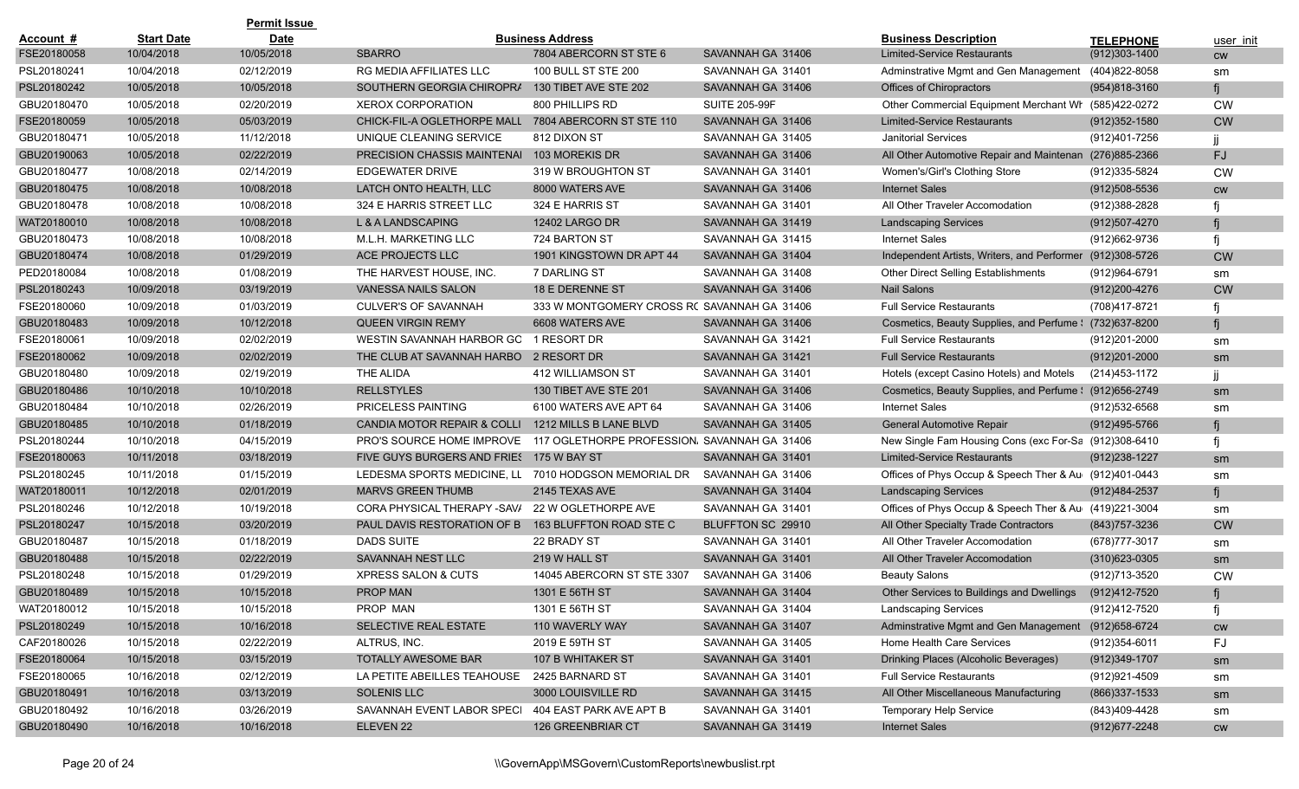|             |                   | <b>Permit Issue</b> |                                                      |                                              |                      |                                                          |                   |           |
|-------------|-------------------|---------------------|------------------------------------------------------|----------------------------------------------|----------------------|----------------------------------------------------------|-------------------|-----------|
| Account #   | <b>Start Date</b> | <b>Date</b>         |                                                      | <b>Business Address</b>                      |                      | <b>Business Description</b>                              | <b>TELEPHONE</b>  | user init |
| FSE20180058 | 10/04/2018        | 10/05/2018          | <b>SBARRO</b>                                        | 7804 ABERCORN ST STE 6                       | SAVANNAH GA 31406    | <b>Limited-Service Restaurants</b>                       | $(912)303 - 1400$ | <b>CW</b> |
| PSL20180241 | 10/04/2018        | 02/12/2019          | <b>RG MEDIA AFFILIATES LLC</b>                       | 100 BULL ST STE 200                          | SAVANNAH GA 31401    | Adminstrative Mgmt and Gen Management (404)822-8058      |                   | sm        |
| PSL20180242 | 10/05/2018        | 10/05/2018          | SOUTHERN GEORGIA CHIROPRA                            | 130 TIBET AVE STE 202                        | SAVANNAH GA 31406    | Offices of Chiropractors                                 | $(954)818-3160$   |           |
| GBU20180470 | 10/05/2018        | 02/20/2019          | <b>XEROX CORPORATION</b>                             | 800 PHILLIPS RD                              | <b>SUITE 205-99F</b> | Other Commercial Equipment Merchant Wr (585)422-0272     |                   | <b>CW</b> |
| FSE20180059 | 10/05/2018        | 05/03/2019          | CHICK-FIL-A OGLETHORPE MALL                          | 7804 ABERCORN ST STE 110                     | SAVANNAH GA 31406    | <b>Limited-Service Restaurants</b>                       | $(912)352 - 1580$ | <b>CW</b> |
| GBU20180471 | 10/05/2018        | 11/12/2018          | UNIQUE CLEANING SERVICE                              | 812 DIXON ST                                 | SAVANNAH GA 31405    | <b>Janitorial Services</b>                               | (912)401-7256     |           |
| GBU20190063 | 10/05/2018        | 02/22/2019          | PRECISION CHASSIS MAINTENAI 103 MOREKIS DR           |                                              | SAVANNAH GA 31406    | All Other Automotive Repair and Maintenan (276)885-2366  |                   | FJ        |
| GBU20180477 | 10/08/2018        | 02/14/2019          | <b>EDGEWATER DRIVE</b>                               | 319 W BROUGHTON ST                           | SAVANNAH GA 31401    | Women's/Girl's Clothing Store                            | (912) 335-5824    | <b>CW</b> |
| GBU20180475 | 10/08/2018        | 10/08/2018          | LATCH ONTO HEALTH, LLC                               | 8000 WATERS AVE                              | SAVANNAH GA 31406    | <b>Internet Sales</b>                                    | $(912)508 - 5536$ | <b>CW</b> |
| GBU20180478 | 10/08/2018        | 10/08/2018          | 324 E HARRIS STREET LLC                              | 324 E HARRIS ST                              | SAVANNAH GA 31401    | All Other Traveler Accomodation                          | (912)388-2828     |           |
| WAT20180010 | 10/08/2018        | 10/08/2018          | L & A LANDSCAPING                                    | <b>12402 LARGO DR</b>                        | SAVANNAH GA 31419    | <b>Landscaping Services</b>                              | (912)507-4270     |           |
| GBU20180473 | 10/08/2018        | 10/08/2018          | M.L.H. MARKETING LLC                                 | 724 BARTON ST                                | SAVANNAH GA 31415    | <b>Internet Sales</b>                                    | (912)662-9736     |           |
| GBU20180474 | 10/08/2018        | 01/29/2019          | ACE PROJECTS LLC                                     | 1901 KINGSTOWN DR APT 44                     | SAVANNAH GA 31404    | Independent Artists, Writers, and Performer              | (912)308-5726     | <b>CW</b> |
| PED20180084 | 10/08/2018        | 01/08/2019          | THE HARVEST HOUSE, INC.                              | 7 DARLING ST                                 | SAVANNAH GA 31408    | <b>Other Direct Selling Establishments</b>               | (912) 964-6791    | sm        |
| PSL20180243 | 10/09/2018        | 03/19/2019          | VANESSA NAILS SALON                                  | 18 E DERENNE ST                              | SAVANNAH GA 31406    | <b>Nail Salons</b>                                       | (912)200-4276     | <b>CW</b> |
| FSE20180060 | 10/09/2018        | 01/03/2019          | CULVER'S OF SAVANNAH                                 | 333 W MONTGOMERY CROSS RC SAVANNAH GA 31406  |                      | <b>Full Service Restaurants</b>                          | (708)417-8721     |           |
| GBU20180483 | 10/09/2018        | 10/12/2018          | <b>QUEEN VIRGIN REMY</b>                             | 6608 WATERS AVE                              | SAVANNAH GA 31406    | Cosmetics, Beauty Supplies, and Perfume \: (732)637-8200 |                   |           |
| FSE20180061 | 10/09/2018        | 02/02/2019          | WESTIN SAVANNAH HARBOR GO                            | 1 RESORT DR                                  | SAVANNAH GA 31421    | <b>Full Service Restaurants</b>                          | (912)201-2000     | sm        |
| FSE20180062 | 10/09/2018        | 02/02/2019          | THE CLUB AT SAVANNAH HARBO 2 RESORT DR               |                                              | SAVANNAH GA 31421    | <b>Full Service Restaurants</b>                          | $(912)201 - 2000$ | sm        |
| GBU20180480 | 10/09/2018        | 02/19/2019          | THE ALIDA                                            | 412 WILLIAMSON ST                            | SAVANNAH GA 31401    | Hotels (except Casino Hotels) and Motels                 | (214)453-1172     |           |
| GBU20180486 | 10/10/2018        | 10/10/2018          | <b>RELLSTYLES</b>                                    | 130 TIBET AVE STE 201                        | SAVANNAH GA 31406    | Cosmetics, Beauty Supplies, and Perfume \: (912)656-2749 |                   | sm        |
| GBU20180484 | 10/10/2018        | 02/26/2019          | PRICELESS PAINTING                                   | 6100 WATERS AVE APT 64                       | SAVANNAH GA 31406    | <b>Internet Sales</b>                                    | (912)532-6568     | sm        |
| GBU20180485 | 10/10/2018        | 01/18/2019          | CANDIA MOTOR REPAIR & COLLI                          | 1212 MILLS B LANE BLVD                       | SAVANNAH GA 31405    | General Automotive Repair                                | (912)495-5766     |           |
| PSL20180244 | 10/10/2018        | 04/15/2019          | PRO'S SOURCE HOME IMPROVE                            | 117 OGLETHORPE PROFESSION, SAVANNAH GA 31406 |                      | New Single Fam Housing Cons (exc For-Sa (912)308-6410    |                   |           |
| FSE20180063 | 10/11/2018        | 03/18/2019          | FIVE GUYS BURGERS AND FRIES 175 W BAY ST             |                                              | SAVANNAH GA 31401    | <b>Limited-Service Restaurants</b>                       | $(912)238-1227$   | sm        |
| PSL20180245 | 10/11/2018        | 01/15/2019          | LEDESMA SPORTS MEDICINE, LL 7010 HODGSON MEMORIAL DR |                                              | SAVANNAH GA 31406    | Offices of Phys Occup & Speech Ther & Au (912)401-0443   |                   | sm        |
| WAT20180011 | 10/12/2018        | 02/01/2019          | <b>MARVS GREEN THUMB</b>                             | 2145 TEXAS AVE                               | SAVANNAH GA 31404    | <b>Landscaping Services</b>                              | (912)484-2537     |           |
| PSL20180246 | 10/12/2018        | 10/19/2018          | CORA PHYSICAL THERAPY -SAV/                          | 22 W OGLETHORPE AVE                          | SAVANNAH GA 31401    | Offices of Phys Occup & Speech Ther & Au (419)221-3004   |                   | sm        |
| PSL20180247 | 10/15/2018        | 03/20/2019          | PAUL DAVIS RESTORATION OF B                          | 163 BLUFFTON ROAD STE C                      | BLUFFTON SC 29910    | All Other Specialty Trade Contractors                    | (843) 757-3236    | <b>CW</b> |
| GBU20180487 | 10/15/2018        | 01/18/2019          | <b>DADS SUITE</b>                                    | 22 BRADY ST                                  | SAVANNAH GA 31401    | All Other Traveler Accomodation                          | (678) 777-3017    | sm        |
| GBU20180488 | 10/15/2018        | 02/22/2019          | SAVANNAH NEST LLC                                    | 219 W HALL ST                                | SAVANNAH GA 31401    | All Other Traveler Accomodation                          | $(310)623-0305$   | sm        |
| PSL20180248 | 10/15/2018        | 01/29/2019          | XPRESS SALON & CUTS                                  | 14045 ABERCORN ST STE 3307                   | SAVANNAH GA 31406    | <b>Beauty Salons</b>                                     | (912)713-3520     | <b>CW</b> |
| GBU20180489 | 10/15/2018        | 10/15/2018          | PROP MAN                                             | 1301 E 56TH ST                               | SAVANNAH GA 31404    | Other Services to Buildings and Dwellings                | (912)412-7520     |           |
| WAT20180012 | 10/15/2018        | 10/15/2018          | PROP MAN                                             | 1301 E 56TH ST                               | SAVANNAH GA 31404    | <b>Landscaping Services</b>                              | (912)412-7520     |           |
| PSL20180249 | 10/15/2018        | 10/16/2018          | SELECTIVE REAL ESTATE                                | 110 WAVERLY WAY                              | SAVANNAH GA 31407    | Adminstrative Mgmt and Gen Management                    | (912)658-6724     | CW        |
| CAF20180026 | 10/15/2018        | 02/22/2019          | ALTRUS, INC.                                         | 2019 E 59TH ST                               | SAVANNAH GA 31405    | Home Health Care Services                                | (912)354-6011     | FJ        |
| FSE20180064 | 10/15/2018        | 03/15/2019          | TOTALLY AWESOME BAR                                  | 107 B WHITAKER ST                            | SAVANNAH GA 31401    | Drinking Places (Alcoholic Beverages)                    | (912)349-1707     | sm        |
| FSE20180065 | 10/16/2018        | 02/12/2019          | LA PETITE ABEILLES TEAHOUSE                          | 2425 BARNARD ST                              | SAVANNAH GA 31401    | <b>Full Service Restaurants</b>                          | (912) 921-4509    | sm        |
| GBU20180491 | 10/16/2018        | 03/13/2019          | <b>SOLENIS LLC</b>                                   | 3000 LOUISVILLE RD                           | SAVANNAH GA 31415    | All Other Miscellaneous Manufacturing                    | (866) 337-1533    | sm        |
| GBU20180492 | 10/16/2018        | 03/26/2019          | SAVANNAH EVENT LABOR SPECI                           | 404 EAST PARK AVE APT B                      | SAVANNAH GA 31401    | Temporary Help Service                                   | (843)409-4428     | sm        |
| GBU20180490 | 10/16/2018        | 10/16/2018          | ELEVEN 22                                            | 126 GREENBRIAR CT                            | SAVANNAH GA 31419    | <b>Internet Sales</b>                                    | (912) 677-2248    | cw        |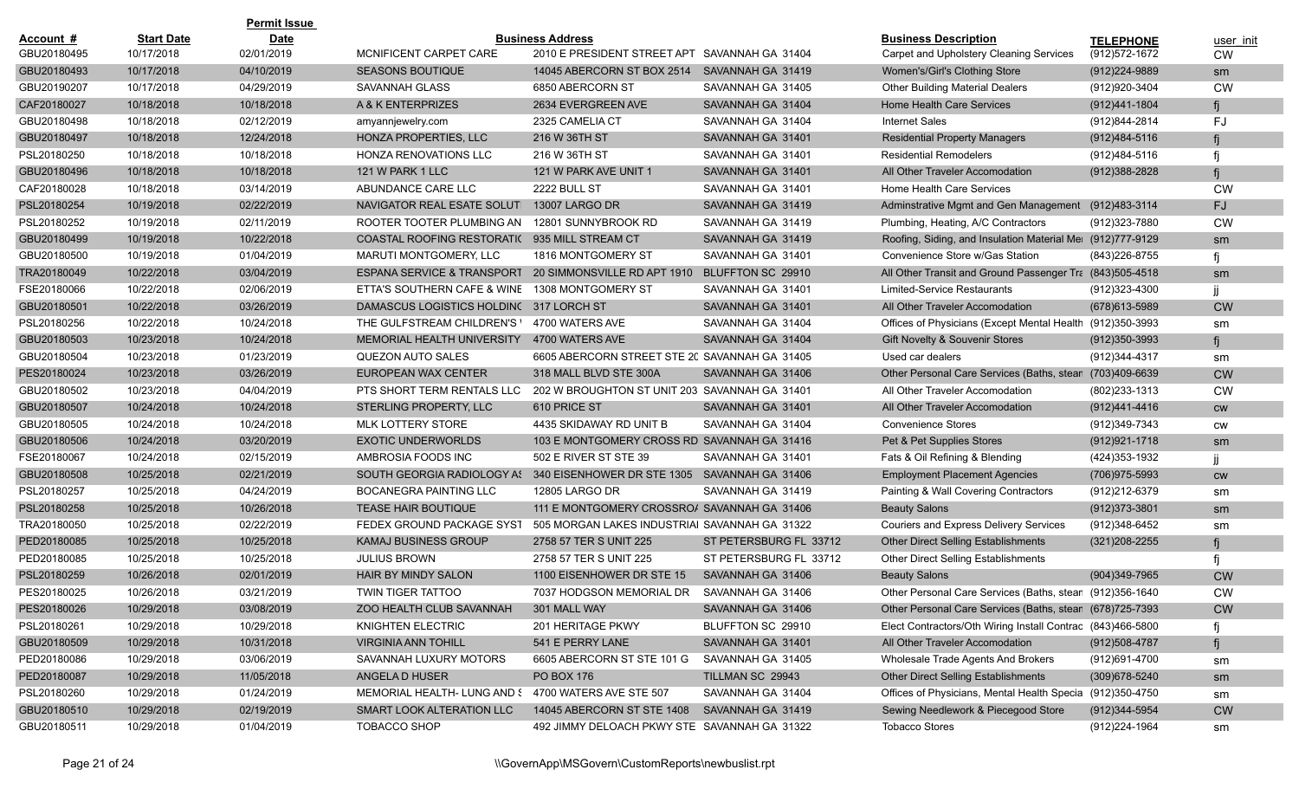|             |                   | <b>Permit Issue</b> |                                                     |                                               |                        |                                                            |                   |           |
|-------------|-------------------|---------------------|-----------------------------------------------------|-----------------------------------------------|------------------------|------------------------------------------------------------|-------------------|-----------|
| Account #   | <b>Start Date</b> | <b>Date</b>         |                                                     | <b>Business Address</b>                       |                        | <b>Business Description</b>                                | <b>TELEPHONE</b>  | user init |
| GBU20180495 | 10/17/2018        | 02/01/2019          | MCNIFICENT CARPET CARE                              | 2010 E PRESIDENT STREET APT SAVANNAH GA 31404 |                        | Carpet and Upholstery Cleaning Services                    | (912) 572-1672    | <b>CW</b> |
| GBU20180493 | 10/17/2018        | 04/10/2019          | <b>SEASONS BOUTIQUE</b>                             | 14045 ABERCORN ST BOX 2514                    | SAVANNAH GA 31419      | Women's/Girl's Clothing Store                              | (912)224-9889     | sm        |
| GBU20190207 | 10/17/2018        | 04/29/2019          | SAVANNAH GLASS                                      | 6850 ABERCORN ST                              | SAVANNAH GA 31405      | <b>Other Building Material Dealers</b>                     | (912) 920-3404    | <b>CW</b> |
| CAF20180027 | 10/18/2018        | 10/18/2018          | A & K ENTERPRIZES                                   | 2634 EVERGREEN AVE                            | SAVANNAH GA 31404      | Home Health Care Services                                  | (912)441-1804     |           |
| GBU20180498 | 10/18/2018        | 02/12/2019          | amyannjewelry.com                                   | 2325 CAMELIA CT                               | SAVANNAH GA 31404      | <b>Internet Sales</b>                                      | (912)844-2814     | FJ        |
| GBU20180497 | 10/18/2018        | 12/24/2018          | HONZA PROPERTIES, LLC                               | 216 W 36TH ST                                 | SAVANNAH GA 31401      | <b>Residential Property Managers</b>                       | (912)484-5116     |           |
| PSL20180250 | 10/18/2018        | 10/18/2018          | HONZA RENOVATIONS LLC                               | 216 W 36TH ST                                 | SAVANNAH GA 31401      | <b>Residential Remodelers</b>                              | (912)484-5116     |           |
| GBU20180496 | 10/18/2018        | 10/18/2018          | 121 W PARK 1 LLC                                    | 121 W PARK AVE UNIT 1                         | SAVANNAH GA 31401      | All Other Traveler Accomodation                            | $(912)388 - 2828$ |           |
| CAF20180028 | 10/18/2018        | 03/14/2019          | ABUNDANCE CARE LLC                                  | 2222 BULL ST                                  | SAVANNAH GA 31401      | Home Health Care Services                                  |                   | <b>CW</b> |
| PSL20180254 | 10/19/2018        | 02/22/2019          | NAVIGATOR REAL ESATE SOLUTI                         | 13007 LARGO DR                                | SAVANNAH GA 31419      | Adminstrative Mgmt and Gen Management                      | (912)483-3114     | FJ.       |
| PSL20180252 | 10/19/2018        | 02/11/2019          | ROOTER TOOTER PLUMBING AN                           | 12801 SUNNYBROOK RD                           | SAVANNAH GA 31419      | Plumbing, Heating, A/C Contractors                         | (912)323-7880     | <b>CW</b> |
| GBU20180499 | 10/19/2018        | 10/22/2018          | COASTAL ROOFING RESTORATI( 935 MILL STREAM CT       |                                               | SAVANNAH GA 31419      | Roofing, Siding, and Insulation Material Mel (912)777-9129 |                   | sm        |
| GBU20180500 | 10/19/2018        | 01/04/2019          | MARUTI MONTGOMERY, LLC                              | 1816 MONTGOMERY ST                            | SAVANNAH GA 31401      | Convenience Store w/Gas Station                            | (843) 226-8755    |           |
| TRA20180049 | 10/22/2018        | 03/04/2019          | ESPANA SERVICE & TRANSPORT                          | 20 SIMMONSVILLE RD APT 1910                   | BLUFFTON SC 29910      | All Other Transit and Ground Passenger Tra (843)505-4518   |                   | sm        |
| FSE20180066 | 10/22/2018        | 02/06/2019          | ETTA'S SOUTHERN CAFE & WINE                         | 1308 MONTGOMERY ST                            | SAVANNAH GA 31401      | Limited-Service Restaurants                                | (912)323-4300     |           |
| GBU20180501 | 10/22/2018        | 03/26/2019          | DAMASCUS LOGISTICS HOLDING 317 LORCH ST             |                                               | SAVANNAH GA 31401      | All Other Traveler Accomodation                            | (678) 613-5989    | <b>CW</b> |
| PSL20180256 | 10/22/2018        | 10/24/2018          | THE GULFSTREAM CHILDREN'S \                         | 4700 WATERS AVE                               | SAVANNAH GA 31404      | Offices of Physicians (Except Mental Health (912)350-3993  |                   | sm        |
| GBU20180503 | 10/23/2018        | 10/24/2018          | MEMORIAL HEALTH UNIVERSITY                          | 4700 WATERS AVE                               | SAVANNAH GA 31404      | Gift Novelty & Souvenir Stores                             | $(912)350 - 3993$ |           |
| GBU20180504 | 10/23/2018        | 01/23/2019          | QUEZON AUTO SALES                                   | 6605 ABERCORN STREET STE 20 SAVANNAH GA 31405 |                        | Used car dealers                                           | (912)344-4317     | sm        |
| PES20180024 | 10/23/2018        | 03/26/2019          | EUROPEAN WAX CENTER                                 | 318 MALL BLVD STE 300A                        | SAVANNAH GA 31406      | Other Personal Care Services (Baths, stean                 | (703)409-6639     | <b>CW</b> |
| GBU20180502 | 10/23/2018        | 04/04/2019          | PTS SHORT TERM RENTALS LLC                          | 202 W BROUGHTON ST UNIT 203 SAVANNAH GA 31401 |                        | All Other Traveler Accomodation                            | (802)233-1313     | <b>CW</b> |
| GBU20180507 | 10/24/2018        | 10/24/2018          | STERLING PROPERTY, LLC                              | 610 PRICE ST                                  | SAVANNAH GA 31401      | All Other Traveler Accomodation                            | (912)441-4416     | cw        |
| GBU20180505 | 10/24/2018        | 10/24/2018          | <b>MLK LOTTERY STORE</b>                            | 4435 SKIDAWAY RD UNIT B                       | SAVANNAH GA 31404      | <b>Convenience Stores</b>                                  | (912)349-7343     | <b>CW</b> |
| GBU20180506 | 10/24/2018        | 03/20/2019          | <b>EXOTIC UNDERWORLDS</b>                           | 103 E MONTGOMERY CROSS RD SAVANNAH GA 31416   |                        | Pet & Pet Supplies Stores                                  | (912) 921-1718    | sm        |
| FSE20180067 | 10/24/2018        | 02/15/2019          | AMBROSIA FOODS INC                                  | 502 E RIVER ST STE 39                         | SAVANNAH GA 31401      | Fats & Oil Refining & Blending                             | (424)353-1932     |           |
| GBU20180508 | 10/25/2018        | 02/21/2019          | SOUTH GEORGIA RADIOLOGY AS                          | 340 EISENHOWER DR STE 1305 SAVANNAH GA 31406  |                        | <b>Employment Placement Agencies</b>                       | (706) 975-5993    | <b>CW</b> |
| PSL20180257 | 10/25/2018        | 04/24/2019          | BOCANEGRA PAINTING LLC                              | 12805 LARGO DR                                | SAVANNAH GA 31419      | Painting & Wall Covering Contractors                       | (912)212-6379     | sm        |
| PSL20180258 | 10/25/2018        | 10/26/2018          | TEASE HAIR BOUTIQUE                                 | 111 E MONTGOMERY CROSSROA SAVANNAH GA 31406   |                        | <b>Beauty Salons</b>                                       | $(912)373 - 3801$ | sm        |
| TRA20180050 | 10/25/2018        | 02/22/2019          | FEDEX GROUND PACKAGE SYST                           | 505 MORGAN LAKES INDUSTRIAI SAVANNAH GA 31322 |                        | <b>Couriers and Express Delivery Services</b>              | (912)348-6452     | sm        |
| PED20180085 | 10/25/2018        | 10/25/2018          | <b>KAMAJ BUSINESS GROUP</b>                         | 2758 57 TER S UNIT 225                        | ST PETERSBURG FL 33712 | Other Direct Selling Establishments                        | $(321)208 - 2255$ |           |
| PED20180085 | 10/25/2018        | 10/25/2018          | <b>JULIUS BROWN</b>                                 | 2758 57 TER S UNIT 225                        | ST PETERSBURG FL 33712 | Other Direct Selling Establishments                        |                   |           |
| PSL20180259 | 10/26/2018        | 02/01/2019          | <b>HAIR BY MINDY SALON</b>                          | 1100 EISENHOWER DR STE 15                     | SAVANNAH GA 31406      | <b>Beauty Salons</b>                                       | (904)349-7965     | <b>CW</b> |
| PES20180025 | 10/26/2018        | 03/21/2019          | TWIN TIGER TATTOO                                   | 7037 HODGSON MEMORIAL DR SAVANNAH GA 31406    |                        | Other Personal Care Services (Baths, stean (912)356-1640   |                   | <b>CW</b> |
| PES20180026 | 10/29/2018        | 03/08/2019          | ZOO HEALTH CLUB SAVANNAH                            | 301 MALL WAY                                  | SAVANNAH GA 31406      | Other Personal Care Services (Baths, stean (678)725-7393   |                   | <b>CW</b> |
| PSL20180261 | 10/29/2018        | 10/29/2018          | <b>KNIGHTEN ELECTRIC</b>                            | 201 HERITAGE PKWY                             | BLUFFTON SC 29910      | Elect Contractors/Oth Wiring Install Contrac (843)466-5800 |                   |           |
| GBU20180509 | 10/29/2018        | 10/31/2018          | <b>VIRGINIA ANN TOHILL</b>                          | 541 E PERRY LANE                              | SAVANNAH GA 31401      | All Other Traveler Accomodation                            | (912)508-4787     | fj        |
| PED20180086 | 10/29/2018        | 03/06/2019          | SAVANNAH LUXURY MOTORS                              | 6605 ABERCORN ST STE 101 G                    | SAVANNAH GA 31405      | Wholesale Trade Agents And Brokers                         | (912)691-4700     | sm        |
| PED20180087 | 10/29/2018        | 11/05/2018          | ANGELA D HUSER                                      | <b>PO BOX 176</b>                             | TILLMAN SC 29943       | <b>Other Direct Selling Establishments</b>                 | (309) 678-5240    | sm        |
| PSL20180260 | 10/29/2018        | 01/24/2019          | MEMORIAL HEALTH- LUNG AND \$4700 WATERS AVE STE 507 |                                               | SAVANNAH GA 31404      | Offices of Physicians, Mental Health Specia (912)350-4750  |                   | sm        |
| GBU20180510 | 10/29/2018        | 02/19/2019          | SMART LOOK ALTERATION LLC                           | 14045 ABERCORN ST STE 1408                    | SAVANNAH GA 31419      | Sewing Needlework & Piecegood Store                        | (912) 344-5954    | <b>CW</b> |
| GBU20180511 | 10/29/2018        | 01/04/2019          | TOBACCO SHOP                                        | 492 JIMMY DELOACH PKWY STE SAVANNAH GA 31322  |                        | <b>Tobacco Stores</b>                                      | (912)224-1964     | sm        |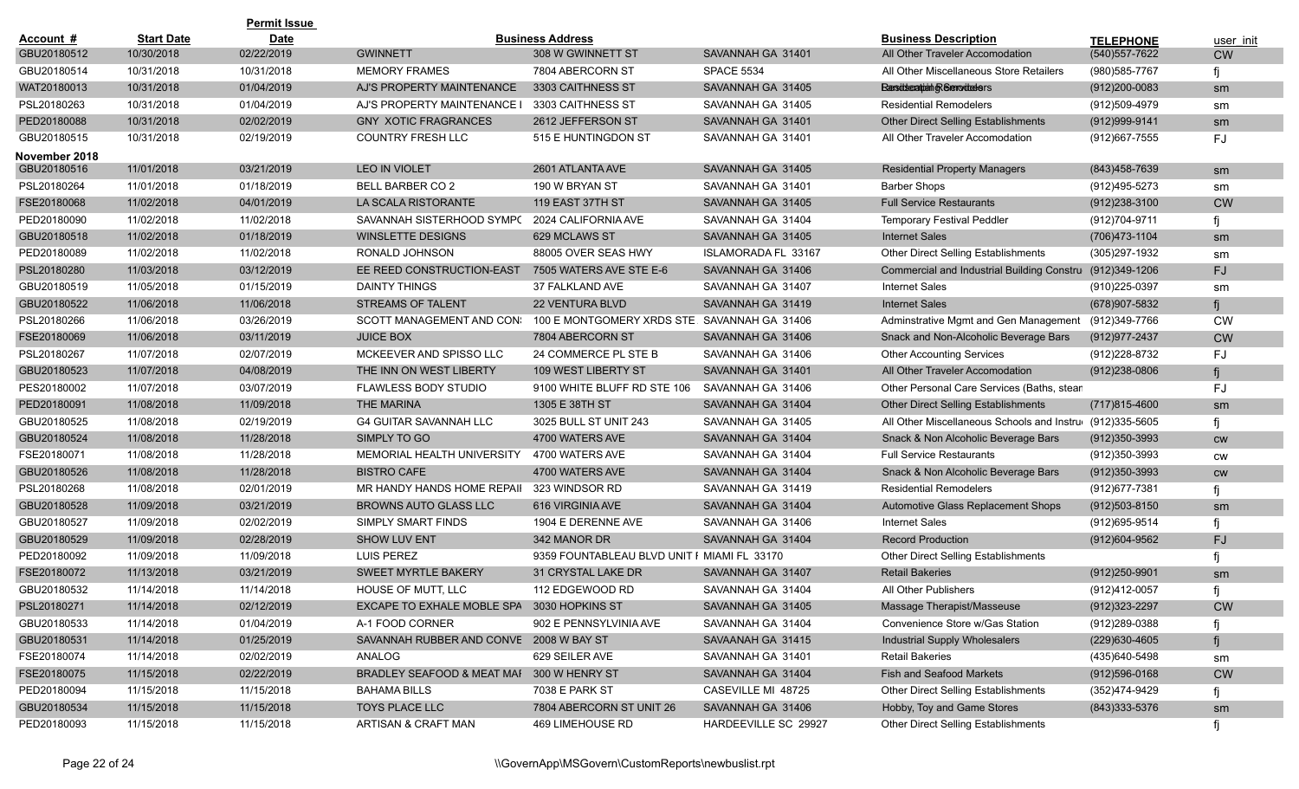|                  |                   | <b>Permit Issue</b> |                                            |                                              |                      |                                                          |                   |           |
|------------------|-------------------|---------------------|--------------------------------------------|----------------------------------------------|----------------------|----------------------------------------------------------|-------------------|-----------|
| <b>Account #</b> | <b>Start Date</b> | <b>Date</b>         |                                            | <b>Business Address</b>                      |                      | <b>Business Description</b>                              | <b>TELEPHONE</b>  | user init |
| GBU20180512      | 10/30/2018        | 02/22/2019          | <b>GWINNETT</b>                            | 308 W GWINNETT ST                            | SAVANNAH GA 31401    | All Other Traveler Accomodation                          | (540) 557-7622    | <b>CW</b> |
| GBU20180514      | 10/31/2018        | 10/31/2018          | <b>MEMORY FRAMES</b>                       | 7804 ABERCORN ST                             | <b>SPACE 5534</b>    | All Other Miscellaneous Store Retailers                  | (980) 585-7767    | fj        |
| WAT20180013      | 10/31/2018        | 01/04/2019          | AJ'S PROPERTY MAINTENANCE                  | 3303 CAITHNESS ST                            | SAVANNAH GA 31405    | <b>Ransideration of Serrodeders</b>                      | $(912)200 - 0083$ | sm        |
| PSL20180263      | 10/31/2018        | 01/04/2019          | AJ'S PROPERTY MAINTENANCE I                | 3303 CAITHNESS ST                            | SAVANNAH GA 31405    | <b>Residential Remodelers</b>                            | (912)509-4979     | sm        |
| PED20180088      | 10/31/2018        | 02/02/2019          | <b>GNY XOTIC FRAGRANCES</b>                | 2612 JEFFERSON ST                            | SAVANNAH GA 31401    | Other Direct Selling Establishments                      | (912) 999-9141    | sm        |
| GBU20180515      | 10/31/2018        | 02/19/2019          | <b>COUNTRY FRESH LLC</b>                   | 515 E HUNTINGDON ST                          | SAVANNAH GA 31401    | All Other Traveler Accomodation                          | (912) 667-7555    | FJ        |
| November 2018    |                   |                     |                                            |                                              |                      |                                                          |                   |           |
| GBU20180516      | 11/01/2018        | 03/21/2019          | <b>LEO IN VIOLET</b>                       | 2601 ATLANTA AVE                             | SAVANNAH GA 31405    | <b>Residential Property Managers</b>                     | (843) 458-7639    | sm        |
| PSL20180264      | 11/01/2018        | 01/18/2019          | <b>BELL BARBER CO 2</b>                    | 190 W BRYAN ST                               | SAVANNAH GA 31401    | <b>Barber Shops</b>                                      | (912)495-5273     | sm        |
| FSE20180068      | 11/02/2018        | 04/01/2019          | LA SCALA RISTORANTE                        | 119 EAST 37TH ST                             | SAVANNAH GA 31405    | <b>Full Service Restaurants</b>                          | $(912)238-3100$   | <b>CW</b> |
| PED20180090      | 11/02/2018        | 11/02/2018          | SAVANNAH SISTERHOOD SYMP(                  | 2024 CALIFORNIA AVE                          | SAVANNAH GA 31404    | <b>Temporary Festival Peddler</b>                        | (912) 704-9711    | fi        |
| GBU20180518      | 11/02/2018        | 01/18/2019          | WINSLETTE DESIGNS                          | 629 MCLAWS ST                                | SAVANNAH GA 31405    | <b>Internet Sales</b>                                    | (706) 473-1104    | sm        |
| PED20180089      | 11/02/2018        | 11/02/2018          | RONALD JOHNSON                             | 88005 OVER SEAS HWY                          | ISLAMORADA FL 33167  | Other Direct Selling Establishments                      | (305) 297-1932    | sm        |
| PSL20180280      | 11/03/2018        | 03/12/2019          | EE REED CONSTRUCTION-EAST                  | 7505 WATERS AVE STE E-6                      | SAVANNAH GA 31406    | Commercial and Industrial Building Constru (912)349-1206 |                   | <b>FJ</b> |
| GBU20180519      | 11/05/2018        | 01/15/2019          | DAINTY THINGS                              | 37 FALKLAND AVE                              | SAVANNAH GA 31407    | <b>Internet Sales</b>                                    | (910) 225-0397    | sm        |
| GBU20180522      | 11/06/2018        | 11/06/2018          | <b>STREAMS OF TALENT</b>                   | <b>22 VENTURA BLVD</b>                       | SAVANNAH GA 31419    | <b>Internet Sales</b>                                    | (678) 907-5832    |           |
| PSL20180266      | 11/06/2018        | 03/26/2019          | SCOTT MANAGEMENT AND CON:                  | 100 E MONTGOMERY XRDS STE. SAVANNAH GA 31406 |                      | Adminstrative Mgmt and Gen Management (912)349-7766      |                   | <b>CW</b> |
| FSE20180069      | 11/06/2018        | 03/11/2019          | <b>JUICE BOX</b>                           | 7804 ABERCORN ST                             | SAVANNAH GA 31406    | Snack and Non-Alcoholic Beverage Bars                    | (912) 977-2437    | <b>CW</b> |
| PSL20180267      | 11/07/2018        | 02/07/2019          | MCKEEVER AND SPISSO LLC                    | 24 COMMERCE PL STE B                         | SAVANNAH GA 31406    | <b>Other Accounting Services</b>                         | (912) 228-8732    | FJ        |
| GBU20180523      | 11/07/2018        | 04/08/2019          | THE INN ON WEST LIBERTY                    | 109 WEST LIBERTY ST                          | SAVANNAH GA 31401    | All Other Traveler Accomodation                          | (912)238-0806     | fi        |
| PES20180002      | 11/07/2018        | 03/07/2019          | <b>FLAWLESS BODY STUDIO</b>                | 9100 WHITE BLUFF RD STE 106                  | SAVANNAH GA 31406    | Other Personal Care Services (Baths, stean               |                   | FJ        |
| PED20180091      | 11/08/2018        | 11/09/2018          | <b>THE MARINA</b>                          | 1305 E 38TH ST                               | SAVANNAH GA 31404    | Other Direct Selling Establishments                      | $(717)815-4600$   | sm        |
| GBU20180525      | 11/08/2018        | 02/19/2019          | <b>G4 GUITAR SAVANNAH LLC</b>              | 3025 BULL ST UNIT 243                        | SAVANNAH GA 31405    | All Other Miscellaneous Schools and Instru (912)335-5605 |                   | fi        |
| GBU20180524      | 11/08/2018        | 11/28/2018          | SIMPLY TO GO                               | 4700 WATERS AVE                              | SAVANNAH GA 31404    | Snack & Non Alcoholic Beverage Bars                      | $(912)350-3993$   | <b>CW</b> |
| FSE20180071      | 11/08/2018        | 11/28/2018          | MEMORIAL HEALTH UNIVERSITY                 | 4700 WATERS AVE                              | SAVANNAH GA 31404    | <b>Full Service Restaurants</b>                          | (912)350-3993     | CW        |
| GBU20180526      | 11/08/2018        | 11/28/2018          | <b>BISTRO CAFE</b>                         | 4700 WATERS AVE                              | SAVANNAH GA 31404    | Snack & Non Alcoholic Beverage Bars                      | $(912)350-3993$   | <b>CW</b> |
| PSL20180268      | 11/08/2018        | 02/01/2019          | MR HANDY HANDS HOME REPAIL                 | 323 WINDSOR RD                               | SAVANNAH GA 31419    | <b>Residential Remodelers</b>                            | (912) 677-7381    | fj        |
| GBU20180528      | 11/09/2018        | 03/21/2019          | <b>BROWNS AUTO GLASS LLC</b>               | 616 VIRGINIA AVE                             | SAVANNAH GA 31404    | Automotive Glass Replacement Shops                       | $(912)503 - 8150$ | sm        |
| GBU20180527      | 11/09/2018        | 02/02/2019          | <b>SIMPLY SMART FINDS</b>                  | 1904 E DERENNE AVE                           | SAVANNAH GA 31406    | <b>Internet Sales</b>                                    | (912) 695-9514    | fi        |
| GBU20180529      | 11/09/2018        | 02/28/2019          | <b>SHOW LUV ENT</b>                        | 342 MANOR DR                                 | SAVANNAH GA 31404    | <b>Record Production</b>                                 | (912)604-9562     | <b>FJ</b> |
| PED20180092      | 11/09/2018        | 11/09/2018          | <b>LUIS PEREZ</b>                          | 9359 FOUNTABLEAU BLVD UNIT F MIAMI FL 33170  |                      | Other Direct Selling Establishments                      |                   | fi        |
| FSE20180072      | 11/13/2018        | 03/21/2019          | <b>SWEET MYRTLE BAKERY</b>                 | 31 CRYSTAL LAKE DR                           | SAVANNAH GA 31407    | <b>Retail Bakeries</b>                                   | $(912)250 - 9901$ | sm        |
| GBU20180532      | 11/14/2018        | 11/14/2018          | <b>HOUSE OF MUTT, LLC</b>                  | 112 EDGEWOOD RD                              | SAVANNAH GA 31404    | All Other Publishers                                     | (912)412-0057     |           |
| PSL20180271      | 11/14/2018        | 02/12/2019          | EXCAPE TO EXHALE MOBLE SPA 3030 HOPKINS ST |                                              | SAVANNAH GA 31405    | Massage Therapist/Masseuse                               | (912) 323-2297    | <b>CW</b> |
| GBU20180533      | 11/14/2018        | 01/04/2019          | A-1 FOOD CORNER                            | 902 E PENNSYLVINIA AVE                       | SAVANNAH GA 31404    | Convenience Store w/Gas Station                          | (912) 289-0388    |           |
| GBU20180531      | 11/14/2018        | 01/25/2019          | SAVANNAH RUBBER AND CONVE 2008 W BAY ST    |                                              | SAVAANAH GA 31415    | Industrial Supply Wholesalers                            | (229)630-4605     | fj        |
| FSE20180074      | 11/14/2018        | 02/02/2019          | ANALOG                                     | 629 SEILER AVE                               | SAVANNAH GA 31401    | <b>Retail Bakeries</b>                                   | (435)640-5498     | sm        |
| FSE20180075      | 11/15/2018        | 02/22/2019          | BRADLEY SEAFOOD & MEAT MAF 300 W HENRY ST  |                                              | SAVANNAH GA 31404    | Fish and Seafood Markets                                 | $(912)596-0168$   | <b>CW</b> |
| PED20180094      | 11/15/2018        | 11/15/2018          | <b>BAHAMA BILLS</b>                        | 7038 E PARK ST                               | CASEVILLE MI 48725   | Other Direct Selling Establishments                      | (352)474-9429     | fi        |
| GBU20180534      | 11/15/2018        | 11/15/2018          | TOYS PLACE LLC                             | 7804 ABERCORN ST UNIT 26                     | SAVANNAH GA 31406    | Hobby, Toy and Game Stores                               | (843) 333-5376    | sm        |
| PED20180093      | 11/15/2018        | 11/15/2018          | ARTISAN & CRAFT MAN                        | 469 LIMEHOUSE RD                             | HARDEEVILLE SC 29927 | Other Direct Selling Establishments                      |                   | fi        |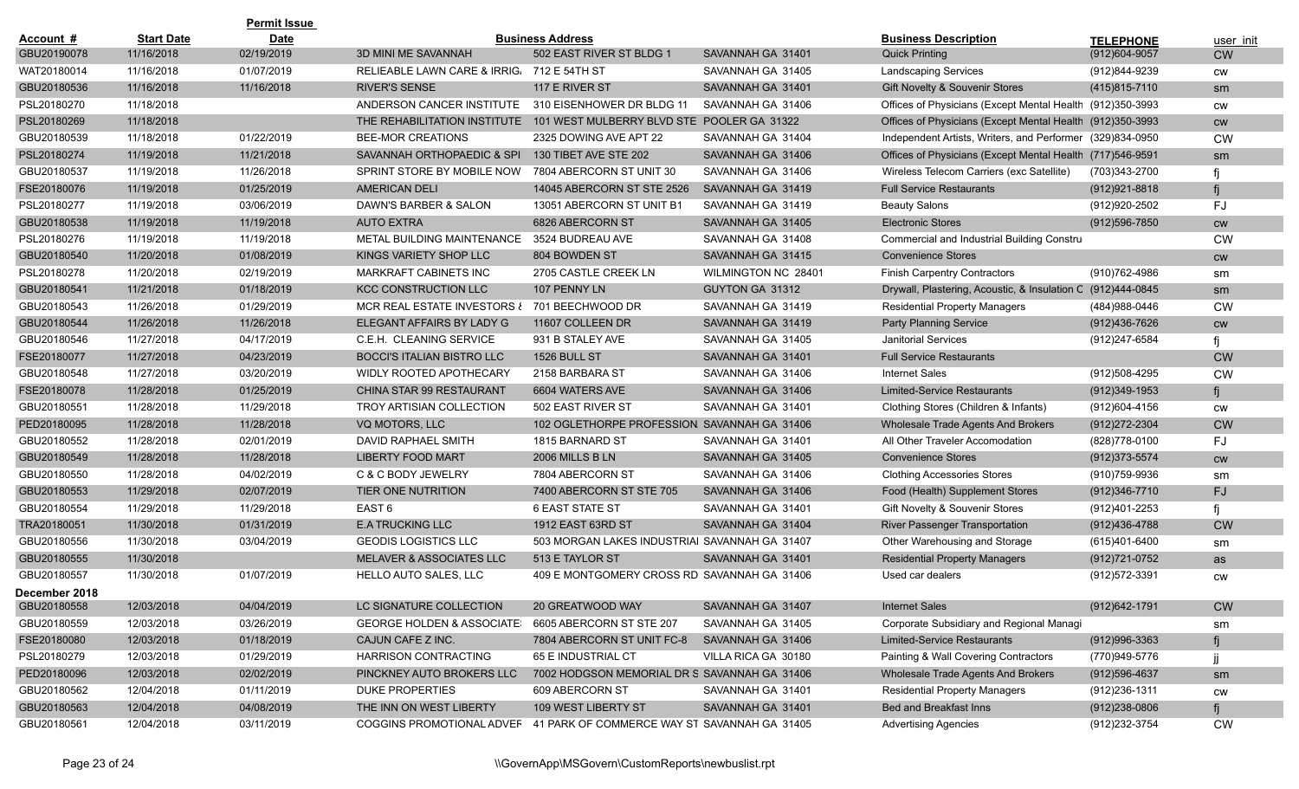|               |                   | <b>Permit Issue</b> |                                                                        |                                               |                     |                                                             |                  |           |
|---------------|-------------------|---------------------|------------------------------------------------------------------------|-----------------------------------------------|---------------------|-------------------------------------------------------------|------------------|-----------|
| Account #     | <b>Start Date</b> | <b>Date</b>         |                                                                        | <b>Business Address</b>                       |                     | <b>Business Description</b>                                 | <b>TELEPHONE</b> | user init |
| GBU20190078   | 11/16/2018        | 02/19/2019          | 3D MINI ME SAVANNAH                                                    | 502 EAST RIVER ST BLDG 1                      | SAVANNAH GA 31401   | <b>Quick Printing</b>                                       | (912)604-9057    | <b>CW</b> |
| WAT20180014   | 11/16/2018        | 01/07/2019          | RELIEABLE LAWN CARE & IRRIG 712 E 54TH ST                              |                                               | SAVANNAH GA 31405   | <b>Landscaping Services</b>                                 | (912)844-9239    | CW        |
| GBU20180536   | 11/16/2018        | 11/16/2018          | <b>RIVER'S SENSE</b>                                                   | 117 E RIVER ST                                | SAVANNAH GA 31401   | Gift Novelty & Souvenir Stores                              | (415) 815-7110   | sm        |
| PSL20180270   | 11/18/2018        |                     | ANDERSON CANCER INSTITUTE                                              | 310 EISENHOWER DR BLDG 11                     | SAVANNAH GA 31406   | Offices of Physicians (Except Mental Health (912)350-3993   |                  | <b>CW</b> |
| PSL20180269   | 11/18/2018        |                     | THE REHABILITATION INSTITUTE                                           | 101 WEST MULBERRY BLVD STE POOLER GA 31322    |                     | Offices of Physicians (Except Mental Health (912)350-3993   |                  | <b>CW</b> |
| GBU20180539   | 11/18/2018        | 01/22/2019          | <b>BEE-MOR CREATIONS</b>                                               | 2325 DOWING AVE APT 22                        | SAVANNAH GA 31404   | Independent Artists, Writers, and Performer (329)834-0950   |                  | <b>CW</b> |
| PSL20180274   | 11/19/2018        | 11/21/2018          | SAVANNAH ORTHOPAEDIC & SPI                                             | 130 TIBET AVE STE 202                         | SAVANNAH GA 31406   | Offices of Physicians (Except Mental Health (717)546-9591   |                  | sm        |
| GBU20180537   | 11/19/2018        | 11/26/2018          | SPRINT STORE BY MOBILE NOW                                             | 7804 ABERCORN ST UNIT 30                      | SAVANNAH GA 31406   | Wireless Telecom Carriers (exc Satellite)                   | (703)343-2700    |           |
| FSE20180076   | 11/19/2018        | 01/25/2019          | AMERICAN DELI                                                          | 14045 ABERCORN ST STE 2526                    | SAVANNAH GA 31419   | <b>Full Service Restaurants</b>                             | (912) 921-8818   |           |
| PSL20180277   | 11/19/2018        | 03/06/2019          | DAWN'S BARBER & SALON                                                  | 13051 ABERCORN ST UNIT B1                     | SAVANNAH GA 31419   | <b>Beauty Salons</b>                                        | (912)920-2502    | FJ        |
| GBU20180538   | 11/19/2018        | 11/19/2018          | <b>AUTO EXTRA</b>                                                      | 6826 ABERCORN ST                              | SAVANNAH GA 31405   | <b>Electronic Stores</b>                                    | (912) 596-7850   | <b>CW</b> |
| PSL20180276   | 11/19/2018        | 11/19/2018          | METAL BUILDING MAINTENANCE                                             | 3524 BUDREAU AVE                              | SAVANNAH GA 31408   | <b>Commercial and Industrial Building Constru</b>           |                  | <b>CW</b> |
| GBU20180540   | 11/20/2018        | 01/08/2019          | KINGS VARIETY SHOP LLC                                                 | 804 BOWDEN ST                                 | SAVANNAH GA 31415   | <b>Convenience Stores</b>                                   |                  | <b>CW</b> |
| PSL20180278   | 11/20/2018        | 02/19/2019          | MARKRAFT CABINETS INC                                                  | 2705 CASTLE CREEK LN                          | WILMINGTON NC 28401 | <b>Finish Carpentry Contractors</b>                         | (910) 762-4986   | sm        |
| GBU20180541   | 11/21/2018        | 01/18/2019          | <b>KCC CONSTRUCTION LLC</b>                                            | 107 PENNY LN                                  | GUYTON GA 31312     | Drywall, Plastering, Acoustic, & Insulation C (912)444-0845 |                  | sm        |
| GBU20180543   | 11/26/2018        | 01/29/2019          | MCR REAL ESTATE INVESTORS { 701 BEECHWOOD DR                           |                                               | SAVANNAH GA 31419   | <b>Residential Property Managers</b>                        | (484) 988-0446   | <b>CW</b> |
| GBU20180544   | 11/26/2018        | 11/26/2018          | ELEGANT AFFAIRS BY LADY G                                              | 11607 COLLEEN DR                              | SAVANNAH GA 31419   | <b>Party Planning Service</b>                               | (912)436-7626    | <b>CW</b> |
| GBU20180546   | 11/27/2018        | 04/17/2019          | C.E.H. CLEANING SERVICE                                                | 931 B STALEY AVE                              | SAVANNAH GA 31405   | <b>Janitorial Services</b>                                  | (912)247-6584    |           |
| FSE20180077   | 11/27/2018        | 04/23/2019          | <b>BOCCI'S ITALIAN BISTRO LLC</b>                                      | <b>1526 BULL ST</b>                           | SAVANNAH GA 31401   | <b>Full Service Restaurants</b>                             |                  | <b>CW</b> |
| GBU20180548   | 11/27/2018        | 03/20/2019          | WIDLY ROOTED APOTHECARY                                                | 2158 BARBARA ST                               | SAVANNAH GA 31406   | <b>Internet Sales</b>                                       | (912)508-4295    | <b>CW</b> |
| FSE20180078   | 11/28/2018        | 01/25/2019          | CHINA STAR 99 RESTAURANT                                               | 6604 WATERS AVE                               | SAVANNAH GA 31406   | <b>Limited-Service Restaurants</b>                          | $(912)349-1953$  | fi        |
| GBU20180551   | 11/28/2018        | 11/29/2018          | TROY ARTISIAN COLLECTION                                               | 502 EAST RIVER ST                             | SAVANNAH GA 31401   | Clothing Stores (Children & Infants)                        | (912) 604-4156   | <b>CW</b> |
| PED20180095   | 11/28/2018        | 11/28/2018          | VQ MOTORS, LLC                                                         | 102 OGLETHORPE PROFESSION. SAVANNAH GA 31406  |                     | Wholesale Trade Agents And Brokers                          | (912) 272-2304   | <b>CW</b> |
| GBU20180552   | 11/28/2018        | 02/01/2019          | DAVID RAPHAEL SMITH                                                    | 1815 BARNARD ST                               | SAVANNAH GA 31401   | All Other Traveler Accomodation                             | (828) 778-0100   | FJ        |
| GBU20180549   | 11/28/2018        | 11/28/2018          | <b>LIBERTY FOOD MART</b>                                               | 2006 MILLS B LN                               | SAVANNAH GA 31405   | <b>Convenience Stores</b>                                   | (912) 373-5574   | <b>CW</b> |
| GBU20180550   | 11/28/2018        | 04/02/2019          | C & C BODY JEWELRY                                                     | 7804 ABERCORN ST                              | SAVANNAH GA 31406   | <b>Clothing Accessories Stores</b>                          | (910) 759-9936   | sm        |
| GBU20180553   | 11/29/2018        | 02/07/2019          | TIER ONE NUTRITION                                                     | 7400 ABERCORN ST STE 705                      | SAVANNAH GA 31406   | Food (Health) Supplement Stores                             | (912) 346-7710   | FJ.       |
| GBU20180554   | 11/29/2018        | 11/29/2018          | EAST <sub>6</sub>                                                      | <b>6 EAST STATE ST</b>                        | SAVANNAH GA 31401   | Gift Novelty & Souvenir Stores                              | (912)401-2253    | fi        |
| TRA20180051   | 11/30/2018        | 01/31/2019          | <b>E.A TRUCKING LLC</b>                                                | 1912 EAST 63RD ST                             | SAVANNAH GA 31404   | <b>River Passenger Transportation</b>                       | (912) 436-4788   | <b>CW</b> |
| GBU20180556   | 11/30/2018        | 03/04/2019          | <b>GEODIS LOGISTICS LLC</b>                                            | 503 MORGAN LAKES INDUSTRIAI SAVANNAH GA 31407 |                     | Other Warehousing and Storage                               | (615)401-6400    | sm        |
| GBU20180555   | 11/30/2018        |                     | <b>MELAVER &amp; ASSOCIATES LLC</b>                                    | 513 E TAYLOR ST                               | SAVANNAH GA 31401   | <b>Residential Property Managers</b>                        | (912) 721-0752   | as        |
| GBU20180557   | 11/30/2018        | 01/07/2019          | HELLO AUTO SALES, LLC                                                  | 409 E MONTGOMERY CROSS RD SAVANNAH GA 31406   |                     | Used car dealers                                            | (912) 572-3391   | <b>CW</b> |
| December 2018 |                   |                     |                                                                        |                                               |                     |                                                             |                  |           |
| GBU20180558   | 12/03/2018        | 04/04/2019          | LC SIGNATURE COLLECTION                                                | 20 GREATWOOD WAY                              | SAVANNAH GA 31407   | <b>Internet Sales</b>                                       | (912) 642-1791   | <b>CW</b> |
| GBU20180559   | 12/03/2018        | 03/26/2019          | <b>GEORGE HOLDEN &amp; ASSOCIATE:</b>                                  | 6605 ABERCORN ST STE 207                      | SAVANNAH GA 31405   | Corporate Subsidiary and Regional Managi                    |                  | sm        |
| FSE20180080   | 12/03/2018        | 01/18/2019          | CAJUN CAFE Z INC.                                                      | 7804 ABERCORN ST UNIT FC-8                    | SAVANNAH GA 31406   | <b>Limited-Service Restaurants</b>                          | (912) 996-3363   | fj        |
| PSL20180279   | 12/03/2018        | 01/29/2019          | <b>HARRISON CONTRACTING</b>                                            | 65 E INDUSTRIAL CT                            | VILLA RICA GA 30180 | Painting & Wall Covering Contractors                        | (770)949-5776    |           |
| PED20180096   | 12/03/2018        | 02/02/2019          | PINCKNEY AUTO BROKERS LLC                                              | 7002 HODGSON MEMORIAL DR S SAVANNAH GA 31406  |                     | Wholesale Trade Agents And Brokers                          | (912) 596-4637   | sm        |
| GBU20180562   | 12/04/2018        | 01/11/2019          | <b>DUKE PROPERTIES</b>                                                 | 609 ABERCORN ST                               | SAVANNAH GA 31401   | <b>Residential Property Managers</b>                        | (912) 236-1311   | CW        |
| GBU20180563   | 12/04/2018        | 04/08/2019          | THE INN ON WEST LIBERTY                                                | 109 WEST LIBERTY ST                           | SAVANNAH GA 31401   | Bed and Breakfast Inns                                      | $(912)238-0806$  | fj.       |
| GBU20180561   | 12/04/2018        | 03/11/2019          | COGGINS PROMOTIONAL ADVEF 41 PARK OF COMMERCE WAY ST SAVANNAH GA 31405 |                                               |                     | <b>Advertising Agencies</b>                                 | (912) 232-3754   | <b>CW</b> |